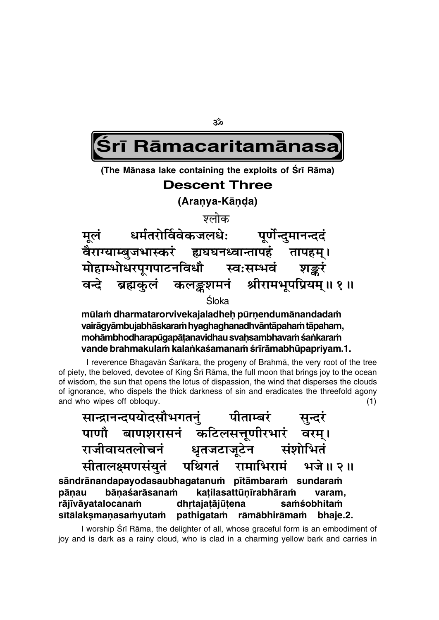

mülam dharmatarorvivekajaladheh pürnendumānandadam vairāgyāmbujabhāskaram hyaghaghanadhvāntāpaham tāpaham, mohāmbhodharapūgapātanavidhau svahsambhavam śankaram vande brahmakulam kalankaśamanam śrīrāmabhūpapriyam.1.

I reverence Bhagavān Śankara, the progeny of Brahmā, the very root of the tree of piety, the beloved, devotee of King Srī Rāma, the full moon that brings joy to the ocean of wisdom, the sun that opens the lotus of dispassion, the wind that disperses the clouds of ignorance, who dispels the thick darkness of sin and eradicates the threefold agony and who wipes off obloquy.  $(1)$ 

सान्द्रानन्दपयोदसौभगतनुं पीताम्बरं सन्दरं पाणौ बाणशरासनं कटिलसत्तृणीरभारं वरम। राजीवायतलोचनं धृतजटाजूटेन संशोभितं सीतालक्ष्मणसंयतं पथिगतं रामाभिरामं भजे। २ ॥ sāndrānandapayodasaubhagatanum pītāmbaram sundaram bānaśarāsanam katilasattūņīrabhāram pānau varam, rājīvāyatalocanam dhrtajatājūtena samsobhitam sītālaksmanasamyutam pathigatam rāmābhirāmam bhaje.2.

I worship Srī Rāma, the delighter of all, whose graceful form is an embodiment of joy and is dark as a rainy cloud, who is clad in a charming yellow bark and carries in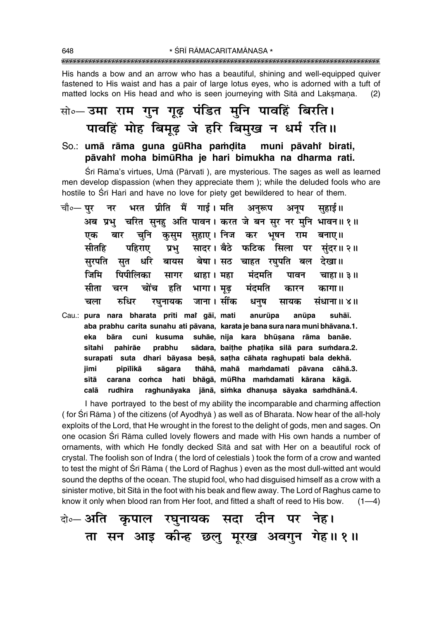His hands a bow and an arrow who has a beautiful, shining and well-equipped quiver fastened to His waist and has a pair of large lotus eyes, who is adorned with a tuft of matted locks on His head and who is seen journeying with Sītā and Laksmana.  $(2)$ 

## सो०-उमा राम गुन गूढ़ पंडित मुनि पावहिं बिरति। पावहिं मोह बिमूढ़ जे हरि बिमुख न धर्म रति॥

### So.: umā rāma guna gūRha pamdita muni pāvahi birati, pāvahi moha bimūRha je hari bimukha na dharma rati.

Śrī Rāma's virtues, Umā (Pārvatī), are mysterious. The sages as well as learned men develop dispassion (when they appreciate them); while the deluded fools who are hostile to Srī Hari and have no love for piety get bewildered to hear of them.

- चौ०— **प**र भरत प्रीति मैं गाई। मति नर अनुरूप सहाई ॥ अनुप अब प्रभु चरित सुनहु अति पावन । करत जे बन सुर नर मुनि भावन ॥ १ ॥ कुसुम सुहाए। निज कर भूषन राम बनाए॥ बार चनि एक सादर। बैठे फटिक सिला पर संदर॥२॥ सीतहि पहिराए प्रभु सरपति धरि बायस बेषा। सठ चाहत रघुपति बल देखा॥ सत जिमि पिपीलिका थाहा । महा मंदमति सागर पावन चाहा ॥ ३ ॥ चोंच हति सीता चरन भागा । मुढ मंदमति कारन कागा।। रुधिर रघनायक जाना । सींक चला धनुष सायक संधाना॥ ४॥
- Cau.: pura nara bharata prīti mai gāī, mati anurūpa anūpa suhāī. aba prabhu carita sunahu ati pāvana, karata je bana sura nara muni bhāvana.1. eka bāra cuni kusuma suhāe, nija kara bhūsana rāma banāe. sādara, baithe phatika silā para sumdara.2. sītahi pahirāe prabhu surapati suta dhari bāyasa besā, satha cāhata raghupati bala dekhā. jimi pipīlikā sāgara thāhā, mahā mamdamati pāvana cāhā.3. hati bhāgā, mūRha mamdamati kārana kāgā. sītā carana comca rudhira raghunāyaka jānā, sīmka dhanuṣa sāyaka samdhānā.4. calā

I have portrayed to the best of my ability the incomparable and charming affection (for Sri Rāma) of the citizens (of Ayodhyā) as well as of Bharata. Now hear of the all-holy exploits of the Lord, that He wrought in the forest to the delight of gods, men and sages. On one ocasion Srī Rāma culled lovely flowers and made with His own hands a number of ornaments, with which He fondly decked Sita and sat with Her on a beautiful rock of crystal. The foolish son of Indra (the lord of celestials) took the form of a crow and wanted to test the might of Sri Rama (the Lord of Raghus) even as the most dull-witted ant would sound the depths of the ocean. The stupid fool, who had disguised himself as a crow with a sinister motive, bit Sītā in the foot with his beak and flew away. The Lord of Raghus came to know it only when blood ran from Her foot, and fitted a shaft of reed to His bow.  $(1-4)$ 

को॰– अति कृपाल रघुनायक सदा दीन पर नेह। ता सन आइ कीन्ह छलु मूरख अवगुन गेह॥१॥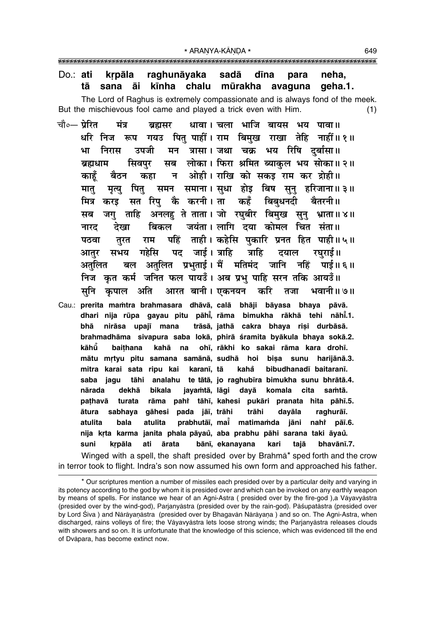#### $Do:$  ati krpāla raghunāyaka sadā dīna para neha, kīnha chalu mūrakha tā sana āi avaguna qeha.1.

The Lord of Raghus is extremely compassionate and is always fond of the meek. But the mischievous fool came and played a trick even with Him.  $(1)$ 

- चौ०— प्रेरित ਸ਼ੰਭ ब्रह्मसर धावा। चला भाजि बायस भय पावा॥ धरि निज रूप गयउ पित् पाहीं। राम बिमख राखा तेहि नाहीं॥१॥ निरास त्रासा। जथा चक्र भय रिषि दर्बासा॥ भा उपजी मन लोका। फिरा श्रमित ब्याकुल भय सोका॥२॥ ब्रह्मधाम सिवपुर सब ओही। राखि को सकइ राम कर द्रोही॥ काहँ बैठन न कहा पितु समन समाना। सुधा होइ बिष सुनु हरिजाना॥३॥ मात् मृत्यु मित्र करइ सत रिप् कै करनी।ता कहँ बिब्धनदी बैतरनी॥ ताहि अनलहु ते ताता । जो रघुबीर बिमुख सुनु भ्राता ॥४॥ जग सब जयंता। लागि दया कोमल चित संता॥ देखा बिकल नारद पहिं ताही। कहेसि पकारि प्रनत हित पाही॥५॥ राम पठवा तूरत सभय गहेसि पद जाई। त्राहि त्राहि रघराई॥ दयाल आतर अतलित प्रभताई। मैं मतिमंद जानि नहिं पाई॥६॥ अतलित बल कत कर्म जनित फल पायउँ। अब प्रभ पाहि सरन तकि आयउँ॥ निज सनि आरत बानी । एकनयन करि भवानी॥ ७॥ कपाल अति तजा
- Cau.: prerita mamtra brahmasara dhāvā, calā bhāji bāyasa bhaya pāvā. dhari nija rūpa gayau pitu pāhi, rāma bimukha rākhā tehi nāhi.1. bhā nirāsa upajī mana trāsā, jathā cakra bhaya risi durbāsā. brahmadhāma sivapura saba lokā, phirā śramita byākula bhaya sokā.2. kāhū ohī, rākhi ko sakai rāma kara drohī. baithana kahā na mātu mrtyu pitu samana samānā, sudhā hoi bisa sunu harijānā.3. mitra karai sata ripu kai karanī, tā bibudhanadī baitaranī. kahå saba iagu tāhi analahu te tātā, jo raghubīra bimukha sunu bhrātā.4. nārada dekhā bikala jayamtā, lāgi davā komala cita samtā. rāma pahi tāhī, kahesi pukāri pranata hita pāhī.5. pathavā turata ātura sabhaya gāhesi pada jāī, trāhi trāhi dayāla raghurāī. atulita bala atulita prabhutāi, mai matimamda jāni nahr pāi.6. nija krta karma janita phala pāyaů, aba prabhu pāhi sarana taki āyaů. ārata bānī, ekanayana suni krpāla ati kari taiā bhavānī.7.

Winged with a spell, the shaft presided over by Brahma\* sped forth and the crow in terror took to flight. Indra's son now assumed his own form and approached his father.

<sup>\*</sup> Our scriptures mention a number of missiles each presided over by a particular deity and varying in its potency according to the god by whom it is presided over and which can be invoked on any earthly weapon by means of spells. For instance we hear of an Agni-Astra (presided over by the fire-god), a Vāyavyāstra (presided over by the wind-god), Parjanyāstra (presided over by the rain-god). Pāśupatāstra (presided over by Lord Śiva) and Nārāyanāstra (presided over by Bhagavān Nārāyana) and so on. The Agni-Astra, when discharged, rains volleys of fire; the Vāyavyāstra lets loose strong winds; the Parjanyāstra releases clouds with showers and so on. It is unfortunate that the knowledge of this science, which was evidenced till the end of Dvāpara, has become extinct now.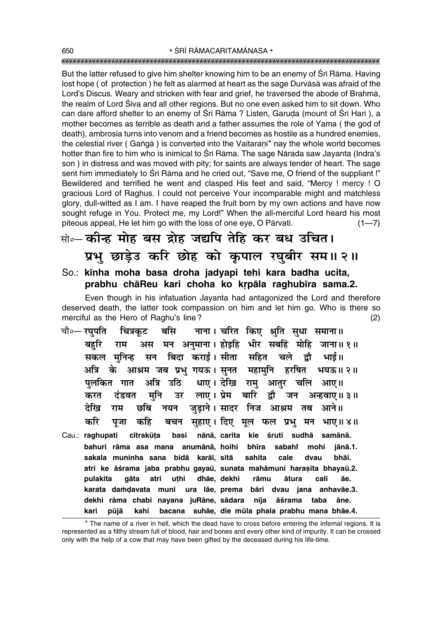But the latter refused to give him shelter knowing him to be an enemy of Srī Rāma. Having lost hope ( of protection ) he felt as alarmed at heart as the sage Durvåså was afraid of the Lord's Discus. Weary and stricken with fear and grief, he traversed the abode of Brahma, the realm of Lord Siva and all other regions. But no one even asked him to sit down. Who can dare afford shelter to an enemy of Srī Rāma ? Listen, Garuda (mount of Srī Hari), a mother becomes as terrible as death and a father assumes the role of Yama ( the god of death), ambrosia turns into venom and a friend becomes as hostile as a hundred enemies, the celestial river ( Gangã ) is converted into the Vaitaranī<sup>\*</sup> nay the whole world becomes hotter than fire to him who is inimical to Śrī Rāma. The sage Nārada saw Jayanta (Indra's son ) in distress and was moved with pity; for saints are always tender of heart. The sage sent him immediately to Śrī Rāma and he cried out, "Save me, O friend of the suppliant !" Bewildered and terrified he went and clasped His feet and said, "Mercy ! mercy ! O gracious Lord of Raghus. I could not perceive Your incomparable might and matchless glory, dull-witted as I am. I have reaped the fruit born by my own actions and have now sought refuge in You. Protect me, my Lord!" When the all-merciful Lord heard his most piteous appeal, He let him go with the loss of one eye, O Pārvatī.  $(1-\overline{7})$ 

## सो∘– कीन्ह मोह बस द्रोह जद्यपि तेहि कर बध उचित। प्रभु छाड़ेउ करि छोह को कृपाल रघुबीर सम॥२॥

So.: **k∂nha moha basa droha jadyapi tehi kara badha ucita,** prabhu chāReu kari choha ko krpāla raghubīra sama.2.

Even though in his infatuation Jayanta had antagonized the Lord and therefore deserved death, the latter took compassion on him and let him go. Who is there so merciful as the Hero of Raghu's line? (2)

- चौ०— रघुपति चित्रकुट बसि नाना । चरित किए श्रुति सुधा समाना ॥ ब<u>ह</u>रि राम अस मन अनुमाना। होइहि भीर सबहिं मोहि जाना॥१॥ सकल मनिन्ह सन बिदा कराई। सीता सहित चले द्वौ भाई॥ अत्रि के आश्रम जब प्रभु गयऊ। सुनत महामुनि हरषित भयऊ॥२॥ पुलकित गात अत्रि उठि धाए।**देखि राम् आतुर चलि आए**॥ करत दंडवत मुनि उर लाए।**प्रेम बारि द्वौ जन अन्हवाए॥३॥** देखि राम छबि नयन जुड़ाने।सादर निज आश्रम तब आने॥ र्कार पूजा कहि बचन सुहाए। दिए मूल फल प्रभु मन भाए॥४॥
- Cau.: **raghupati citrakµu¢a basi nånå, carita kie ‹ruti sudhå samånå. bahuri rāma asa mana anumānā, hoihi bhīra sabaht mohi jånå.1. sakala muninha sana bidå karå∂, s∂tå sahita cale dvau bhå∂.** atri ke āśrama jaba prabhu gayaū, sunata mahāmuni harașita bhayaū.2. **pulakita gåta atri u¢hi dhåe, dekhi råmu åtura cali åe. karata da≈Œavata muni ura låe, prema båri dvau jana anhavåe.3. dekhi råma chabi nayana juRåne, sådara nija å‹rama taba åne. kari pµujå kahi bacana suhåe, die mµula phala prabhu mana bhåe.4.**

\* The name of a river in hell, which the dead have to cross before entering the infernal regions. It is represented as a filthy stream full of blood, hair and bones and every other kind of impurity. It can be crossed only with the help of a cow that may have been gifted by the deceased during his life-time.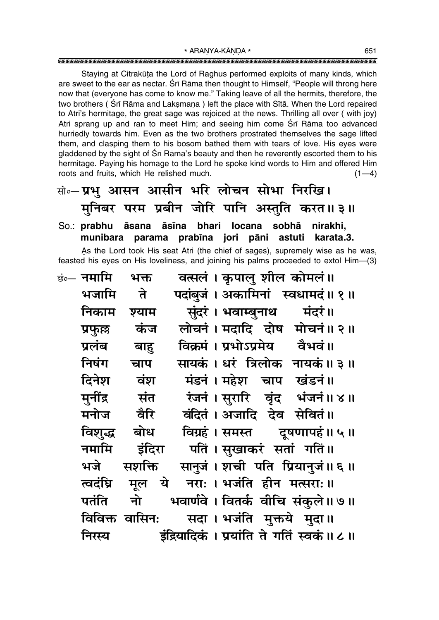Staying at Citrakūta the Lord of Raghus performed exploits of many kinds, which are sweet to the ear as nectar. Srī Rāma then thought to Himself, "People will throng here now that (everyone has come to know me." Taking leave of all the hermits, therefore, the two brothers (Srī Rāma and Laksmana) left the place with Sītā. When the Lord repaired to Atri's hermitage, the great sage was rejoiced at the news. Thrilling all over (with joy) Atri sprang up and ran to meet Him; and seeing him come Srī Rāma too advanced hurriedly towards him. Even as the two brothers prostrated themselves the sage lifted them, and clasping them to his bosom bathed them with tears of love. His eyes were gladdened by the sight of Sri Rama's beauty and then he reverently escorted them to his hermitage. Paying his homage to the Lord he spoke kind words to Him and offered Him roots and fruits, which He relished much.  $(1-4)$ 

सो०-प्रभु आसन आसीन भरि लोचन सोभा निरखि। मुनिबर परम प्रबीन जोरि पानि अस्तुति करत॥३॥ nirakhi, āsana āsīna bhari locana sobhā So.: **prabhu** 

munibara parama prabīna jori pāni astuti karata.3. As the Lord took His seat Atri (the chief of sages), supremely wise as he was,

feasted his eyes on His loveliness, and joining his palms proceeded to extol Him-(3)

| ङं⊶ <b>नमामि</b> | भक्त        | वत्सल । कृपालु शाल कोमल॥                 |  |
|------------------|-------------|------------------------------------------|--|
| भजामि            | ते          | पदांबुजं । अकामिनां स्वधामदं ॥ १ ॥       |  |
| निकाम            | श्याम       | सुंदरं । भवाम्बुनाथ संदरं ॥              |  |
| प्रफुल्ल कंज     |             | लोचनं । मदादि दोष मोचनं ॥ २ ॥            |  |
| प्रलंब           | बाहु        | विक्रमं । प्रभोऽप्रमेय वैभवं॥            |  |
| निषंग            | चाप         | सायकं । धरं त्रिलोक नायकं ॥ ३ ॥          |  |
| दिनेश वंश        |             | मंडनं । महेश चाप खंडनं ॥                 |  |
| मुनींद्र संत     |             | रंजनं । सुरारि वृंद भंजनं॥४॥             |  |
|                  | मनोज वैरि   | वंदितं । अजादि देव सेवितं ॥              |  |
|                  | विशुद्ध बोध | विग्रहं । समस्त दूषणापहं ॥ ५ ॥           |  |
| नमामि            | इंदिरा      | पतिं । सुखाकरं सतां गतिं॥                |  |
| भजे              | सशक्ति      | सानुजं । शची पति प्रियानुजं॥ ६॥          |  |
| त्वदंधि          |             | मूल ये नरा: । भजंति हीन मत्सरा: ॥        |  |
| पतंति            |             | नो भवार्णवे । वितर्क वीचि संकुले ॥ ७ ॥   |  |
|                  |             | विविक्त वासिन: सदा। भजंति मुक्तये मुदा॥  |  |
| निरस्य           |             | इंद्रियादिकं । प्रयांति ते गतिं स्वकं॥८॥ |  |
|                  |             |                                          |  |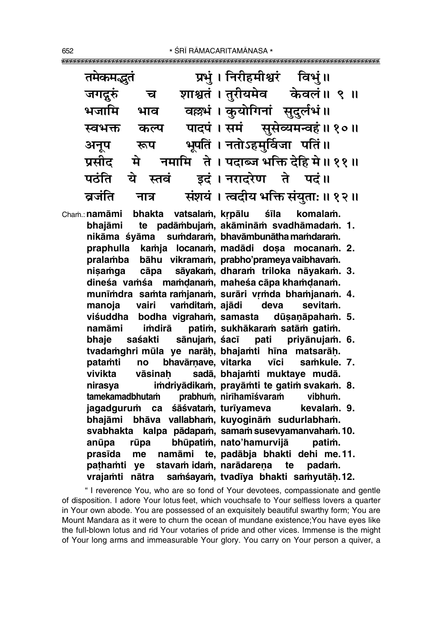| तमेकमद्भुतं |       | प्रभुं। निरीहमीश्वरं विभुं॥   |                                           |
|-------------|-------|-------------------------------|-------------------------------------------|
| जगद्गुरुं   | च     |                               | शाश्वतं । तुरीयमेव केवलं॥ ९ ॥             |
| भजामि       | भाव   | वल्लभं । कुयोगिनां सुदुर्लभं॥ |                                           |
| स्वभक्त     | कल्प  |                               | ्पादपं । समं सुसेव्यमन्वहं ॥ १० ॥         |
| अनूप        | रूप   | भूपतिं । नतोऽहमुर्विजा पतिं ॥ |                                           |
| प्रसीद      |       |                               | मे नमामि ते । पदाब्ज भक्ति देहि मे ॥ ११ ॥ |
| पठंति       |       | ये स्तवं इदं। नरादरेण ते पदं॥ |                                           |
| व्रजंति     | नात्र |                               | संशयं । त्वदीय भक्ति संयुता: ॥ १२ ॥       |

Cham.: namāmi bhakta vatsalam, krpālu śīla komalam. te padāmbujam, akāminām svadhāmadam. 1. bhaiāmi sumdaram, bhavāmbunātha mamdaram. nikāma śvāma kamja locanam, madādi dosa mocanam. 2. praphulla bāhu vikramam, prabho'prameya vaibhavam. pralamba nisaṁqa cāpa sāyakam, dharam triloka nāyakam. 3. dineśa vamśa mamdanam, maheśa cāpa khamdanam. munimdra samta ramjanam, surāri vrmda bhamjanam. 4. vamditam, ajādi manoia vairi deva sevitam. viśuddha bodha vigraham, samasta dūsanāpaham. 5. imdirā patim, sukhākaram satām gatim. namāmi sānujam, śacī saśakti bhaie pati priyānujam. 6. tvadamghri mūla ve narāh, bhajamti hīna matsarāh. patamti no bhavārnave, vitarka vīci samkule. 7. vivikta sadā, bhajamti muktaye mudā. vāsinah nirasva imdrivādikam, pravāmti te gatim svakam. 8. prabhum, nirīhamīśvaram tamekamadbhutam vibhum. jagadgurum ca śāśvatam, turīyameva kevalam, 9. bhajāmi bhāva vallabham, kuvoginām sudurlabham. svabhakta kalpa pādapam, samam susevyamanvaham. 10. anūpa rūpa bhūpatim, nato'hamurvijā patim. prasīda namāmi te, padābja bhakti dehi me.11. me stavam idam, narādarena pathamti ye te padam. vrajamti nātra samśayam, tvadīya bhakti samyutāh.12.

"I reverence You, who are so fond of Your devotees, compassionate and gentle of disposition. I adore Your lotus feet, which vouchsafe to Your selfless lovers a quarter in Your own abode. You are possessed of an exquisitely beautiful swarthy form; You are Mount Mandara as it were to churn the ocean of mundane existence; You have eyes like the full-blown lotus and rid Your votaries of pride and other vices. Immense is the might of Your long arms and immeasurable Your glory. You carry on Your person a quiver, a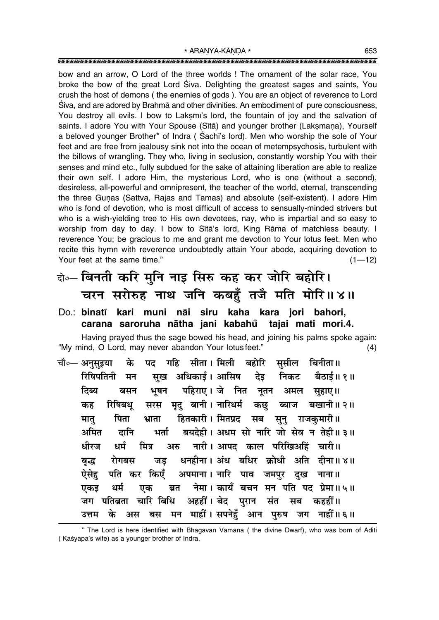""""""""""""""""""""""""""""""""""""""""""""""""""""""""""""""""""""""""""""""""""" \* ARANYA-KĀNDA \* 653

bow and an arrow, O Lord of the three worlds ! The ornament of the solar race, You broke the bow of the great Lord Siva. Delighting the greatest sages and saints, You crush the host of demons ( the enemies of gods ). You are an object of reverence to Lord Siva, and are adored by Brahmā and other divinities. An embodiment of pure consciousness, You destroy all evils. I bow to Laksmī's lord, the fountain of joy and the salvation of saints. I adore You with Your Spouse (Sītā) and younger brother (Laksmana), Yourself a beloved younger Brother\* of Indra ( Śachī's lord). Men who worship the sole of Your feet and are free from jealousy sink not into the ocean of metempsychosis, turbulent with the billows of wrangling. They who, living in seclusion, constantly worship You with their senses and mind etc., fully subdued for the sake of attaining liberation are able to realize their own self. I adore Him, the mysterious Lord, who is one (without a second), desireless, all-powerful and omnipresent, the teacher of the world, eternal, transcending the three Gunas (Sattva, Rajas and Tamas) and absolute (self-existent). I adore Him who is fond of devotion, who is most difficult of access to sensually-minded strivers but who is a wish-yielding tree to His own devotees, nay, who is impartial and so easy to worship from day to day. I bow to Sītā's lord, King Rāma of matchless beauty. I reverence You; be gracious to me and grant me devotion to Your lotus feet. Men who recite this hymn with reverence undoubtedly attain Your abode, acquiring devotion to Your feet at the same time."  $(1-12)$ 

## दो**0 विनती करि मुनि नाइ सिरु कह कर जोरि बहोरि। चरन सरोरुह नाथ जनि कबहुँ तजै मति मोरि।। ४।।**

### Do.: **binat∂ kari muni nåi siru kaha kara jori bahori, carana saroruha nåtha jani kabahu tajai mati mori.4. °**

Having prayed thus the sage bowed his head, and joining his palms spoke again: ìMy mind, O Lord, may never abandon Your lotus feet.î (4)

चौ०— अनुसुइया के पद गहि सीता। मिली बहोरि सुसील बिनीता॥ रिषिपतिनी मन सख अधिकाई।अासिष देइ निकट बैठाई॥१॥ दिब्य बसन भूषन पहिराए।जे नित नूतन अमल सुहाए॥ ेकह रिषिबध् सरस मृद् बानी। नारिधर्म कछ ब्याज बखानी॥ २॥ <u>मात् पिता भ्राता हितकारी । मितप्रद सब सन् राजकमारी ।।</u> अमित दानि भर्ता बयदेही। अधम सो नारि जो सेव न तेही॥ ३॥ धीरज धर्म मित्र अरु नारी। आपद काल परिखिअहिं चारी॥ बद्ध रोगबस जड धनहीना। अंध बधिर क्रोधी अति दीना॥ ४॥ ऐसेह पति कर किएँ अपमाना। नारि पाव जमपुर दख नाना॥ एकइ धर्म एक ब्रत नेमा। कायँ बचन मन पति पद प्रेमा॥५॥ जग पतिब्रता चारि बिधि अहहीं। बेद पुरान संत सब कहहीं॥ उत्तम के अस बस मन माहीं।**सपनेहँ आन पुरुष जग नाहीं॥६॥** 

<sup>\*</sup> The Lord is here identified with Bhagavån Våmana ( the divine Dwarf), who was born of Aditi ( Kaśyapa's wife) as a younger brother of Indra.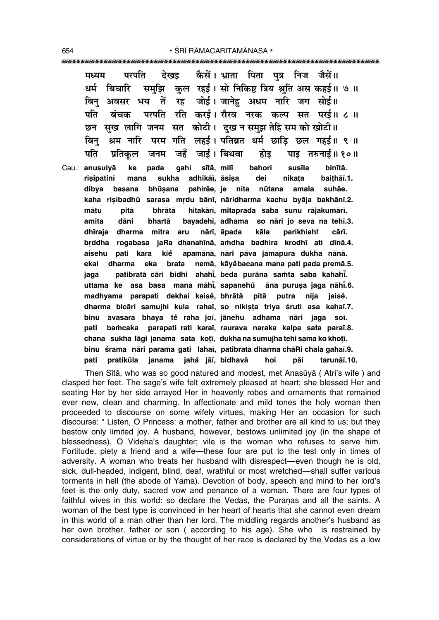|       | मध्यम परपति देखइ कैसें।श्राता पिता पुत्र निज जैसें॥                       |
|-------|---------------------------------------------------------------------------|
|       | धर्म बिचारि समुझि कुल रहई। सो निकिष्ट त्रिय श्रुति अस कहई॥ ७ ॥            |
|       | बिनु अवसर भय तें रह जोई। जानेहु अधम नारि जग सोई॥                          |
|       | बंचक परपति रति करई। रौरव नरक कल्प सत परई॥ ८ ॥<br>पति                      |
|       | सुख लागि जनम सत कोटी। दुख न समुझ तेहि सम को खोटी॥<br>छन                   |
|       | बिनु श्रम नारि परम गति लहई। पतिब्रत धर्म छाड़ि छल गहई॥ ९ ॥                |
|       | प्रतिकृल जनम जहँ जाई। बिधवा होइ पाइ तरुनाई॥ १०॥<br>पति                    |
| Cau.: | gahi sītā, milī  bahori<br>binītā.<br>anusuiyā ke<br>pada<br>susīla       |
|       | rișipatinī<br>mana sukha adhikāī, āsisa dei<br>nikaṭa<br>baithāī.1.       |
|       | basana bhūṣana pahirāe, je nita nūtana amala suhāe.<br>dibya              |
|       | kaha rişibadhū sarasa mrdu bānī, nāridharma kachu byāja bakhānī.2.        |
|       | hitakārī, mitaprada saba sunu rājakumārī.<br>mātu<br>pitā<br>bhrātā       |
|       | bhartā bayadehī, adhama so nāri jo seva na tehī.3.<br>amita<br>dāni       |
|       | nārī, āpada kāla<br>dharma mitra<br>aru<br>parikhiahr<br>cārī.<br>dhīraja |
|       | brddha rogabasa jaRa dhanahīnā, amdha badhira krodhī ati dīnā.4.          |
|       | aisehu<br>pati kara kie apamānā, nāri pāva jamapura dukha nānā.           |
|       | dharma eka brata<br>ekai<br>nemā, kāyåbacana mana pati pada premā.5.      |
|       | patibratā cāri bidhi ahahi, beda purāna samta saba kahahi.<br>jaga        |
|       | uttama ke asa basa mana māhī, sapanehů āna puruṣa jaga nāhī.6.            |
|       | madhyama parapati dekhai kaisė, bhrātā pitā<br>nija jaisė.<br>putra       |
|       | dharma bicāri samujhi kula rahaī, so nikista triya śruti asa kahaī.7.     |
|       | avasara bhaya tě raha joī, jānehu adhama nāri jaga<br>binu<br>soī.        |
|       | pati bamcaka parapati rati karaī, raurava naraka kalpa sata paraī.8.      |
|       | chana sukha lāgi janama sata kotī, dukha na sumujha tehi sama ko khotī.   |
|       | binu śrama nāri parama gati lahaī, patibrata dharma chāRi chala gahaī.9.  |
|       | pratikūla janama jahå jāī, bidhavā<br>hoi<br>tarunāī.10.<br>pati<br>pāi   |

Then Sita, who was so good natured and modest, met Anasūya (Atri's wife) and clasped her feet. The sage's wife felt extremely pleased at heart; she blessed Her and seating Her by her side arrayed Her in heavenly robes and ornaments that remained ever new, clean and charming. In affectionate and mild tones the holy woman then proceeded to discourse on some wifely virtues, making Her an occasion for such discourse: "Listen, O Princess: a mother, father and brother are all kind to us; but they bestow only limited joy. A husband, however, bestows unlimited joy (in the shape of blessedness), O Videha's daughter; vile is the woman who refuses to serve him. Fortitude, piety a friend and a wife—these four are put to the test only in times of adversity. A woman who treats her husband with disrespect—even though he is old, sick, dull-headed, indigent, blind, deaf, wrathful or most wretched—shall suffer various torments in hell (the abode of Yama). Devotion of body, speech and mind to her lord's feet is the only duty, sacred vow and penance of a woman. There are four types of faithful wives in this world: so declare the Vedas, the Puranas and all the saints. A woman of the best type is convinced in her heart of hearts that she cannot even dream in this world of a man other than her lord. The middling regards another's husband as her own brother, father or son (according to his age). She who is restrained by considerations of virtue or by the thought of her race is declared by the Vedas as a low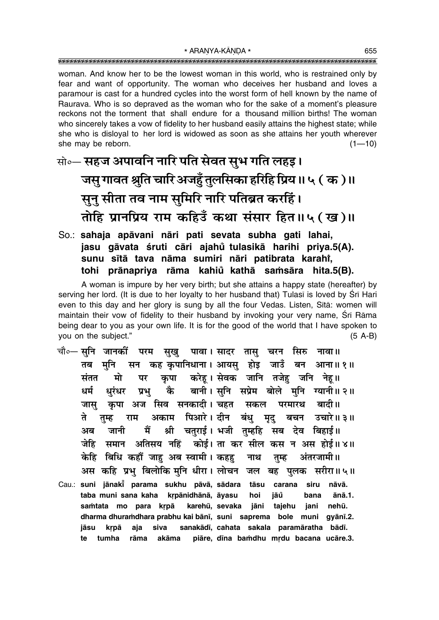woman. And know her to be the lowest woman in this world, who is restrained only by fear and want of opportunity. The woman who deceives her husband and loves a paramour is cast for a hundred cycles into the worst form of hell known by the name of Raurava. Who is so depraved as the woman who for the sake of a moment's pleasure reckons not the torment that shall endure for a thousand million births! The woman who sincerely takes a vow of fidelity to her husband easily attains the highest state; while she who is disloyal to her lord is widowed as soon as she attains her youth wherever she may be reborn.  $(1 - 10)$ 

# सो॰— सहज अपावनि नारि पति सेवत सुभ गति लहड़। जसु गावत श्रुति चारि अजहँ तुलसिका हरिहि प्रिय॥५ ( क )॥ सूनु सीता तव नाम सुमिरि नारि पतिब्रत करहिं। तोहि प्रानप्रिय राम कहिउँ कथा संसार हित॥५ (ख)॥

So.: sahaja apāvani nāri pati sevata subha gati lahai, jasu gāvata śruti cāri ajahů tulasikā harihi priya.5(A). sunu sītā tava nāma sumiri nāri patibrata karahi, tohi prānapriya rāma kahiů kathā samsāra hita.5(B).

A woman is impure by her very birth; but she attains a happy state (hereafter) by serving her lord. (It is due to her loyalty to her husband that) Tulasi is loved by Sri Hari even to this day and her glory is sung by all the four Vedas. Listen, Sita: women will maintain their vow of fidelity to their husband by invoking your very name, Srī Rāma being dear to you as your own life. It is for the good of the world that I have spoken to you on the subject."  $(5 A-B)$ 

- चौ∘— सुनि जानकीं परम सुखु पावा । सादर तासु चरन सिरु नावा॥ तब मुनि सन कह कुपानिधाना। आयसु होइ जाउँ बन आना॥१॥ कपा करेह।सेवक जानि तजेह जनि नेह॥ संतत मो पर कै बानी। सुनि सप्रेम बोले मुनि ग्यानी॥ २॥ धर्म धरंधर प्रभु कृपा अज सिव सनकादी। चहत सकल परमारथ बादी॥ जास अकाम पिआरे।दीन बंधु मृदु बचन ते तम्ह राम उचारे॥ ३॥ मैं श्री चतुराई। भजी तुम्हहि सब देव बिहाई॥ जानी अब समान अतिसय नहिं कोई। ता कर सील कस न अस होई॥४॥ जेहि केहि बिधि कहौं जाहु अब स्वामी। कहहु नाथ तम्ह अंतरजामी ॥ अस कहि प्रभु बिलोकि मुनि धीरा। लोचन जल बह पुलक सरीरा॥ ५॥
- Cau.: suni jānaki parama sukhu pāvā, sādara tāsu nāvā. carana siru taba muni sana kaha krpānidhānā, āyasu hoi jāů bana ānā.1. samtata mo para krpā karehū, sevaka jāni nehū. tajehu iani dharma dhuramdhara prabhu kai bānī, suni saprema bole muni gyānī.2. jāsu krpā aja siva sanakādī, cahata sakala paramāratha bādī. piāre, dīna bamdhu mrdu bacana ucāre.3. te tumha rāma akāma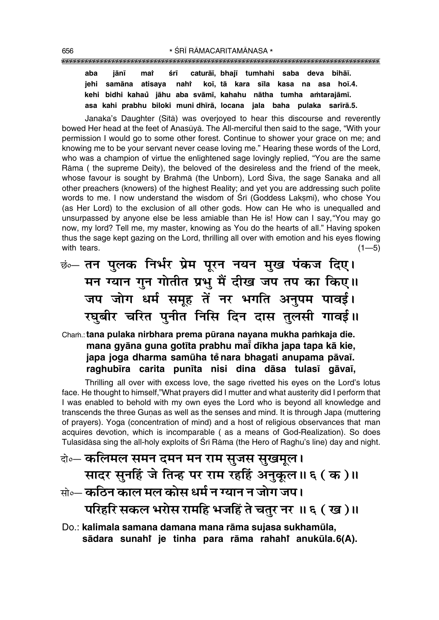**aba jån∂ maiÚ ‹r∂ caturå∂, bhaj∂ tumhahi saba deva bihå∂. jehi samåna atisaya nahiÚ ko∂, tå kara s∂la kasa na asa ho∂.4. kehi bidhi kahau jåhu aba svåm∂, ° kahahu nåtha tumha a≈tarajåm∂. asa kahi prabhu biloki muni dh∂rå, locana jala baha pulaka sar∂rå.5.**

Janaka's Daughter (Sītā) was overjoyed to hear this discourse and reverently bowed Her head at the feet of Anasūyā. The All-merciful then said to the sage, "With your permission I would go to some other forest. Continue to shower your grace on me; and knowing me to be your servant never cease loving me.î Hearing these words of the Lord, who was a champion of virtue the enlightened sage lovingly replied, "You are the same Råma ( the supreme Deity), the beloved of the desireless and the friend of the meek, whose favour is sought by Brahma (the Unborn), Lord Siva, the sage Sanaka and all other preachers (knowers) of the highest Reality; and yet you are addressing such polite words to me. I now understand the wisdom of Śrī (Goddess Lakṣmī), who chose You (as Her Lord) to the exclusion of all other gods. How can He who is unequalled and unsurpassed by anyone else be less amiable than He is! How can I say, "You may go now, my lord? Tell me, my master, knowing as You do the hearts of all." Having spoken thus the sage kept gazing on the Lord, thrilling all over with emotion and his eyes flowing with tears.  $(1-5)$ 

**छं०— तन पुलक निर्भर प्रेम पूरन नयन मुख पंकज दिए। मन ग्यान गुन गोतीत प्रभु मैं दीख जप तप का किए।।** जप जोग धर्म समूह तें नर भगति अनुपम पावई। *र*घुबीर चरित पुनीत निसि दिन दास तुलसी गावई।।

Cham.**:** tana pulaka nirbhara prema pūrana nayana mukha pamkaja die. **mana gyåna guna got∂ta prabhu ma∂° d∂kha japa tapa kå kie,** japa joga dharma samūha te nara bhagati anupama pāvaī. **raghub∂ra carita pun∂ta nisi dina dåsa tulas∂ gåva∂,**

Thrilling all over with excess love, the sage rivetted his eyes on the Lord's lotus face. He thought to himself,"What prayers did I mutter and what austerity did I perform that I was enabled to behold with my own eyes the Lord who is beyond all knowledge and transcends the three Gunas as well as the senses and mind. It is through Japa (muttering of prayers). Yoga (concentration of mind) and a host of religious observances that man acquires devotion, which is incomparable ( as a means of God-Realization). So does Tulasīdāsa sing the all-holy exploits of Śrī Rāma (the Hero of Raghu's line) day and night.

- दो**०– कलिमल समन दमन मन राम सुजस सुखमूल।** सादर सुनहिं जे तिन्ह पर राम रहहिं अनुकूल॥६ ( क )॥ सो**⊙— कठिन काल मल कोस धर्म न ग्यान न जोग जप।** परिहरि सकल भरोस रामहि भजहिं ते चतुर नर**ा। ६ (**ख)॥
- Do.: kalimala samana damana mana rāma sujasa sukhamūla, **sådara sunahiÚ je tinha para råma rahahiÚ anukµula.6(A).**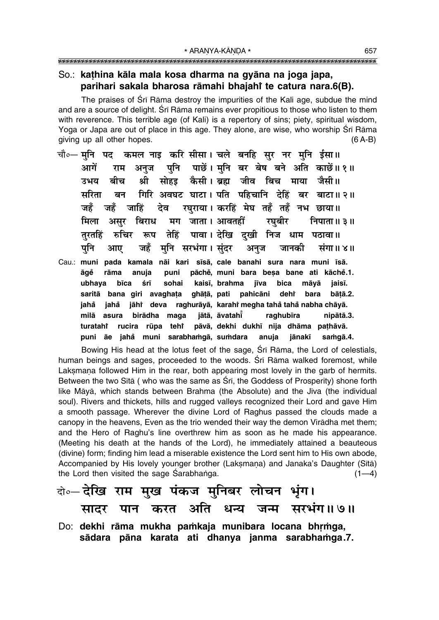### So.: kathina kāla mala kosa dharma na gyāna na joga japa, parihari sakala bharosa rāmahi bhajahi te catura nara.6(B).

The praises of Sri Rama destroy the impurities of the Kali age, subdue the mind and are a source of delight. Srī Rāma remains ever propitious to those who listen to them with reverence. This terrible age (of Kali) is a repertory of sins; piety, spiritual wisdom, Yoga or Japa are out of place in this age. They alone, are wise, who worship Srī Rāma giving up all other hopes.  $(6A-B)$ 

- चौ∘— मनि पद कमल नाइ करि सीसा। चले बनहि सर नर मनि ईसा॥ पनि पाछें। मनि बर बेष बने अति काछें॥ १॥ आगें राम अनज श्री सोहड कैसी।ब्रह्म जीव बिच माया जैसी॥ बीच उभय सरिता गिरि अवघट घाटा। पति पहिचानि देहिं बर बाटा॥२॥ बन देव रघुराया। करहिं मेघ तहँ तहँ नभ छाया॥ जहँ जहँ जाहिं असुर बिराध मग जाता। आवतहीं मिला रघबीर निपाता ॥ ३ ॥ रुचिर रूप तेहिं पावा।देखि दखी निज धाम पठावा॥ तरतहिं पनि जहँ मुनि सरभंगा। सुंदर अनुज जानकी आए संगा॥ ४॥
- Cau.: muni pada kamala nāi kari sīsā, cale banahi sura nara muni īsā. pāchě, muni bara besa bane ati kāchě.1. āqě rāma anuja puni ubhava bīca śrī sohai kaisī brahma iīva bica māvā iaisī. saritā bana giri avaghata ghāṭā, pati pahicāni deht bara bātā.2. jahå jāhi deva raghurāyā, karahi megha tahå tahå nabha chāyā. jahå milā asura birādha maga jātā, āvatahī raghubīra nipātā.3. rucira rūpa teht pāvā, dekhi dukhī nija dhāma pathāvā. turatahi puni āe jahå muni sarabhamgā, sumdara anuja jānakī samqā.4.

Bowing His head at the lotus feet of the sage, Sri Rama, the Lord of celestials, human beings and sages, proceeded to the woods. Srī Rāma walked foremost, while Laksmana followed Him in the rear, both appearing most lovely in the garb of hermits. Between the two Sita (who was the same as Sri, the Goddess of Prosperity) shone forth like Māyā, which stands between Brahma (the Absolute) and the Jīva (the individual soul). Rivers and thickets, hills and rugged valleys recognized their Lord and gave Him a smooth passage. Wherever the divine Lord of Raghus passed the clouds made a canopy in the heavens, Even as the trio wended their way the demon Viradha met them; and the Hero of Raghu's line overthrew him as soon as he made his appearance. (Meeting his death at the hands of the Lord), he immediately attained a beauteous (divine) form; finding him lead a miserable existence the Lord sent him to His own abode, Accompanied by His lovely younger brother (Laksmana) and Janaka's Daughter (Sita) the Lord then visited the sage Sarabhanga.  $(1-4)$ 

- बो०-देखि राम मुख पंकज मुनिबर लोचन भूंग। सादर पान करत अति धन्य जन्म सरभंग॥७॥ Do: dekhi rāma mukha pamkaja munibara locana bhrmga,
	- sādara pāna karata ati dhanya janma sarabhamga.7.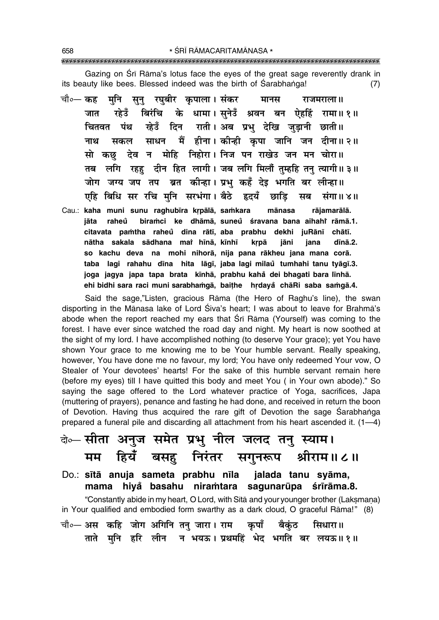Gazing on Srī Rāma's lotus face the eyes of the great sage reverently drank in its beauty like bees. Blessed indeed was the birth of Sarabhanga!  $(7)$ 

- मनि चौ०— कह सन रघबीर कपाला।संकर मानस राजमराला ॥ बिरंचि के धामा। सनेउँ श्रवन बन ऐहहिं रामा॥१॥ रहेउँ जात रहेउँ दिन राती। अब प्रभु देखि जुड़ानी छाती॥ चितवत पंथ सकल साधन मैं हीना।कीन्ही कपा जानि जन दीना॥२॥ नाथ सो कछ देव न मोहि निहोरा। निज पन राखेउ जन मन चोरा॥ तब लगि रहह दीन हित लागी। जब लगि मिलौं तुम्हहि तन् त्यागी ।। ३ ।। जोग जग्य जप तप ब्रत कीन्हा। प्रभु कहँ देइ भगति बर लीन्हा॥ एहि बिधि सर रचि मनि सरभंगा। बैठे हृदयँ छाडि सब संगा॥४॥
- Cau.: kaha muni sunu raghubīra krpālā, samkara mānasa rājamarālā. iāta raheů biramci ke dhāmā, suneu śravana bana aihahi rāmā.1. citavata pamtha raheů dina rātī, aba prabhu dekhi juRānī chātī. nātha sakala sādhana mai hīnā, kīnhī krpā jāni jana dīnā.2. so kachu deva na mohi nihorā, nija pana rākheu jana mana corā. taba lagi rahahu dīna hita lāgī, jaba lagi milaŭ tumhahi tanu tyāgī.3. joga jagya japa tapa brata kīnhā, prabhu kahå dei bhagati bara līnhā. ehi bidhi sara raci muni sarabhamgā, baithe hrdaya chā Ri saba samgā.4.

Said the sage,"Listen, gracious Rāma (the Hero of Raghu's line), the swan disporting in the Mānasa lake of Lord Śiva's heart; I was about to leave for Brahmā's abode when the report reached my ears that Sri Rama (Yourself) was coming to the forest. I have ever since watched the road day and night. My heart is now soothed at the sight of my lord. I have accomplished nothing (to deserve Your grace); yet You have shown Your grace to me knowing me to be Your humble servant. Really speaking, however, You have done me no favour, my lord; You have only redeemed Your vow, O Stealer of Your devotees' hearts! For the sake of this humble servant remain here (before my eyes) till I have quitted this body and meet You ( in Your own abode)." So saying the sage offered to the Lord whatever practice of Yoga, sacrifices, Japa (muttering of prayers), penance and fasting he had done, and received in return the boon of Devotion. Having thus acquired the rare gift of Devotion the sage Sarabhanga prepared a funeral pile and discarding all attachment from his heart ascended it. (1-4)

### के—सीता अनुज समेत प्रभु नील जलद तनु स्याम। मम हियँ बसह निरंतर सगुनरूप श्रीराम॥८॥ Do.: sītā anuja sameta prabhu nīla jalada tanu syāma, mama hiyå basahu niramtara sagunarūpa śrīrāma.8. "Constantly abide in my heart, O Lord, with Sita and your younger brother (Laksmana) in Your qualified and embodied form swarthy as a dark cloud, O graceful Rāma!" (8) चौ०— अस कहि जोग अगिनि तनु जारा। राम कपाँ बैकुंठ सिधारा॥ ताते मुनि हरि लीन न भयऊ। प्रथमहिं भेद भगति बर लयऊ॥१॥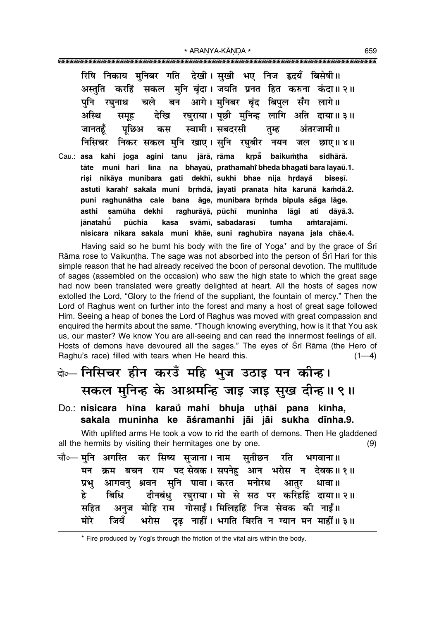\* ARANYA-KĀNDA \* 

रिषि निकाय मनिबर गति देखी।सखी भए निज हृदयँ बिसेषी॥ अस्तति करहिं सकल मनि बंदा। जयति प्रनत हित करुना कंदा॥२॥ बन आगे। मनिबर बंद बिपल सँग लागे॥ पनि रघनाथ चले रघराया। पछी मनिन्ह लागि अति दाया॥३॥ अस्थि देखि समह स्वामी। सबदरसी जानतहँ पछिअ कस अंतरजामी ॥ तम्ह निसिचर निकर सकल मुनि खाए। सुनि रघुबीर नयन जल छाए॥ ४॥ krpå baikumtha Cau.: asa kahi joga agini tanu jārā, rāma sidhārā. tāte muni hari līna na bhayaū, prathamahi bheda bhagati bara layaū.1. risi nikāya munibara gati dekhī, sukhī bhae nija hrdayå bisesī. astuti karahi sakala muni brmdā, jayati pranata hita karunā kamdā.2. puni raghunātha cale bana āge, munibara brmda bipula såga lāge. samūha dekhi raghurāyā, pūchī muninha lāgi asthi ati dāvā.3. jānatahū pūchia svāmī, sabadarasī kasa tumha amtarajāmī. nisicara nikara sakala muni khāe, suni raghubīra nayana jala chāe.4.

Having said so he burnt his body with the fire of Yoga\* and by the grace of Sri Rāma rose to Vaikuntha. The sage was not absorbed into the person of Srī Hari for this simple reason that he had already received the boon of personal devotion. The multitude of sages (assembled on the occasion) who saw the high state to which the great sage had now been translated were greatly delighted at heart. All the hosts of sages now extolled the Lord, "Glory to the friend of the suppliant, the fountain of mercy." Then the Lord of Raghus went on further into the forest and many a host of great sage followed Him. Seeing a heap of bones the Lord of Raghus was moved with great compassion and enquired the hermits about the same. "Though knowing everything, how is it that You ask us, our master? We know You are all-seeing and can read the innermost feelings of all. Hosts of demons have devoured all the sages." The eyes of Sri Rama (the Hero of Raghu's race) filled with tears when He heard this.  $(1-4)$ 

## के- निसिचर हीन करउँ महि भुज उठाइ पन कीन्ह। सकल मुनिन्ह के आश्रमन्हि जाइ जाइ सुख दीन्ह।। ९॥

### Do.: nisicara hīna karaŭ mahi bhuja uthāi pana kīnha, sakala muninha ke āśramanhi jāi jāi sukha dīnha.9.

With uplifted arms He took a vow to rid the earth of demons. Then He gladdened all the hermits by visiting their hermitages one by one.  $(9)$ 

|  | चौ∘— मुनि  अगस्ति   कर  सिष्य  सुजाना । नाम    सुतीछन    रति    भगवाना॥ |  |                                                           |
|--|-------------------------------------------------------------------------|--|-----------------------------------------------------------|
|  |                                                                         |  | मन क्रम बचन राम पदसेवक।सपनेह आन भरोस न देवक॥१॥            |
|  | प्रभु आगवनु श्रवन सुनि पावा।करत मनोरथ आतुर धावा॥                        |  |                                                           |
|  |                                                                         |  | हे बिधि दीनबंध रघुराया। मो से सठ पर करिहर्हि दाया॥२॥      |
|  | सहित अनुज मोहि राम गोसाईं। मिलिहहिं निज सेवक की नाईं॥                   |  |                                                           |
|  |                                                                         |  | मोरे जियँ भरोस दृढ़ नाहीं। भगति बिरति न ग्यान मन माहीं॥३॥ |

\* Fire produced by Yogis through the friction of the vital airs within the body.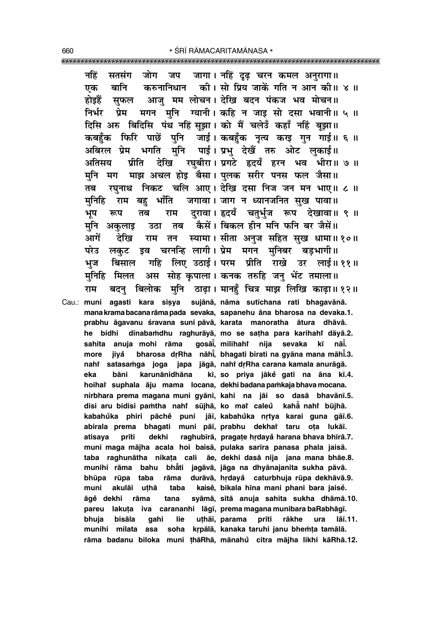नहिं सतसंग जोग जप जागा। नहिं दृढ़ चरन कमल अनुरागा॥ एक बानि करुनानिधान की। सो प्रिय जाकें गति न आन की॥ ४ ॥ आज मम लोचन। देखि बदन पंकज भव मोचन॥ होडहैं सफल निर्भर प्रेम मगन मनि ग्यानी।कहिन जाड़ सो दसा भवानी॥ ५ ॥ दिसि अरु बिदिसि पंथ नहिं सझा। को मैं चलेउँ कहाँ नहिं बझा॥ कबहुँक फिरि पाछें पुनि जाई।कबहुँक नृत्य कख़ गुन गाई॥६॥ अबिरल प्रेम भगति मुनि पाई। प्रभु देखैं तरु ओट लुकाई॥ ग्रीति देखि रघबीरा।प्रगटे हृदयँ हरन भव भीरा॥७॥ अतिसय मुनि मग माझ अचल होइ बैसा। पुलक सरीर पनस फल जैसा॥ रघनाथ निकट चलि आए। देखि दसा निज जन मन भाए॥ ८ ॥ तब मनिहि राम बह भाँति जगावा । जाग न ध्यानजनित सख पावा ॥ दरावा । हृदयँ चतुर्भुज रूप देखावा॥ ९ ॥ भूप रूप तब राम उठा तब कैसें। बिकल हीन मनि फनि बर जैसें॥ मनि अकलाइ राम तन स्यामा। सीता अनज सहित सख धामा॥१०॥ आगें देखि परेउ लकट इव चरनन्हि लागी।ग्रेम मगन मुनिबर बडभागी॥ ्बिसाल गहि लिए उठाई। परम प्रीति राखे उर लाई॥११॥ भज मनिहि मिलत अस सोह कपाला। कनक तरुहि जन भेंट तमाला॥ बदनु बिलोक मुनि ठाढ़ा। मानहुँ चित्र माझ लिखि काढ़ा॥१२॥ राम

Cau.: muni agasti kara sişya sujānā, nāma sutīchana rati bhagavānā. mana krama bacana rāma pada sevaka, sapanehu āna bharosa na devaka.1. prabhu āgavanu śravana suni pāvā, karata manoratha ātura dhāvā. he bidhi dīnabamdhu raghurāyā, mo se satha para karihahi dāyā.2. sahita anuja mohi rāma gosāi, milihaht nija sevaka kī nāi. more jiyå bharosa drRha nāhi, bhagati birati na gyāna mana māhi.3. nahi satasamga joga japa jāgā, nahi drRha carana kamala anurāgā. bāni eka hoihai suphala āju mama locana, dekhi badana pamkaja bhava mocana. nirbhara prema magana muni gyānī, kahi na jāi so dasā bhavānī.5. disi aru bidisi pamtha nahi sūjhā, ko mai caleů kahå nahi būjhā. kabahůka phiri pāchě puni jāī, kabahůka nrtya karai guna gāī.6. abirala prema bhagati muni pāī, prabhu dekhar taru ota lukāī. atisava prīti dekhi muni maga mājha acala hoi baisā, pulaka sarīra panasa phala jaisā. taba raghunātha nikata cali āe, dekhi dasā nija jana mana bhāe.8. munihi rāma bahu bhāti jagāvā, jāga na dhyānajanita sukha pāvā. bhūpa rūpa taba rāma durāvā, hrdayå caturbhuja rūpa dekhāvā.9. muni akulāi uthā taba āge dekhi rāma pareu lakuta iva carananhi lāgī, prema magana munibara baRabhāgī. bhuja bisāla gahi munihi milata asa soha krpālā, kanaka taruhi janu bhemta tamālā. rāma badanu biloka muni thāRhā, mānahů citra mājha likhi kāRhā.12.

karunānidhāna kī, so priya jāke gati na āna kī.4. raghubīrā, pragate hrdayå harana bhava bhīrā.7. kaisě, bikala hīna mani phani bara jaisě. tana syāmā, sītā anuja sahita sukha dhāmā.10. lie uthāī, parama prīti rākhe ura lāī.11.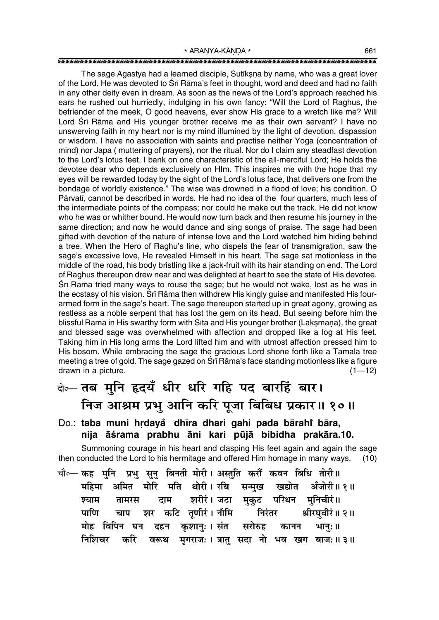### """""""""""""""""""""""""""""""""""""""""""""""""""""""""""""""""""""""""""""""""""

The sage Agastya had a learned disciple, Sutīksna by name, who was a great lover of the Lord. He was devoted to Śrī Rāma's feet in thought, word and deed and had no faith in any other deity even in dream. As soon as the news of the Lord's approach reached his ears he rushed out hurriedly, indulging in his own fancy: "Will the Lord of Raghus, the befriender of the meek, O good heavens, ever show His grace to a wretch like me? Will Lord Srī Rāma and His younger brother receive me as their own servant? I have no unswerving faith in my heart nor is my mind illumined by the light of devotion, dispassion or wisdom. I have no association with saints and practise neither Yoga (concentration of mind) nor Japa ( muttering of prayers), nor the ritual. Nor do I claim any steadfast devotion to the Lordís lotus feet. I bank on one characteristic of the all-merciful Lord; He holds the devotee dear who depends exclusively on HIm. This inspires me with the hope that my eyes will be rewarded today by the sight of the Lord's lotus face, that delivers one from the bondage of worldly existence." The wise was drowned in a flood of love; his condition. O Pārvatī, cannot be described in words. He had no idea of the four quarters, much less of the intermediate points of the compass; nor could he make out the track. He did not know who he was or whither bound. He would now turn back and then resume his journey in the same direction; and now he would dance and sing songs of praise. The sage had been gifted with devotion of the nature of intense love and the Lord watched him hiding behind a tree. When the Hero of Raghu's line, who dispels the fear of transmigration, saw the sage's excessive love, He revealed Himself in his heart. The sage sat motionless in the middle of the road, his body bristling like a jack-fruit with its hair standing on end. The Lord of Raghus thereupon drew near and was delighted at heart to see the state of His devotee. Srī Rāma tried many ways to rouse the sage; but he would not wake, lost as he was in the ecstasy of his vision. Śrī Rāma then withdrew His kingly guise and manifested His fourarmed form in the sage's heart. The sage thereupon started up in great agony, growing as restless as a noble serpent that has lost the gem on its head. But seeing before him the blissful Rāma in His swarthy form with Sītā and His younger brother (Laksmana), the great and blessed sage was overwhelmed with affection and dropped like a log at His feet. Taking him in His long arms the Lord lifted him and with utmost affection pressed him to His bosom. While embracing the sage the gracious Lord shone forth like a Tamåla tree meeting a tree of gold. The sage gazed on Śrī Rāma's face standing motionless like a figure drawn in a picture.  $(1-12)$ 

# दो⊶ **तब मुनि हृदयँ धीर धरि गहि पद बारहिं बार।** <u>निज आश्रम प्रभु</u> आनि करि पूजा बिबिध प्रकार॥ १०॥

### Do.: <mark>taba muni hṛdayå dhīra dhari gahi pada bārahi bāra,</mark> nija āśrama prabhu āni kari pūjā bibidha prakāra.10.

Summoning courage in his heart and clasping His feet again and again the sage then conducted the Lord to his hermitage and offered Him homage in many ways. (10)

चौ०– कह मनि प्रभ सन बिनती मोरी। अस्तति करौं कवन बिधि तोरी॥ **महिमा अमित मोरि मति थोरी। रबि सन्मुख खद्योत अँजोरी॥१॥** <mark>एयाम तामरस दाम शरीरं।जटा मुकुट परिधन मुनिचीरं</mark>॥ पाणि चाप शर**कटि तूणीरं। नौमि निरंतर श्रीरघुवीरं॥ २**॥ <u>मोह विपिन घन दहन कृशानुः । संत सरोरुह कानन भानुः ॥</u> **निशिचर करि वरूथ मृगराजः । त्रातु सदा नो भव खग बाजः ॥ ३ ॥**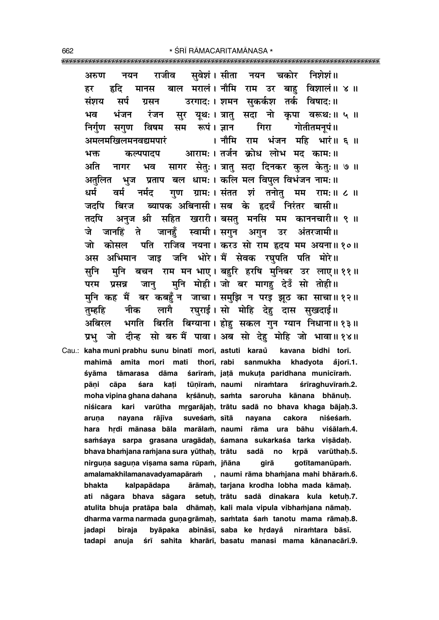राजीव सवेशं । सीता नयन चकोर निशेशं॥ अरुण नयन बाल मरालं। नौमि राम उर बाह विशालं॥ ४॥ हृदि मानस हर संशय उरगाद: । शमन सुकर्कश तर्क विषाद:॥ मर्प ग्रसन ਮਰ भंजन रंजन सर युथ: । त्रात् सदा नो कृपा वरूथ: ॥ ५ ॥ निर्गण सगण विषम सम रूपं । ज्ञान गिरा गोतीतमनुपं ॥ । नौमि राम भंजन महि भारं॥ ६ ॥ अमलमखिलमनवद्यमपारं आराम: । तर्जन क्रोध लोभ मद काम:॥ भक्त कल्पपादप अति सागर सेत: । त्रात सदा दिनकर कल केत: ॥ ७ ॥ नागर भव अतलित प्रताप बल धाम: । कलि मल विपल विभंजन नाम: ॥ भज गुण ग्राम: । संतत शं तनोतु मम राम: ॥ ८ ॥ धर्म वर्म नर्मद जटपि बिरज ब्यापक अबिनासी। सब के हृदयँ निरंतर बासी॥ अनुज श्री सहित खरारी।बसतु मनसि मम काननचारी॥ ९ ॥ तदपि ्जानहुँ स्वामी । सगुन अगुन उर अंतरजामी॥ जे जानहिं ते पति राजिव नयना। करउ सो राम हृदय मम अयना॥१०॥ जो कोसल अस अभिमान जाड जनि भोरे। मैं सेवक रघुपति पति मोरे॥ मनि बचन राम मन भाए । बहुरि हरषि मुनिबर उर लाए ॥ ११ ॥ सनि मुनि मोही। जो बर मागह देउँ सो तोही॥ जानु परम प्रसन्न मुनि कह मैं बर कबहँ न जाचा। समुझि न परइ झूठ का साचा॥ १२॥ रघुराई। सो मोहि देह दास सुखदाई॥ तम्हहि नीक लागै भगति बिरति बिग्याना। होह सकल गन ग्यान निधाना॥ १३॥ अबिरल प्रभु जो दीन्ह सो बरु मैं पावा। अब सो देह मोहि जो भावा॥ १४॥ Cau.: kaha muni prabhu sunu binatī morī, astuti karaŭ kavana bidhi torī. mahimā amita mori mati thorī, rabi sanmukha khadyota ăjorī.1. śvāma tāmarasa dāma śarīram, jațā mukuța paridhana municīram. tūnīram, naumi pāni cāpa śara kati niramtara śrīraghuvīram.2. moha vipina ghana dahana krśānuh, samta saroruha kānana bhānuh. kari varūtha mrgarājah, trātu sadā no bhava khaga bājah.3. niśicara navana rājīva aruna suveśam, sītā navana cakora niśeśam. hara hrdi mānasa bāla marālam, naumi rāma ura bāhu viśālam.4. samśaya sarpa grasana uragādaḥ, śamana sukarkaśa tarka viṣādaḥ. bhava bhamjana ramjana sura yūthah, trātu sadā no krpā varūthah.5. nirguna saguna visama sama rūpam, jñāna qirā qotītamanūpam. amalamakhilamanavadyamapāram , naumi rāma bhamjana mahi bhāram.6. kalpapādapa ārāmah, tarjana krodha lobha mada kāmah. bhakta ati nāgara bhava sāgara setuḥ, trātu sadā dinakara kula ketuḥ.7. atulita bhuja pratāpa bala dhāmaḥ, kali mala vipula vibhaṁjana nāmaḥ. dharma varma narmada guṇa grāmaḥ, saṁtata śaṁ tanotu mama rāmaḥ.8. byāpaka abināsī, saba ke hrdayå niramtara bāsī. jadapi biraja

tadapi anuja śrī sahita kharārī, basatu manasi mama kānanacārī.9.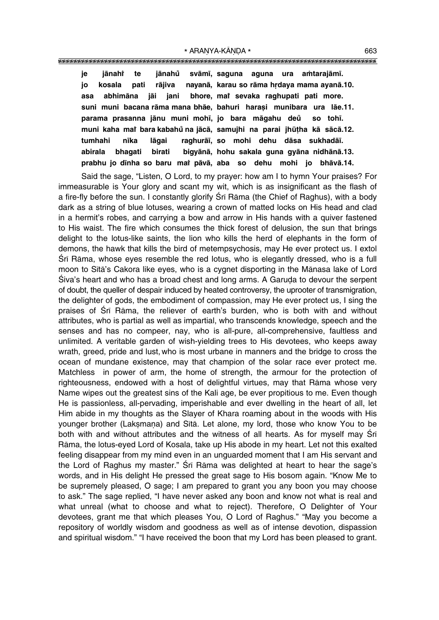**je** jānahī  **te jånahu° svåm∂, saguna aguna ura a≈tarajåm∂. jo kosala pati råjiva nayanå, karau so råma hædaya mama ayanå.10. asa abhimåna jåi jani bhore, maiÚ sevaka raghupati pati more. suni muni bacana råma mana bhåe, bahuri hara¶i munibara ura låe.11.** parama prasanna jānu muni mohī, jo bara māgahu deů so tohī. **muni kaha maiÚ bara kabahu na jåcå, ° samujhi na parai jhµu¢ha kå såcå.12. tumhahi n∂ka lågai raghurå∂, so mohi dehu dåsa sukhadå∂. abirala bhagati birati bigyånå, hohu sakala guna gyåna nidhånå.13. prabhu jo d∂nha so baru maiÚ påvå, aba so dehu mohi jo bhåvå.14.**

Said the sage, "Listen, O Lord, to my prayer: how am I to hymn Your praises? For immeasurable is Your glory and scant my wit, which is as insignificant as the flash of a fire-fly before the sun. I constantly glorify Śrī Rāma (the Chief of Raghus), with a body dark as a string of blue lotuses, wearing a crown of matted locks on His head and clad in a hermitís robes, and carrying a bow and arrow in His hands with a quiver fastened to His waist. The fire which consumes the thick forest of delusion, the sun that brings delight to the lotus-like saints, the lion who kills the herd of elephants in the form of demons, the hawk that kills the bird of metempsychosis, may He ever protect us. I extol Srī Rāma, whose eyes resemble the red lotus, who is elegantly dressed, who is a full moon to Sītā's Cakora like eyes, who is a cygnet disporting in the Mānasa lake of Lord Siva's heart and who has a broad chest and long arms. A Garuda to devour the serpent of doubt, the queller of despair induced by heated controversy, the uprooter of transmigration, the delighter of gods, the embodiment of compassion, may He ever protect us, I sing the praises of Srī Rāma, the reliever of earth's burden, who is both with and without attributes, who is partial as well as impartial, who transcends knowledge, speech and the senses and has no compeer, nay, who is all-pure, all-comprehensive, faultless and unlimited. A veritable garden of wish-yielding trees to His devotees, who keeps away wrath, greed, pride and lust, who is most urbane in manners and the bridge to cross the ocean of mundane existence, may that champion of the solar race ever protect me. Matchless in power of arm, the home of strength, the armour for the protection of righteousness, endowed with a host of delightful virtues, may that Råma whose very Name wipes out the greatest sins of the Kali age, be ever propitious to me. Even though He is passionless, all-pervading, imperishable and ever dwelling in the heart of all, let Him abide in my thoughts as the Slayer of Khara roaming about in the woods with His younger brother (Laksmana) and Sītā. Let alone, my lord, those who know You to be both with and without attributes and the witness of all hearts. As for myself may Śrī Råma, the lotus-eyed Lord of Kosala, take up His abode in my heart. Let not this exalted feeling disappear from my mind even in an unguarded moment that I am His servant and the Lord of Raghus my master." Śrī Rāma was delighted at heart to hear the sage's words, and in His delight He pressed the great sage to His bosom again. "Know Me to be supremely pleased, O sage; I am prepared to grant you any boon you may choose to ask." The sage replied, "I have never asked any boon and know not what is real and what unreal (what to choose and what to reject). Therefore, O Delighter of Your devotees, grant me that which pleases You, O Lord of Raghus." "May you become a repository of worldly wisdom and goodness as well as of intense devotion, dispassion and spiritual wisdom." "I have received the boon that my Lord has been pleased to grant.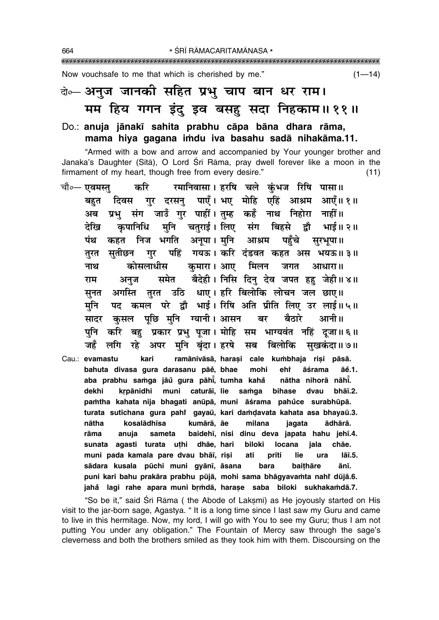Now vouchsafe to me that which is cherished by me."  $(1 - 14)$ 

## के-अनुज जानकी सहित प्रभु चाप बान धर राम। मम हिय गगन इंदु इव बसह सदा निहकाम॥११॥

### Do.: anuja jānakī sahita prabhu cāpa bāna dhara rāma, mama hiya gagana imdu iya basahu sadā nihakāma.11.

"Armed with a bow and arrow and accompanied by Your younger brother and Janaka's Daughter (Sitā), O Lord Śrī Rāma, pray dwell forever like a moon in the firmament of my heart, though free from every desire."  $(11)$ 

| चौ०— <b>एवमस्तु</b>                                   | करि स्मानिवासा। हरषि चले कुंभज रिषि पासा॥                              |
|-------------------------------------------------------|------------------------------------------------------------------------|
|                                                       | बहुत दिवस गुर दरसनु पाएँ। भए मोहि एहिं आश्रम आएँ॥ १॥                   |
| अब                                                    | प्रभु संग जाउँ गुर पाहीं। तुम्ह कहँ नाथ निहोरा नाहीं॥                  |
| देखि                                                  | कृपानिधि मुनि चतुराई।लिए संग बिहसे द्वौ भाई॥२॥                         |
| पंथ                                                   | कहत निज भगति अनूपा।मुनि आश्रम पहुँचे सुरभूपा॥                          |
| तूरत                                                  | सुतीछन गुर पहिं गयऊ। करि दंडवत कहत अस भयऊ॥३॥                           |
| नाथ                                                   | कोसलाधीस कुमारा। आए मिलन जगत आधारा॥                                    |
| अनुज<br>राम                                           | समेत बैदेही। निसि दिनु देव जपत हहु जेही॥४॥                             |
|                                                       | सुनत अगस्ति तुरत उठि धाए।इरि बिलोकि लोचन जल छाए॥                       |
|                                                       | मुनि पद कमल परे द्वौ भाई। रिषि अति प्रीति लिए उर लाई॥५॥                |
|                                                       | सादर कुसल पूछि मुनि ग्यानी।आसन बर बैठारे आनी॥                          |
|                                                       | पुनि करि बहु प्रकार प्रभु पूजा। मोहि सम भाग्यवंत नहिं दूजा॥६॥          |
|                                                       | जहँ लगि रहे अपर मुनि बृंदा।इरषे सब बिलोकि सुखकंदा॥७॥                   |
| kari<br>Cau.: evamastu                                | ramānivāsā, harași cale kumbhaja riși pāsā.                            |
| bahuta divasa gura darasanu pāĕ, bhae mohi eht āśrama | āĕ.1.                                                                  |
|                                                       | aba prabhu saṁga jāů gura pāhi, tumha kahå nātha nihorā nāhi.          |
| krpānidhi muni caturāī, lie samga<br>dekhi            | bihase<br>bhāī.2.<br>dvau                                              |
|                                                       | pamtha kahata nija bhagati anūpā, muni āśrama pahůce surabhūpā.        |
|                                                       | turata sutīchana gura pahi gayaū, kari damdavata kahata asa bhayaū.3.  |
| nātha<br>kosalādhīsa                                  | milana<br>ādhārā.<br>kumārā, āe<br>jagata                              |
| rāma                                                  | anuja sameta baidehī, nisi dinu deva japata hahu jehī.4.               |
| agasti turata uthi dhāe, hari<br>sunata               | biloki<br>locana jala<br>chāe.                                         |
| muni pada kamala pare dvau bhāi, riși ati prīti       | lie<br>$l\bar{a}$ ī.5.<br>ura                                          |
| sādara kusala pūchi muni gyānī, āsana                 | bara<br>baithare<br>ānī.                                               |
|                                                       | puni kari bahu prakāra prabhu pūjā, mohi sama bhāgyavamta nahi dūjā.6. |
|                                                       | jahå lagi rahe apara muni-brmdā, harașe saba biloki sukhakamdā.7.      |

"So be it," said Śrī Rāma ( the Abode of Laksmī) as He joyously started on His visit to the jar-born sage, Agastya. "It is a long time since I last saw my Guru and came to live in this hermitage. Now, my lord, I will go with You to see my Guru; thus I am not putting You under any obligation." The Fountain of Mercy saw through the sage's cleverness and both the brothers smiled as they took him with them. Discoursing on the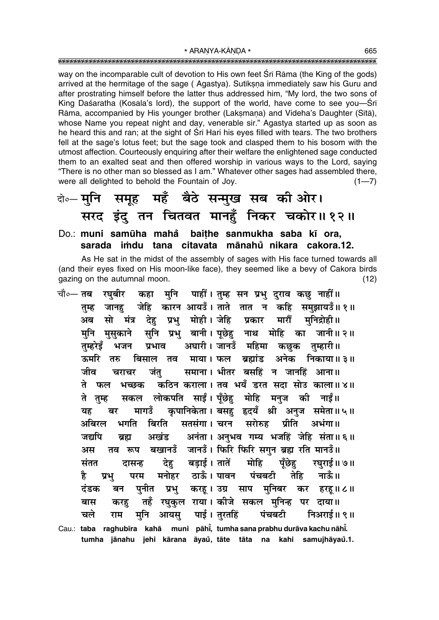way on the incomparable cult of devotion to His own feet Srī Rāma (the King of the gods) arrived at the hermitage of the sage ( Agastya). Sutīksna immediately saw his Guru and after prostrating himself before the latter thus addressed him, "My lord, the two sons of King Dasaratha (Kosala's lord), the support of the world, have come to see you—Srī Rāma, accompanied by His younger brother (Laksmana) and Videha's Daughter (Sītā), whose Name you repeat night and day, venerable sir." Agastya started up as soon as he heard this and ran; at the sight of Śrī Hari his eyes filled with tears. The two brothers fell at the sage's lotus feet; but the sage took and clasped them to his bosom with the utmost affection. Courteously enquiring after their welfare the enlightened sage conducted them to an exalted seat and then offered worship in various ways to the Lord, saying ìThere is no other man so blessed as I am.î Whatever other sages had assembled there, were all delighted to behold the Fountain of Joy.  $(1-7)$ 

## दो**०– मुनि समूह महँ बैठे सन्मुख सब की ओर।** सरद इंदु तन चितवत मानहुँ निकर चकोर॥१२॥

### Do.: muni samūha mahå baithe sanmukha saba kī ora, **sarada i≈du tana citavata månahu nikara cakora.12. °**

As He sat in the midst of the assembly of sages with His face turned towards all (and their eyes fixed on His moon-like face), they seemed like a bevy of Cakora birds gazing on the autumnal moon. (12) (12)

जौ०— **तब रघुबीर कहा मुनि पाहीं। तुम्ह सन प्रभु दुराव कछ नाहीं॥** तम्ह जानह जेहि कारन**्आयउँ। ताते तात न कहि समझायउँ॥१**॥ <u>.</u><br>अब सो मंत्र देहु प्रभु मोही।जेहि प्रकार मारौं मुनिद्रोही॥ <u>मुनि मुसुकाने सुनि प्रभु बानी। पूछेहु</u> नाथ मोहि का जानी॥२॥ तम्हरेडँ भजन प्रभाव अघारी । जानउँ महिमा कछक तम्हारी ॥ ऊमरि तरु बिसाल तव माया।**फल ब्रह्मांड अनेक निकाया॥३॥** <u>जीव चराचर जंत समाना। भीतर बसहिं न जानहिं आना॥</u> ते फल भच्छक कठिन कराला। तव भयँ डरत सदा सोउ काला॥४॥ <u>ते त</u>़म्ह सकल लोकपति साईं। पूँछेहु मोहि मनुज की नाईं॥ यह बर मागउँ कृपानिकेता**। बसह हृदयँ श्री अनुज समेता॥**५॥ <u>अबिरल भगति बिरति सतसंगा।</u> चरन सरोरुह प्रीति अभंगा॥ जद्यपि ब्रह्म अखंड अनंता।अनुभव गम्य भजहिं जेहि संता॥६॥ <u>अस तव रूप बखानउँ जानउँ। फिरि फिरि सगन ब्रह्म रति मानउँ॥</u> संतत दासन्ह देह बडाई । तातें मोहि पॅछेह रघराई ॥ ७ ॥ है प्रभु परम मनोहर ठाऊँ । पावन पंचबटी तेहि नाऊँ ॥ दंडक बन पुनीत प्रभु करह**। उग्र साप मुनिबर कर हरह॥**८॥ बास करह तहँ रघकल राया ।कीजे सकल मनिन्ह पर दाया॥ <u>चले राम मूनि आयसु पाईं।तुरतहिं</u> पंचबटी निअराई॥९॥ Cau.: **taba raghub∂ra kahå muni påh∂° , tumha sana prabhu duråva kachu nåh∂° . tumha jånahu jehi kårana åyau° , tåte tåta na kahi samujhåyau°.1.**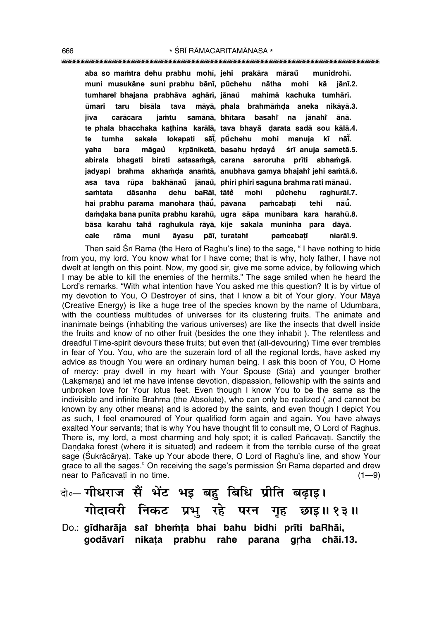666 \* \* SRĪ RĀMACARITAMĀNASA \*

"""""""""""""""""""""""""""""""""""""""""""""""""""""""""""""""""""""""""""""""""""

aba so mamtra dehu prabhu mohī, jehi prakāra mārau munidrohī. **muni musukåne suni prabhu bån∂, pµuchehu nåtha mohi kå jån∂.2.** tumhareř bhajana prabhāva aghārī, jānaŭ mahimā kachuka tumhārī. **µumari taru bisåla tava måyå, phala brahmå≈Œa aneka nikåyå.3. j∂va caråcara ja≈tu samånå, bh∂tara basahiÚ na jånahiÚ ånå. te phala bhacchaka ka¢hina karålå, tava bhaya° Œarata sadå sou kålå.4. te tumha sakala lokapati så∂° , pµu° chehu mohi manuja k∂ nå∂° . yaha bara mågau° kæpåniketå, basahu hædaya° ‹r∂ anuja sametå.5. abirala bhagati birati satasa≈gå, carana saroruha pr∂ti abha≈gå. jadyapi brahma akha≈Œa ana≈tå, anubhava gamya bhajahiÚ jehi sa≈tå.6. asa tava rµupa bakhånau° jånau°, phiri phiri saguna brahma rati månau .° sa≈tata dåsanha dehu baRå∂, tåte mohi pu ° °chehu raghurå∂.7. hai prabhu parama manohara ¢håµu°**  $pancabat<sub>i</sub>$  tehi **.** damdaka bana punīta prabhu karahū, ugra sāpa munibara kara harahū.8. **båsa karahu taha° raghukula råyå, k∂je sakala muninha para dåyå. cale råma muni åyasu på∂, turatahiÚ pa≈caba¢∂ niarå∂.9.**

Then said Śrī Rāma (the Hero of Raghu's line) to the sage, "I have nothing to hide from you, my lord. You know what for I have come; that is why, holy father, I have not dwelt at length on this point. Now, my good sir, give me some advice, by following which I may be able to kill the enemies of the hermits." The sage smiled when he heard the Lord's remarks. "With what intention have You asked me this question? It is by virtue of my devotion to You, O Destroyer of sins, that I know a bit of Your glory. Your Måyå (Creative Energy) is like a huge tree of the species known by the name of Udumbara, with the countless multitudes of universes for its clustering fruits. The animate and inanimate beings (inhabiting the various universes) are like the insects that dwell inside the fruits and know of no other fruit (besides the one they inhabit ). The relentless and dreadful Time-spirit devours these fruits; but even that (all-devouring) Time ever trembles in fear of You. You, who are the suzerain lord of all the regional lords, have asked my advice as though You were an ordinary human being. I ask this boon of You, O Home of mercy: pray dwell in my heart with Your Spouse (Sītā) and younger brother (Laksmana) and let me have intense devotion, dispassion, fellowship with the saints and unbroken love for Your lotus feet. Even though I know You to be the same as the indivisible and infinite Brahma (the Absolute), who can only be realized ( and cannot be known by any other means) and is adored by the saints, and even though I depict You as such, I feel enamoured of Your qualified form again and again. You have always exalted Your servants; that is why You have thought fit to consult me, O Lord of Raghus. There is, my lord, a most charming and holy spot; it is called Pañcavatī. Sanctify the Dandaka forest (where it is situated) and redeem it from the terrible curse of the great sage (Sukrācārya). Take up Your abode there, O Lord of Raghu's line, and show Your grace to all the sages." On receiving the sage's permission Srī Rāma departed and drew near to Pañcavatī in no time. (1—9) (1—9)

- दो**0– गीधराज सैं भेंट भइ बहु बिधि प्रीति बढ़ाइ। गोदावरी निकट प्रभु रहे परन गृह छाइ॥१३॥**
- Do.: **gīdharāja sař bheṁṭa bhai bahu bidhi prīti baRhāi, godåvar∂ nika¢a prabhu rahe parana gæha chåi.13.**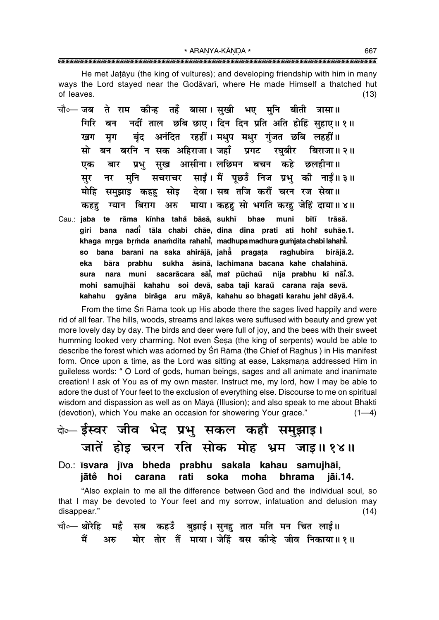\* ARANYA-KĀNDA \* 

He met Jatāyu (the king of vultures); and developing friendship with him in many ways the Lord stayed near the Godavari, where He made Himself a thatched hut of leaves.  $(13)$ 

- ते राम कीन्ह तहँ बासा।सुखी भए मुनि बीती त्रासा॥ चौ०— **जब** नदीं ताल छबि छाए। दिन दिन प्रति अति होहिं सहाए॥ १॥ गिरि बन बुंद अनंदित रहहीं। मधुप मधुर गुंजत छबि लहहीं॥ खग मग सो बन बरनि न सक अहिराजा। जहाँ प्रगट रघुबीर बिराजा॥२॥ प्रभ सख आसीना। लछिमन बचन कहे छलहीना॥ एक बार सचराचर साईं। मैं पूछउँ निज प्रभु की नाईं॥३॥ मूनि सर नर सोइ देवा। सब तजि करौं चरन रज सेवा॥ मोहि कहह समुझाइ माया। कहह सो भगति करह जेहिं दाया॥४॥ ग्यान बिराग अरु कहह
- Cau.: jaba te rāma kīnha tahå bāsā, sukhī bhae muni bītī trāsā. giri bana nadi tāla chabi chāe, dina dina prati ati hohi suhāe.1. khaga mrga brmda anamdita rahahi, madhupa madhura gumjata chabi lahahi. so bana barani na saka ahirājā, jahā pragata raghubīra birāiā.2. bāra prabhu sukha āsīnā, lachimana bacana kahe chalahīnā. eka nara muni sacarācara sāi, mar pūchaŭ nija prabhu kī nāi.3. sura mohi samujhāi kahahu soi devā, saba taji karaŭ carana raja sevā. gyāna birāga aru māyā, kahahu so bhagati karahu jehi dāyā.4. kahahu

From the time Srī Rāma took up His abode there the sages lived happily and were rid of all fear. The hills, woods, streams and lakes were suffused with beauty and grew yet more lovely day by day. The birds and deer were full of joy, and the bees with their sweet humming looked very charming. Not even Sesa (the king of serpents) would be able to describe the forest which was adorned by Srī Rāma (the Chief of Raghus) in His manifest form. Once upon a time, as the Lord was sitting at ease, Laksmana addressed Him in quileless words: " O Lord of gods, human beings, sages and all animate and inanimate creation! I ask of You as of my own master. Instruct me, my lord, how I may be able to adore the dust of Your feet to the exclusion of everything else. Discourse to me on spiritual wisdom and dispassion as well as on Māyā (Illusion); and also speak to me about Bhakti (devotion), which You make an occasion for showering Your grace."  $(1-4)$ 

## बे़ल ईस्वर जीव भेद प्रभु सकल कहौ समुझाइ। जातें होइ चरन रति सोक मोह भ्रम जाइ॥१४॥

Do.: īsvara jīva bheda prabhu sakala kahau samujhāi, jātě hoi rati soka moha bhrama carana iāi.14.

"Also explain to me all the difference between God and the individual soul, so that I may be devoted to Your feet and my sorrow, infatuation and delusion may disappear."  $(14)$ 

चौ०— थोरेहि महँ सब कहउँ बुझाई। सुनहु तात मति मन चित लाई॥ मोर तोर तैं माया। जेहिं बस कीन्हे जीव निकाया॥१॥ अरु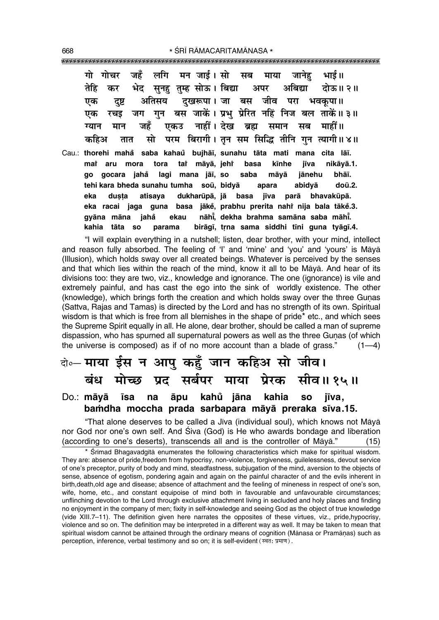<u>गो गोचर जहँ लगि मन जाई। $\overline{a}$ । सब माया जानेह भाई॥</u> तेहि कर भेद सुनह तुम्ह सोऊ।**बिद्या अपर अबिद्या दोऊ॥२॥** एक दृष्ट अतिसय दखरूपा।जा बस जीव परा भवकृपा॥ एक रचड़ जग गन बस जाकें। प्रभ प्रेरित नहिं निज बल ताकें॥३॥ ग्यान मान जहँ एकउ नाहीं।**देख ब्रह्म समान सब माहीं**॥ कहिअ तात सो परम बिरागी। तून सम सिद्धि तीनि गुन त्यागी॥४॥ Cau.: **thorehi maha° saba kahau° bujhå∂, sunahu tåta mati mana cita lå∂.** mat aru mora **tora** tai māyā, jehi  **basa k∂nhe j∂va nikåyå.1. go gocara jaha° lagi mana jå∂, so saba måyå jånehu bhå∂.** tehi kara bheda sunahu tumha soū, bidyā apara abidyā doū.2. **eka du¶¢a atisaya dukharµupå, jå basa j∂va parå bhavakµupå. eka racai jaga guna basa jåke°, prabhu prerita nahiÚ nija bala tåke°.3. gyåna måna jaha° ekau nåh∂° , dekha brahma samåna saba måh∂° .** kahia tāta so parama birāgī, trna sama siddhi tīni guna tyāgī.4.

"I will explain everything in a nutshell; listen, dear brother, with your mind, intellect and reason fully absorbed. The feeling of 'l' and 'mine' and 'you' and 'yours' is Māyā (Illusion), which holds sway over all created beings. Whatever is perceived by the senses and that which lies within the reach of the mind, know it all to be Måyå. And hear of its divisions too: they are two, viz., knowledge and ignorance. The one (ignorance) is vile and extremely painful, and has cast the ego into the sink of worldly existence. The other (knowledge), which brings forth the creation and which holds sway over the three Gunas (Sattva, Rajas and Tamas) is directed by the Lord and has no strength of its own. Spiritual wisdom is that which is free from all blemishes in the shape of pride\* etc., and which sees the Supreme Spirit equally in all. He alone, dear brother, should be called a man of supreme dispassion, who has spurned all supernatural powers as well as the three Gunas (of which the universe is composed) as if of no more account than a blade of grass."  $(1-4)$ 

### दो**0– माया ईस न आपू कहँ जान कहिअ सो जीव। बंध मोच्छ प्रद सर्बपर माया प्रेरक सीव॥१५॥** Do.: **måyå ∂sa na åpu kahu jåna kahia so j∂va, °** bamdha moccha prada sarbapara māyā preraka sīva.15.

ìThat alone deserves to be called a J∂va (individual soul), which knows not Måyå nor God nor one's own self. And Siva (God) is He who awards bondage and liberation (according to one's deserts), transcends all and is the controller of Māyā."  $(15)$ 

Śrīmad Bhagavadgītā enumerates the following characteristics which make for spiritual wisdom. They are: absence of pride,freedom from hypocrisy, non-violence, forgiveness, guilelessness, devout service of oneís preceptor, purity of body and mind, steadfastness, subjugation of the mind, aversion to the objects of sense, absence of egotism, pondering again and again on the painful character of and the evils inherent in birth,death,old age and disease; absence of attachment and the feeling of mineness in respect of one's son, wife, home, etc., and constant equipoise of mind both in favourable and unfavourable circumstances; unflinching devotion to the Lord through exclusive attachment living in secluded and holy places and finding no enjoyment in the company of men; fixity in self-knowledge and seeing God as the object of true knowledge (vide XIII.7-11). The definition given here narrates the opposites of these virtues, viz., pride,hypocrisy, violence and so on. The definition may be interpreted in a different way as well. It may be taken to mean that spiritual wisdom cannot be attained through the ordinary means of cognition (Mānasa or Pramānas) such as perception, inference, verbal testimony and so on; it is self-evident (स्वत: प्रमाण).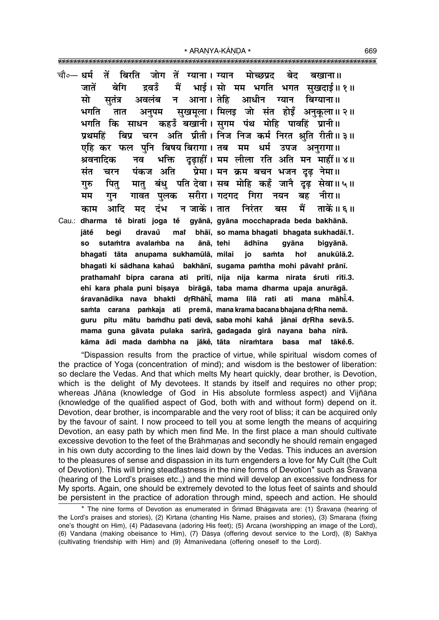\* ARANYA-KĀNDA \* 

- चौ $o$  धर्म तें बिरति जोग तें ग्याना। ग्यान मोच्छप्रद बेट बखाना ॥ मैं भाई। सो मम भगति भगत सुखदाई॥ १॥ बेगि जातें द्रवउँ आना। तेहि मो सतंत्र आधीन अवलंब न $\overline{a}$ ग्यान बिग्याना ॥ सखमला। मिलइ जो संत भगति होइँ तात अनपम अनकला॥ २॥ कि कहउँ बखानी। सगम पंथ मोहि पावहिं प्रानी॥ भगति साधन चरन अति प्रीती । निज निज कर्म निरत श्रुति रीती ॥ ३ ॥ प्रथमहिं बिप्र पनि बिषय बिरागा । तब मम धर्म अनरागा॥ एहि कर फल उपज दढाहीं। मम लीला रति अति मन माहीं॥४॥ भक्ति श्रवनादिक नव संत चरन पंकज अति प्रेमा। मन क्रम बचन भजन दुढ़ नेमा॥ बंध पति देवा । सब मोहि कहँ जानै पित् मात् दुढ सेवा॥ ५॥ गरु सरीरा । गदगद गिरा बह नीरा॥ ਸਸ गन गावत पलक नयन मैं न जाकें। तात निरंतर ताकें।। ६ ॥ काम आदि मद दंभ बस
- Cau.: dharma të birati joga të gyānā, gyāna mocchaprada beda bakhānā. dravaů bhāi, so mama bhagati bhagata sukhadāi.1. jātě begi mat sutamtra avalamba na ānā. tehi ādhīna avāna biavānā. **SO** bhagati tāta anupama sukhamūlā, milai io samta hoť anukūlā.2. bhagati ki sādhana kahaů bakhānī, sugama pamtha mohi pāvahi prānī. prathamahi bipra carana ati prītī, nija nija karma nirata śruti rītī.3. ehi kara phala puni bisaya birāgā, taba mama dharma upaja anurāgā. śravanādika nava bhakti drRhāhi, mama līlā rati ati mana māhi.4. samta carana pamkaja ati premā, mana krama bacana bhajana drRha nemā. guru pitu mātu bamdhu pati devā, saba mohi kahå jānai drRha sevā.5. mama guna gāvata pulaka sarīrā, gadagada girā nayana baha nīrā. kāma ādi mada dambha na jākė, tāta niramtara basa mai tākė.6.

"Dispassion results from the practice of virtue, while spiritual wisdom comes of the practice of Yoga (concentration of mind); and wisdom is the bestower of liberation: so declare the Vedas. And that which melts My heart quickly, dear brother, is Devotion, which is the delight of My devotees. It stands by itself and requires no other prop; whereas Jñāna (knowledge of God in His absolute formless aspect) and Vijñāna (knowledge of the qualified aspect of God, both with and without form) depend on it. Devotion, dear brother, is incomparable and the very root of bliss; it can be acquired only by the favour of saint. I now proceed to tell you at some length the means of acquiring Devotion, an easy path by which men find Me. In the first place a man should cultivate excessive devotion to the feet of the Brāhmanas and secondly he should remain engaged in his own duty according to the lines laid down by the Vedas. This induces an aversion to the pleasures of sense and dispassion in its turn engenders a love for My Cult (the Cult of Devotion). This will bring steadfastness in the nine forms of Devotion\* such as Sravana (hearing of the Lord's praises etc.,) and the mind will develop an excessive fondness for My sports. Again, one should be extremely devoted to the lotus feet of saints and should be persistent in the practice of adoration through mind, speech and action. He should

The nine forms of Devotion as enumerated in Śrīmad Bhāgavata are: (1) Śravaņa (hearing of the Lord's praises and stories), (2) Kirtana (chanting His Name, praises and stories), (3) Smarana (fixing one's thought on Him), (4) Pādasevana (adoring His feet); (5) Arcana (worshipping an image of the Lord), (6) Vandana (making obeisance to Him), (7) Dāsya (offering devout service to the Lord), (8) Sakhya (cultivating friendship with Him) and (9) Atmanivedana (offering oneself to the Lord).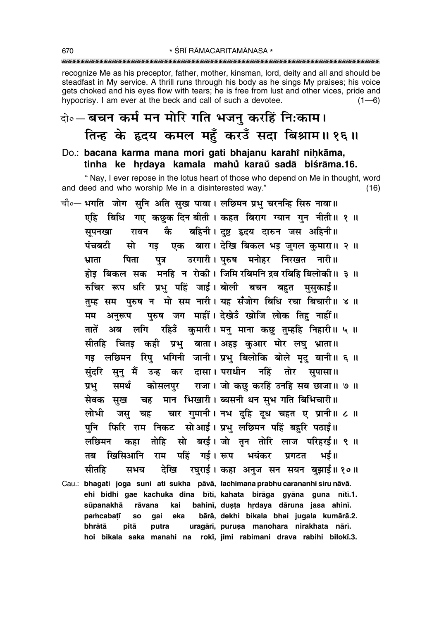recognize Me as his preceptor, father, mother, kinsman, lord, deity and all and should be steadfast in My service. A thrill runs through his body as he sings My praises; his voice gets choked and his eyes flow with tears; he is free from lust and other vices, pride and hypocrisy. I am ever at the beck and call of such a devotee.  $(1 - 6)$ 

## दो॰ – बचन कर्म मन मोरि गति भजनु करहिं निःकाम। तिन्ह के हृदय कमल महँ करउँ सदा बिश्राम॥१६॥

### Do.: bacana karma mana mori gati bhajanu karahi nihkāma, tinha ke hrdaya kamala mahů karaů sadā biśrāma.16.

"Nay, I ever repose in the lotus heart of those who depend on Me in thought, word and deed and who worship Me in a disinterested way."  $(16)$ 

- चौ० भगति जोग सनि अति सख पावा। लछिमन प्रभ चरनन्हि सिरु नावा॥ एहि बिधि गए कछुक दिन बीती। कहत बिराग ग्यान गुन नीती॥ १ ॥ बहिनी। दृष्ट हृदय दारुन जस अहिनी ।। के सपनखा रावन एक बारा। देखि बिकल भइ जुगल कुमारा॥ २ ॥ ਧੰਦਕਟੀ मो गड उरगारी । पुरुष मनोहर निरखत नारी॥ पिता पत्र भ्राता होड़ बिकल सक मनहि न रोकी। जिमि रबिमनि द्रव रबिहि बिलोकी॥ ३ ॥ रुचिर रूप धरि प्रभु पहिं जाई। बोली बचन बहुत मुसुकाई॥ तुम्ह सम पुरुष न मो सम नारी। यह सँजोग बिधि रचा बिचारी॥ ४ ॥ अनरूप परुष जग माहीं। देखेउँ खोजि लोक तिह नाहीं॥ मम अब लगि रहिउँ कुमारी। मनु माना कछु तुम्हहि निहारी॥ ५ ॥ तातें सीतहि चितइ कही प्रभु बाता। अहइ कुआर मोर लघु भ्राता॥ गइ लछिमन रिपु भगिनी जानी। प्रभु बिलोकि बोले मृद् बानी॥ ६ ॥ सुंदरि सूनु मैं उन्ह कर दासा।पराधीन नहिं तोर सुपासा॥ कोसलपर साजा। जो कछ करहिं उनहि सब छाजा॥ ७ ॥ प्रभ समर्थ चह मान भिखारी। ब्यसनी धन सुभ गति बिभिचारी॥ सेवक सुख चार गुमानी। नभ दुहि दूध चहत ए प्रानी॥ ८ ॥ लोभी जस चह पुनि फिरि राम निकट सोआई। प्रभु लछिमन पहिं बहुरि पठाई॥ तोहि सो बरई। जो तन तोरि लाज परिहरई॥ ९ ॥ कहा लछिमन राम पहिं गई। रूप भयंकर खिसिआनि तब प्रगटत भई ॥ देखि रघुराई । कहा अनुज सन सयन बुझाई ॥ १० ॥ सीतहि सभय Cau.: bhagati joga suni ati sukha pāvā, lachimana prabhu carananhi siru nāvā. ehi bidhi gae kachuka dina bītī, kahata birāga gyāna guna nītī.1. bahinī, dusta hrdaya dāruna jasa ahinī. sūpanakhā rāvana kai
	- bārā, dekhi bikala bhai jugala kumārā.2. pamcabatī **SO** gai eka uragārī, purusa manohara nirakhata nārī. bhrātā pitā putra hoi bikala saka manahi na rokī, jimi rabimani drava rabihi bilokī.3.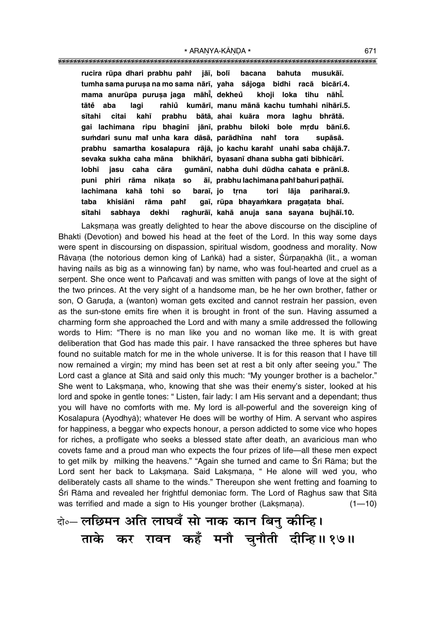\* ARANYA-KĀNDA \* 671

### """""""""""""""""""""""""""""""""""""""""""""""""""""""""""""""""""""""""""""""""""

**rucira rµupa dhari prabhu pahiÚ jå∂, bol∂ bacana bahuta musukå∂. tumha sama puru¶a na mo sama når∂, yaha sa°joga bidhi racå bicår∂.4.** mama anurūpa purusa jaga māhī, dekheŭ **, dekheu khoji loka tihu nåh∂ ° ° . tåte aba lagi rahiu ° ° kumår∂, manu månå kachu tumhahi nihår∂.5. s∂tahi citai kah∂ prabhu båtå, ahai kuåra mora laghu bhråtå.** gai lachimana ripu bhaginī jānī, prabhu biloki bole mrdu bānī.6. **su≈dari sunu maiÚ unha kara dåså, parådh∂na nahiÚ tora supåså. prabhu samartha kosalapura råjå, jo kachu karahiÚ unahi saba chåjå.7. sevaka sukha caha måna bhikhår∂, byasan∂ dhana subha gati bibhicår∂.** lobhī jasu caha cāra gumānī, nabha duhi dūdha cahata e prānī.8. puni phiri rāma nikata so āī, prabhu lachimana pah*i* bahuri pathāī. lachimana kahā tohi so baraī, jo trna tori lāja pariharaī.9. **taba khisiåni råma pahiÚ ga∂, rµupa bhaya≈kara praga¢ata bha∂. s∂tahi sabhaya dekhi raghurå∂, kahå anuja sana sayana bujhå∂.10.**

Laksmana was greatly delighted to hear the above discourse on the discipline of Bhakti (Devotion) and bowed his head at the feet of the Lord. In this way some days were spent in discoursing on dispassion, spiritual wisdom, goodness and morality. Now Rāvana (the notorious demon king of Laṅkā) had a sister, Śūrpanakhā (lit., a woman having nails as big as a winnowing fan) by name, who was foul-hearted and cruel as a serpent. She once went to Pañcavatī and was smitten with pangs of love at the sight of the two princes. At the very sight of a handsome man, be he her own brother, father or son, O Garuda, a (wanton) woman gets excited and cannot restrain her passion, even as the sun-stone emits fire when it is brought in front of the sun . Having assumed a charming form she approached the Lord and with many a smile addressed the following words to Him: "There is no man like you and no woman like me. It is with great deliberation that God has made this pair. I have ransacked the three spheres but have found no suitable match for me in the whole universe. It is for this reason that I have till now remained a virgin; my mind has been set at rest a bit only after seeing you." The Lord cast a glance at Sītā and said only this much: "My younger brother is a bachelor." She went to Laksmana, who, knowing that she was their enemy's sister, looked at his lord and spoke in gentle tones: " Listen, fair lady: I am His servant and a dependant; thus you will have no comforts with me. My lord is all-powerful and the sovereign king of Kosalapura (Ayodhyå); whatever He does will be worthy of Him. A servant who aspires for happiness, a beggar who expects honour, a person addicted to some vice who hopes for riches, a profligate who seeks a blessed state after death, an avaricious man who covets fame and a proud man who expects the four prizes of life—all these men expect to get milk by milking the heavens." "Again she turned and came to Śrī Rāma; but the Lord sent her back to Laksmana. Said Laksmana, "He alone will wed you, who deliberately casts all shame to the winds.î Thereupon she went fretting and foaming to Srī Rāma and revealed her frightful demoniac form. The Lord of Raghus saw that Sītā was terrified and made a sign to His younger brother (Laksmana).  $(1-10)$ 

## दो**०– लछिमन अति लाघवँ सो नाक कान बिनु कीन्हि।** ताके कर रावन कहँ मनौ चुनौती दीन्हि॥१७॥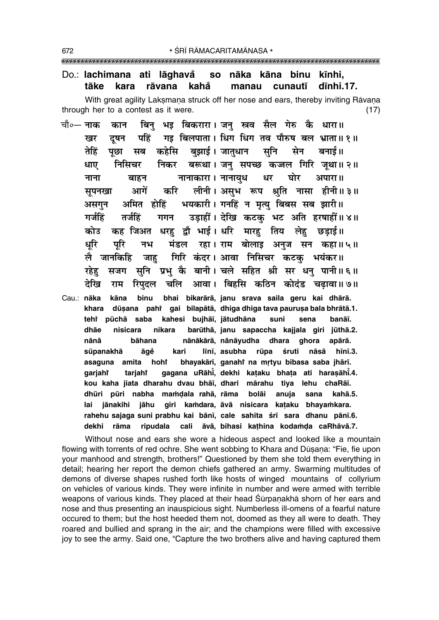#### Do.: lachimana ati lāghava so nāka kāna binu kīnhi. kahå dīnhi.17. tāke kara rāvana manau cunautī

With great agility Laksmana struck off her nose and ears, thereby inviting Rāvana through her to a contest as it were.  $(17)$ 

- बिनु भइ बिकरारा। जन् स्त्रव सैल गेरु कै धारा॥ चौ∘— **नाक** कान पहिं गड़ बिलपाता । धिग धिग तव पौरुष बल भ्राता॥ १ ॥ खर दषन सब कहेसि तेहिं बझाई । जातधान सेन सनि बनाई ॥ पछा निसिचर निकर बरूथा। जन् सपच्छ कज्जल गिरि जुथा॥२॥ धाए नानाकारा। नानायुध धर नाना घोर अपारा॥ बाहन लीनी। असभ रूप श्रति नासा हीनी॥३॥ सपनखा आगें करि भयकारी। गनहिं न मृत्यु बिबस सब झारी॥ अमित होहिं असगन गर्जहिं तर्जहिं उडाहीं। देखि कटक भट अति हरषाहीं॥४॥ गगन कह जिअत धरह द्वौ भाई। धरि मारह तिय लेह छड़ाई।। कोउ धरि मंडल रहा। राम बोलाइ अनज सन कहा॥५॥ परि नभ ले जानकिहि जाह गिरि कंदर। आवा निसिचर कटक भयंकर॥ सजग सनि प्रभ कै बानी। चले सहित श्री सर धन पानी॥६॥ रहेह राम रिपदल चलि आवा। बिहसि कठिन कोदंड चढावा॥७॥ देखि Cau.: nāka kāna binu bhai bikarārā, janu srava saila geru kai dhārā.
- khara dūsana pahi gai bilapātā, dhiga dhiga tava paurusa bala bhrātā.1. kahesi bujhāī, jātudhāna teht pūchā saba suni banāī. sena barūthā, janu sapaccha kajjala giri jūthā.2. dhāe nisicara nikara nānākārā, nānāyudha dhara nānā bāhana ghora apārā. āgě kari līnī, asubha rūpa śruti nāsā hīnī.3. sūpanakhā asaguna amita hohř bhayakārī, ganahi na mrtyu bibasa saba jhārī. gagana uRāhi, dekhi kataku bhata ati harasāhi.4. qarjahi tarjahi kou kaha jiata dharahu dvau bhāī, dhari mārahu tiya lehu chaRāī. dhūri pūri nabha mamdala rahā, rāma anuja bolāi sana kahā.5. lai jānakihi jāhu giri kamdara, āvā nisicara kataku bhayamkara. rahehu sajaga suni prabhu kai bānī, cale sahita śrī sara dhanu pānī.6. dekhi rāma ripudala cali āvā, bihasi kathina kodamda caRhāvā.7.

Without nose and ears she wore a hideous aspect and looked like a mountain flowing with torrents of red ochre. She went sobbing to Khara and Dūsana: "Fie, fie upon your manhood and strength, brothers!" Questioned by them she told them everything in detail; hearing her report the demon chiefs gathered an army. Swarming multitudes of demons of diverse shapes rushed forth like hosts of winged mountains of collyrium on vehicles of various kinds. They were infinite in number and were armed with terrible weapons of various kinds. They placed at their head Surpanakha shorn of her ears and nose and thus presenting an inauspicious sight. Numberless ill-omens of a fearful nature occured to them; but the host heeded them not, doomed as they all were to death. They roared and bullied and sprang in the air; and the champions were filled with excessive joy to see the army. Said one, "Capture the two brothers alive and having captured them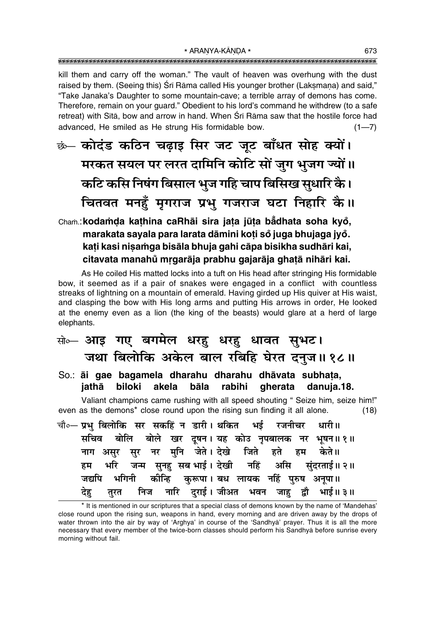kill them and carry off the woman." The vault of heaven was overhung with the dust raised by them. (Seeing this) Srī Rāma called His younger brother (Laksmana) and said," "Take Janaka's Daughter to some mountain-cave; a terrible array of demons has come. Therefore, remain on your guard." Obedient to his lord's command he withdrew (to a safe retreat) with Sītā, bow and arrow in hand. When Śrī Rāma saw that the hostile force had advanced, He smiled as He strung His formidable bow.  $(1 - 7)$ 

# **छं कोदंड कठिन चढ़ाइ सिर जट जूट बाँधत सोह क्यों।** मरकत सयल पर लरत दामिनि कोटि सों जुग भुजग ज्यों ॥ कटि कसि निषंग बिसाल भुज गहि चाप बिसिख सुधारि कै। चितवत मनहूँ मृगराज प्रभु गजराज घटा निहारि कै।।

### Cham.: kodamda kathina caRhāi sira jata jūta bādhata soha kyo, marakata sayala para larata dāmini koti sõ juga bhujaga jyõ. kati kasi nisamga bisāla bhuja gahi cāpa bisikha sudhāri kai, citavata manahů mrgarāja prabhu gajarāja ghatā nihāri kai.

As He coiled His matted locks into a tuft on His head after stringing His formidable bow, it seemed as if a pair of snakes were engaged in a conflict with countless streaks of lightning on a mountain of emerald. Having girded up His quiver at His waist, and clasping the bow with His long arms and putting His arrows in order, He looked at the enemy even as a lion (the king of the beasts) would glare at a herd of large elephants.

## सोल आइ गए बगमेल धरह धरह धावत सुभट। जथा बिलोकि अकेल बाल रबिहि घेरत दनुज॥१८॥

So.: āi gae bagamela dharahu dharahu dhāvata subhata, iathā biloki akela bāla rabihi qherata danuja.18.

Valiant champions came rushing with all speed shouting " Seize him, seize him!" even as the demons<sup>\*</sup> close round upon the rising sun finding it all alone.  $(18)$ 

|  |  | चौ∘— प्रभु बिलोकि  सर  सकहिं न  डारी । थकित   भई   रजनीचर    धारी॥ |  |  |                                                     |
|--|--|--------------------------------------------------------------------|--|--|-----------------------------------------------------|
|  |  |                                                                    |  |  | सचिव बोलि बोले खर दूषन। यह कोउ नृपबालक नर भूषन॥१॥   |
|  |  | नाग असुर सुर नर मुनि जेते। देखे जिते हते हम केते॥                  |  |  |                                                     |
|  |  |                                                                    |  |  | हम भरि जन्म सुनहु सबभाई।देखी नहिं असि सुंदरताई॥२॥   |
|  |  | जद्यपि भगिनी कीन्हि कुरूपा।बध लायक नहिं पुरुष अनूपा॥               |  |  |                                                     |
|  |  |                                                                    |  |  | देहु तुरत निज नारि दुराई।जजीअत भवन जाहु द्वौ भाई॥३॥ |

<sup>\*</sup> It is mentioned in our scriptures that a special class of demons known by the name of 'Mandehas' close round upon the rising sun, weapons in hand, every morning and are driven away by the drops of water thrown into the air by way of 'Arghya' in course of the 'Sandhya' prayer. Thus it is all the more necessary that every member of the twice-born classes should perform his Sandhya before sunrise every morning without fail.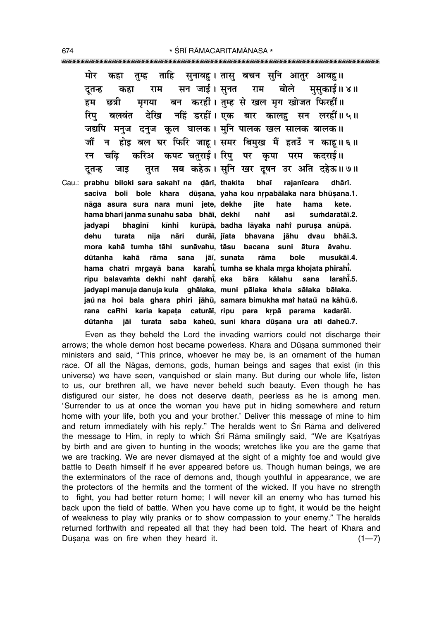मोर सुनावहु । तासु बचन सुनि आतुर आवहु ॥ ताहि कहा तम्ह सन जाई। सनत राम बोले मसकाई॥ ४॥ दतन्ह कहा राम बन करहीं। तुम्ह से खल मृग खोजत फिरहीं॥ हम छत्री मगया रिप बलवंत देखि नहिं डरहीं।ाएक बार कालह सन लरहीं॥५॥ जद्यपि मनुज दनुज कुल घालक। मुनि पालक खल सालक बालक॥ न होड़ बल घर फिरि जाह। समर बिमख मैं हतउँ न काह॥६॥ जौं करिअ कपट चतुराई। रिपु पर कृपा परम कदराई॥ चढि रन सब कहेऊ। सुनि खर दूषन उर अति दहेऊ॥७॥ तरत दूतन्ह जाड Cau.: prabhu biloki sara sakahi na dārī, thakita bhaī rajanīcara dhārī. saciva boli bole khara dūṣana, yaha kou nrุpabālaka nara bhūṣana.1. nāga asura sura nara muni jete, dekhe iite hate hama kete. hama bhari janma sunahu saba bhāi, dekhī naht asi sumdaratāī.2. jadyapi bhaginī kīnhi kurūpā, badha lāyaka nahi purușa anūpā. durāī, jīata bhavana jāhu dvau bhāī.3. dehu turata nija nāri mora kahā tumha tāhi sunāvahu tāsu bacana suni ātura āvahu. dūtanha kahā rāma sana jāī, sunata rāma bole musukāī.4. hama chatrī mrgayā bana karahi, tumha se khala mrga khojata phirahi. ripu balavamta dekhi nahi darahi̇̃. eka bāra kālahu sana larahī.5. jadyapi manuja danuja kula ghālaka, muni pālaka khala sālaka bālaka. jaů na hoi bala ghara phiri jāhū, samara bimukha mař hataů na kāhū.6. rana caRhi karia kapata caturāi, ripu para krpā parama kadarāi. jāi turata saba kaheū, suni khara dūṣana ura ati daheū.7. dūtanha

Even as they beheld the Lord the invading warriors could not discharge their arrows; the whole demon host became powerless. Khara and Dūsana summoned their ministers and said, "This prince, whoever he may be, is an ornament of the human race. Of all the Nagas, demons, gods, human beings and sages that exist (in this universe) we have seen, vanquished or slain many. But during our whole life, listen to us, our brethren all, we have never beheld such beauty. Even though he has disfigured our sister, he does not deserve death, peerless as he is among men. 'Surrender to us at once the woman you have put in hiding somewhere and return home with your life, both you and your brother.' Deliver this message of mine to him and return immediately with his reply." The heralds went to Srī Rāma and delivered the message to Him, in reply to which Sri Rama smilingly said, "We are Ksatriyas" by birth and are given to hunting in the woods; wretches like you are the game that we are tracking. We are never dismayed at the sight of a mighty foe and would give battle to Death himself if he ever appeared before us. Though human beings, we are the exterminators of the race of demons and, though youthful in appearance, we are the protectors of the hermits and the torment of the wicked. If you have no strength to fight, you had better return home; I will never kill an enemy who has turned his back upon the field of battle. When you have come up to fight, it would be the height of weakness to play wily pranks or to show compassion to your enemy." The heralds returned forthwith and repeated all that they had been told. The heart of Khara and Dūsana was on fire when they heard it.  $(1 - 7)$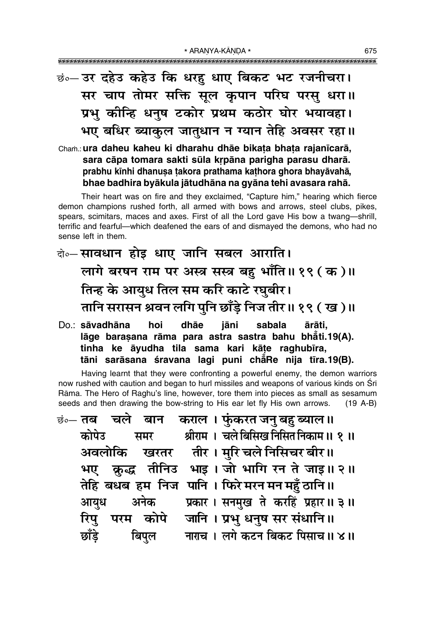# छं∘– उर दहेउ कहेउ कि धरहु धाए बिकट भट रजनीचरा। सर चाप तोमर सक्ति सूल कृपान परिघ परसु धरा।। प्रभु कीन्हि धनुष टकोर प्रथम कठोर घोर भयावहा। भए बधिर ब्याकुल जातुधान न ग्यान तेहि अवसर रहा।।

Cham.: ura daheu kaheu ki dharahu dhāe bikata bhata rajanīcarā, sara cāpa tomara sakti sūla krpāna parigha parasu dharā. prabhu kīnhi dhanusa takora prathama kathora ghora bhayāvahā, bhae badhira byākula jātudhāna na gyāna tehi avasara rahā.

Their heart was on fire and they exclaimed, "Capture him," hearing which fierce demon champions rushed forth, all armed with bows and arrows, steel clubs, pikes, spears, scimitars, maces and axes. First of all the Lord gave His bow a twang-shrill, terrific and fearful-which deafened the ears of and dismayed the demons, who had no sense left in them.

- बे॰-सावधान होइ धाए जानि सबल आराति। लागे बरषन राम पर अस्त्र सस्त्र बहु भाँति॥१९ ( क )॥ तिन्ह के आयुध तिल सम करि काटे रघुबीर। तानि सरासन श्रवन लगि पुनि छाँड़े निज तीर॥ १९ ( ख )॥
- Do.: sāvadhāna hoi dhāe jāni sabala ārāti. lāge barasana rāma para astra sastra bahu bhāti.19(A). tinha ke āyudha tila sama kari kāte raghubīra, tāni sarāsana śravana lagi puni chā Re nija tīra. 19(B).

Having learnt that they were confronting a powerful enemy, the demon warriors now rushed with caution and began to hurl missiles and weapons of various kinds on Sri Rāma. The Hero of Raghu's line, however, tore them into pieces as small as sesamum seeds and then drawing the bow-string to His ear let fly His own arrows. (19 A-B)

|       |       |  | छं॰— <b>तब चले बान कराल। फुंकरत जनु बहु ब्याल॥</b> |
|-------|-------|--|----------------------------------------------------|
| कोपेउ | समर   |  | श्रीराम । चले बिसिख निसित निकाम ॥ १ ॥              |
|       |       |  | अवलोकि खरतर तीर। मुरि चले निसिचर बीर॥              |
|       |       |  | भए क्रुद्ध तीनिउ भाइ। जो भागि रन ते जाइ॥ २॥        |
|       |       |  | तेहि बधब हम निज पानि । फिरेमरनमनमहुँ ठानि ॥        |
|       |       |  | आयुध अनेक प्रकार । सनमुख ते करहिं प्रहार ॥ ३ ॥     |
|       |       |  | रिपु परम कोपे जानि । प्रभु धनुष सर संधानि॥         |
| छाँडे | बिपुल |  | नाराच । लगे कटन बिकट पिसाच ।। ४ ।।                 |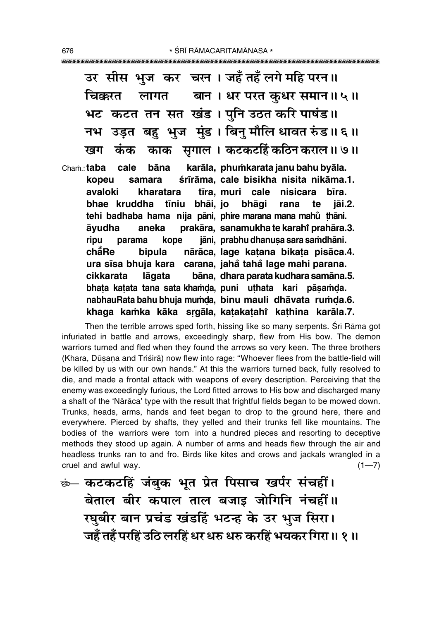Then the terrible arrows sped forth, hissing like so many serpents. Srī Rāma got infuriated in battle and arrows, exceedingly sharp, flew from His bow. The demon warriors turned and fled when they found the arrows so very keen. The three brothers (Khara, Dūsana and Triśirā) now flew into rage: "Whoever flees from the battle-field will be killed by us with our own hands." At this the warriors turned back, fully resolved to die, and made a frontal attack with weapons of every description. Perceiving that the enemy was exceedingly furious, the Lord fitted arrows to His bow and discharged many a shaft of the 'Nārāca' type with the result that frightful fields began to be mowed down. Trunks, heads, arms, hands and feet began to drop to the ground here, there and everywhere. Pierced by shafts, they yelled and their trunks fell like mountains. The bodies of the warriors were torn into a hundred pieces and resorting to deceptive methods they stood up again. A number of arms and heads flew through the air and headless trunks ran to and fro. Birds like kites and crows and jackals wrangled in a cruel and awful way.  $(1-7)$ 

 $z$ ं∞ कटकटहिं जंबुक भूत प्रेत पिसाच खर्पर संचहीं। **| बेताल बीर कपाल ताल बजाइ जोगिनि नंचहीं। रघुबीर बान प्रचंड खंडहिं भटन्ह के उर भुज सिरा।** जहँ तहँ परहिं उठि लरहिं धर धरु धरु करहिं भयकर गिरा॥ १॥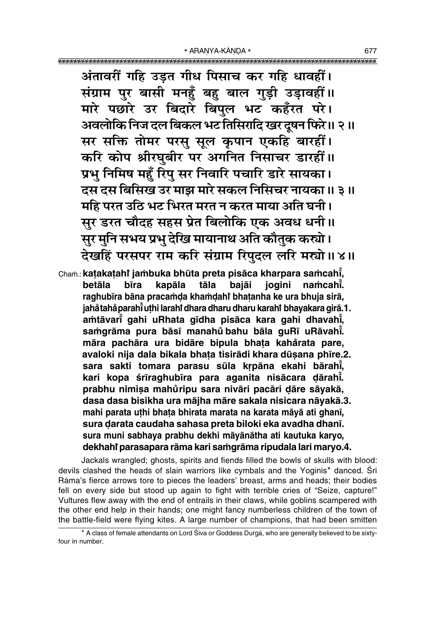अंतावरीं गहि उडत गीध पिसाच कर गहि धावहीं। संग्राम पुर बासी मनहुँ बहु बाल गुड़ी उड़ावहीं।। मारे पछारे उर बिदारे बिपुल भट कहँरत परे। अवलोकि निज दल बिकल भट तिसिरादि खर दूषन फिरे।। २॥ सर सक्ति तोमर परसु सूल कृपान एकहि बारहीं। करि कोप श्रीरघुबीर पर अगनित निसाचर डारहीं ॥ प्रभु निमिष महुँ रिपु सर निवारि पचारि डारे सायका। दस दस बिसिख उर माझ मारे सकल निसिचर नायका ॥ ३ ॥ महि परत उठि भट भिरत मरत न करत माया अति घनी। सुर डरत चौदह सहस प्रेत बिलोकि एक अवध धनी।। सुर मुनि सभय प्रभु देखि मायानाथ अति कौतुक कर्त्यो। देखहिं परसपर राम करि संग्राम रिपुदल लरि मर्खो ॥४॥

Cham.: katakatahi jambuka bhūta preta pisāca kharpara samcahi, betāla bīra kapāla tāla baiāi ioaini namcahi. raghubīra bāna pracamda khamdahi bhatanha ke ura bhuja sirā, jahåtahåparahi̇̃uthi larahi dhara dharu dharu karahi bhayakara girā.1. amtāvarī gahi uRhata gīdha pisāca kara gahi dhavahī, samgrāma pura bāsī manahů bahu bāla guRī uRāvahi. māra pachāra ura bidāre bipula bhata kahårata pare, avaloki nija dala bikala bhata tisirādi khara dūsana phīre.2. sara sakti tomara parasu sūla krpāna ekahi bārahi, kari kopa śrīraghubīra para aganita nisācara dārahī. prabhu nimișa mahůripu sara nivāri pacāri dāre sāyakā, dasa dasa bisikha ura mājha māre sakala nisicara nāyakā.3. mahi parata uthi bhata bhirata marata na karata māyā ati ghanī, sura darata caudaha sahasa preta biloki eka avadha dhanī. sura muni sabhaya prabhu dekhi māyānātha ati kautuka karyo, dekhahi parasapara rāma kari samgrāma ripudala lari maryo.4.

Jackals wrangled; ghosts, spirits and fiends filled the bowls of skulls with blood: devils clashed the heads of slain warriors like cymbals and the Yoginis\* danced. Sri Rāma's fierce arrows tore to pieces the leaders' breast, arms and heads; their bodies fell on every side but stood up again to fight with terrible cries of "Seize, capture!" Vultures flew away with the end of entrails in their claws, while goblins scampered with the other end help in their hands; one might fancy numberless children of the town of the battle-field were flying kites. A large number of champions, that had been smitten

<sup>\*</sup> A class of female attendants on Lord Śiva or Goddess Durgā, who are generally believed to be sixtyfour in number.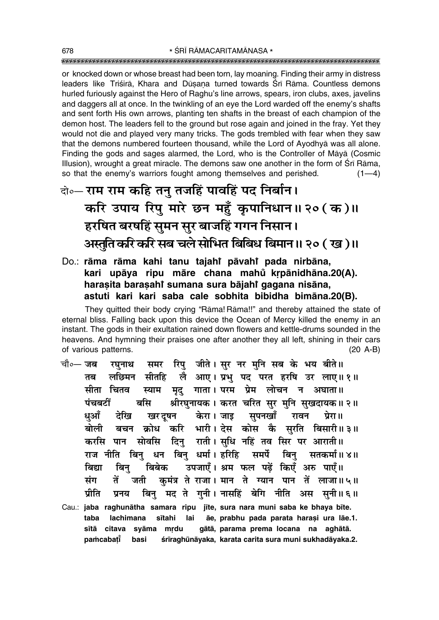or knocked down or whose breast had been torn, lay moaning. Finding their army in distress leaders like Triśirā, Khara and Dūsana turned towards Śrī Rāma. Countless demons hurled furiously against the Hero of Raghu's line arrows, spears, iron clubs, axes, javelins and daggers all at once. In the twinkling of an eye the Lord warded off the enemy's shafts and sent forth His own arrows, planting ten shafts in the breast of each champion of the demon host. The leaders fell to the ground but rose again and joined in the fray. Yet they would not die and played very many tricks. The gods trembled with fear when they saw that the demons numbered fourteen thousand, while the Lord of Ayodhya was all alone. Finding the gods and sages alarmed, the Lord, who is the Controller of Maya (Cosmic Illusion), wrought a great miracle. The demons saw one another in the form of Sri Rama, so that the enemy's warriors fought among themselves and perished.  $(1-4)$ 

# वो०- राम राम कहि तनु तजहिं पावहिं पद निर्बान। करि उपाय रिपु मारे छन महुँ कृपानिधान॥२०(क)॥ हरषित बरषहिं सुमन सुर बाजहिं गगन निसान। अस्तुति करि करि सब चले सोभित बिबिध बिमान॥ २० ( ख )॥

Do.: rāma rāma kahi tanu tajahi pāvahi pada nirbāna, kari upāya ripu māre chana mahů krpānidhāna.20(A). harasita barasahi sumana sura bājahi gagana nisāna, astuti kari kari saba cale sobhita bibidha bimāna.20(B).

They quitted their body crying "Rāma! Rāma!!" and thereby attained the state of eternal bliss. Falling back upon this device the Ocean of Mercy killed the enemy in an instant. The gods in their exultation rained down flowers and kettle-drums sounded in the heavens. And hymning their praises one after another they all left, shining in their cars of various patterns.  $(20 A-B)$ 

- रघनाथ समर रिप जीते। सर नर मनि सब के भय बीते॥ चौ०— जब लै आए। प्रभु पद परत हरषि उर लाए॥१॥ लछिमन सीतहि तब स्याम मृदु गाता। परम प्रेम लोचन न अघाता॥ सीता चितव श्रीरघुनायक। करत चरित सुर मुनि सुखदायक॥२॥ ਧਂਜ਼ਕਣੀਂ बसि खरदूषन केरा।जाइ सुपनखाँ रावन धऑ देखि प्रेरा॥ ्<br>बचन क्रोध करि भारी। देस कोस कै सुरति बिसारी॥ ३॥ बोली करसि पान सोवसि दिनु राती।सुधि नहिं तव सिर पर आराती॥ राज नीति बिनु धन बिनु धर्मा। हरिहि समर्पे बिनु सतकर्मा॥४॥ उपजाएँ। श्रम फल पढ़ें किएँ अरु पाएँ॥ बिबेक बिद्या बिन् कुमंत्र ते राजा। मान ते ग्यान पान तें लाजा॥५॥ तें जती मंग बिनु मद ते गुनी। नासहिं बेगि नीति अस सुनी॥६॥ प्रीति प्रनय Cau.: jaba raghunātha samara ripu jīte, sura nara muni saba ke bhaya bīte.
- lachimana sītahi taba lai ãe, prabhu pada parata harași ura lãe.1. sītā citava syāma mrdu gātā, parama prema locana na aghātā. pamcabati basi śrīraghūnāyaka, karata carita sura muni sukhadāyaka.2.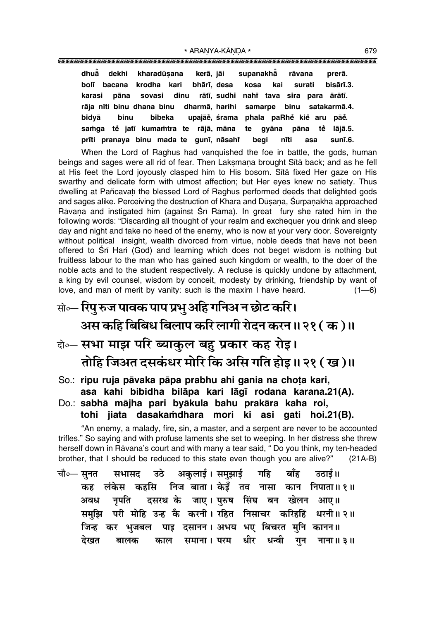dhuằ dekhi supanakhå kharadūsana kerā, jāi rāvana prerā. bolī bacana krodha kari bhārī, desa kosa bisārī.3. kai surati dinu rātī, sudhi nahi tava sira para ārātī. karasi pāna sovasi rāja nīti binu dhana binu dharmā, harihi samarpe binu satakarmā.4. bidvā phala paRhe kie aru binu bibeka upajāě, śrama pāĕ. samga të jati kumamtra te rājā māna te gyāna pāna tě lājā.5. prīti pranava binu mada te qunī, nāsaht sunī.6. begi nīti asa

When the Lord of Raghus had vanquished the foe in battle, the gods, human beings and sages were all rid of fear. Then Laksmana brought Sita back; and as he fell at His feet the Lord joyously clasped him to His bosom. Sita fixed Her gaze on His swarthy and delicate form with utmost affection; but Her eyes knew no satiety. Thus dwelling at Pañcavati the blessed Lord of Raghus performed deeds that delighted gods and sages alike. Perceiving the destruction of Khara and Dūsana, Sūrpanakhā approached Rāvana and instigated him (against Śrī Rāma). In great fury she rated him in the following words: "Discarding all thought of your realm and exchequer you drink and sleep day and night and take no heed of the enemy, who is now at your very door. Sovereignty without political insight, wealth divorced from virtue, noble deeds that have not been offered to Sri Hari (God) and learning which does not beget wisdom is nothing but fruitless labour to the man who has gained such kingdom or wealth, to the doer of the noble acts and to the student respectively. A recluse is quickly undone by attachment, a king by evil counsel, wisdom by conceit, modesty by drinking, friendship by want of love, and man of merit by vanity: such is the maxim I have heard.  $(1-6)$ 

## सो॰— रिपु रुज पावक पाप प्रभु अहि गनिअ न छोट करि। अस कहि बिबिध बिलाप करि लागी रोदन करन॥२१ ( क )॥ वे⊶ सभा माझ परि ब्याकुल बहु प्रकार कह रोइ। तोहि जिअत दसकंधर मोरि कि असि गति होइ॥ २१ ( ख )॥

- So.: ripu ruja pāvaka pāpa prabhu ahi gania na chota kari, asa kahi bibidha bilāpa kari lāgī rodana karana.21(A).
- Do.: sabhā mājha pari byākula bahu prakāra kaha roi, tohi jiata dasakamdhara mori ki asi gati hoi.21(B).

"An enemy, a malady, fire, sin, a master, and a serpent are never to be accounted trifles." So saying and with profuse laments she set to weeping. In her distress she threw herself down in Rāvana's court and with many a tear said, "Do you think, my ten-headed brother, that I should be reduced to this state even though you are alive?"  $(21A-B)$ 

उठे अकलाई। समझाई गहि बाँह चौ∘— सनत सभासद उठाई।। निज बाता। केइँ तव नासा कान निपाता॥१॥ कहसि कह लंकेस दसरथ के जाए। पुरुष सिंघ बन खेलन अवध नपति आए।। परी मोहि उन्ह कै करनी। रहित निसाचर करिहहिं धरनी॥ २॥ समझि पाइ दसानन। अभय भए बिचरत मुनि कानन॥ जिन्ह कर भुजबल समाना । परम धीर धन्वी देखत गन बालक काल नाना ॥ ३ ॥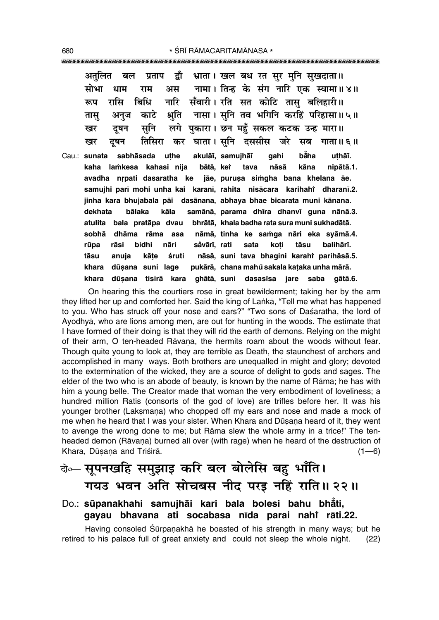|                           |                      | अतुलित  बल  प्रताप  द्वौ  भ्राता । खल बध रत सुर मुनि सुखदाता॥          |
|---------------------------|----------------------|------------------------------------------------------------------------|
| सोभा<br>धाम               |                      | राम अस नामा। तिन्ह के संग नारि एक स्यामा॥४॥                            |
| रासि<br>रूप               |                      | बिधि नारि सँवारी। रति सत कोटि तासु बलिहारी॥                            |
| तास्                      |                      | अनुज काटे श्रुति नासा। सुनि तव भगिनि करहिं परिहासा॥५॥                  |
| खर                        |                      | दूषन सुनि लगे पुकारा। छन महुँ सकल कटक उन्ह मारा॥                       |
| खर                        |                      | दूषन तिसिरा कर घाता।सुनि दससीस जरे सब गाता॥६॥                          |
|                           |                      | Cau.: sunata sabhāsada uṭhe akulāī, samujhāī gahi bằha<br>uthāī.       |
|                           |                      | kaha laṁkesa kahasi nija bātā, kei tava nāsā kāna<br>nipātā.1.         |
| avadha                    |                      | nrpati dasaratha ke jāe, purusa simgha bana khelana āe.                |
|                           |                      | samujhi parī mohi unha kai karanī, rahita nisācara karihaht dharanī.2. |
|                           |                      | jinha kara bhujabala pāi dasānana, abhaya bhae bicarata muni kānana.   |
| bālaka<br>dekhata         |                      | kāla samānā, parama dhīra dhanvī guna nānā.3.                          |
| atulita                   |                      | bala pratāpa dvau bhrātā, khala badha rata sura muni sukhadātā.        |
| sobhā                     |                      | dhāma rāma asa nāmā, tinha ke samga nāri eka syāmā.4.                  |
| bidhi<br>rāsi<br>rūpa     | nāri<br>såvārī, rati | koți<br>sata<br>tāsu<br>balihārī.                                      |
| tāsu<br>anuja             | kāte śruti           | nāsā, suni tava bhagini karahi parihāsā.5.                             |
| khara<br>dūṣana suni lage |                      | pukārā, chana mahů sakala kataka unha mārā.                            |
| dūsana<br>khara           | tisirā kara          | ghātā suni dasasīsa iare saba<br>aātā.6.                               |

On hearing this the courtiers rose in great bewilderment; taking her by the arm they lifted her up and comforted her. Said the king of Lanka, "Tell me what has happened to you. Who has struck off your nose and ears?" "Two sons of Dasaratha, the lord of Ayodhyā, who are lions among men, are out for hunting in the woods. The estimate that I have formed of their doing is that they will rid the earth of demons. Relying on the might of their arm, O ten-headed Rāvaṇa, the hermits roam about the woods without fear. Though guite young to look at, they are terrible as Death, the staunchest of archers and accomplished in many ways. Both brothers are unequalled in might and glory; devoted to the extermination of the wicked, they are a source of delight to gods and sages. The elder of the two who is an abode of beauty, is known by the name of Rāma; he has with him a young belle. The Creator made that woman the very embodiment of loveliness; a hundred million Ratis (consorts of the god of love) are trifles before her. It was his younger brother (Laksmana) who chopped off my ears and nose and made a mock of me when he heard that I was your sister. When Khara and Dusana heard of it, they went to avenge the wrong done to me; but Rāma slew the whole army in a trice!" The tenheaded demon (Rāvana) burned all over (with rage) when he heard of the destruction of Khara, Dūsana and Triśirā.  $(1-6)$ 

## वे- सूपनखहि समुझाइ करि बल बोलेसि बहु भाँति। गयउ भवन अति सोचबस नीद परइ नहिं राति॥ २२॥

### Do.: sūpanakhahi samujhāi kari bala bolesi bahu bhāti, gayau bhavana ati socabasa nīda parai nahi rāti.22.

Having consoled Śūrpanakhā he boasted of his strength in many ways; but he retired to his palace full of great anxiety and could not sleep the whole night.  $(22)$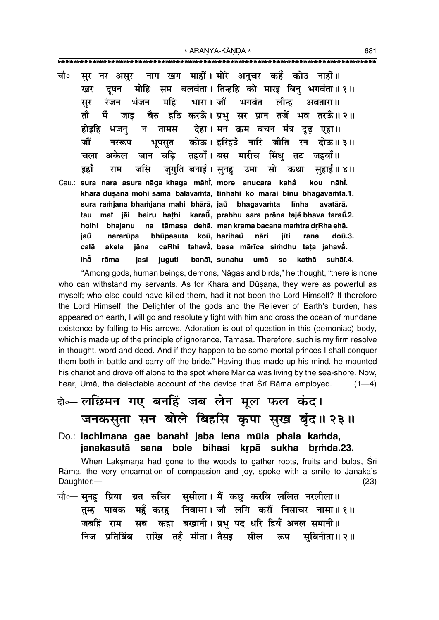\* ARANYA-KĀNDA \*

नाग खग माहीं। मोरे अनचर कहँ कोउ नाहीं॥ चौ∘— सर नर असर सम बलवंता। तिन्हहि को मारड बिन भगवंता॥१॥ खर टषन मोहि भारा । जौं भगवंत सूर महि लीन्ह रंजन भंजन अवतारा ॥ तौ मैं बैरु हठि करऊँ। प्रभ सर प्रान तजें भव तरऊँ॥२॥ जाड तामस देहा । मन क्रम बचन मंत्र दुढ एहा॥ होडहि भजन् न कोऊ। हरिहउँ नारि जीति रन जौं नररूप भूपसत टोऊ॥ ३॥ अकेल जान चढि तहवाँ।बस मारीच सिंध तट जहवाँ॥ चला इहाँ राम जसि जुगुति बनाई । सुनह उमा सो सहाई॥ ४॥ कथा Cau.: sura nara asura nāga khaga māhi, more anucara kahă kou nāhī. khara dūșana mohi sama balavamtā, tinhahi ko mārai binu bhagavamtā.1. sura ramjana bhamjana mahi bhārā, jau bhaqavamta līnha avatārā. mai jāi bairu hathi karaū, prabhu sara prāna taje bhava taraū.2. tau hoihi bhajanu na tāmasa dehā, man krama bacana mamtra drRha ehā. iaů bhūpasuta koū, harihaů nāri iīti rana  $d$ oū $3$ . nararūpa tahava, basa mārīca simdhu tata jahavā. calā akela caRhi jāna banāī, sunahu umā so ihẳ rāma iasi juquti kathā suhāī.4.

"Among gods, human beings, demons, Nāgas and birds," he thought, "there is none who can withstand my servants. As for Khara and Dūsana, they were as powerful as myself; who else could have killed them, had it not been the Lord Himself? If therefore the Lord Himself, the Delighter of the gods and the Reliever of Earth's burden, has appeared on earth, I will go and resolutely fight with him and cross the ocean of mundane existence by falling to His arrows. Adoration is out of question in this (demoniac) body, which is made up of the principle of ignorance, Tāmasa. Therefore, such is my firm resolve in thought, word and deed. And if they happen to be some mortal princes I shall conquer them both in battle and carry off the bride." Having thus made up his mind, he mounted his chariot and drove off alone to the spot where Mārīca was living by the sea-shore. Now, hear, Umā, the delectable account of the device that Śrī Rāma employed.  $(1-4)$ 

# के-लछिमन गए बनहिं जब लेन मूल फल कंद। जनकसूता सन बोले बिहसि कृपा सुख बृंद॥ २३॥

Do.: lachimana gae banahi jaba lena mula phala kamda, janakasutā sana bole bihasi krpā sukha brmda.23.

When Laksmana had gone to the woods to gather roots, fruits and bulbs, Sri Rāma, the very encarnation of compassion and joy, spoke with a smile to Janaka's Daughter:- $(23)$ 

चौ०— सुनह प्रिया ब्रुत रुचिर सुसीला । मैं कछु करबि ललित नरलीला॥ पावक महँ करह निवासा। जौ लगि करौं निसाचर नासा॥१॥ तम्ह जबहिं राम सब कहा बखानी। प्रभु पद धरि हियँ अनल समानी॥ निज प्रतिबिंब राखि तहँ सीता।ैतैसइ सील रूप सबिनीता॥ २॥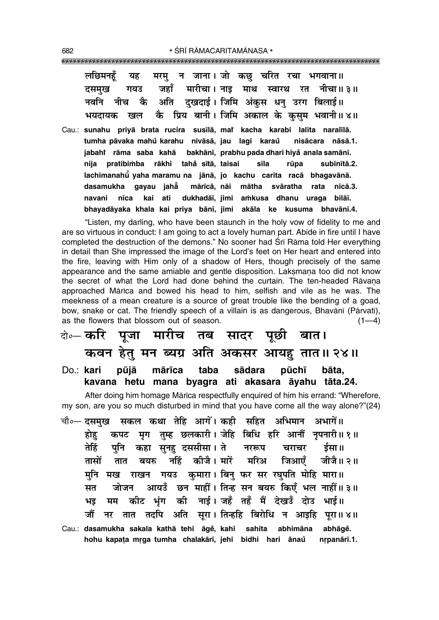|  | लछिमनहँ यह मरम् न जाना। जो कछ चरित रचा भगवाना॥    |  |                                                      |
|--|---------------------------------------------------|--|------------------------------------------------------|
|  |                                                   |  | दसमुख गयउ जहाँ मारीचा। नाइ माथ स्वारथ रत नीचा॥३॥     |
|  | नवनि नीच कै अति दुखदाई। जिमि अंकुस धनु उरग बिलाई॥ |  |                                                      |
|  |                                                   |  | भयदायक खल कै प्रिय बानी। जिमि अकाल के कुसुम भवानी॥४॥ |

Cau.: **sunahu priyå brata rucira sus∂lå, maiÚ kacha karabi lalita naral∂lå. tumha påvaka mahu karahu nivåså, ° jau lagi karau nisåcara nåså.1. °** jabahi<sup>†</sup> rāma saba kahā  **råma saba kahå bakhån∂, prabhu pada dhari hiya° anala samån∂. nija pratibi≈ba råkhi taha° s∂tå, taisai s∂la rµupa subin∂tå.2. lachimanahµu° yaha maramu na jånå, jo kachu carita racå bhagavånå. dasamukha gayau jahå° mår∂cå, nåi måtha svåratha rata n∂cå.3. navani n∂ca kai ati dukhadå∂, jimi a≈kusa dhanu uraga bilå∂. bhayadåyaka khala kai priya bån∂, jimi akåla ke kusuma bhavån∂.4.**

"Listen, my darling, who have been staunch in the holy vow of fidelity to me and are so virtuous in conduct: I am going to act a lovely human part. Abide in fire until I have completed the destruction of the demons." No sooner had Srī Rāma told Her everything in detail than She impressed the image of the Lord's feet on Her heart and entered into the fire, leaving with Him only of a shadow of Hers, though precisely of the same appearance and the same amiable and gentle disposition. Laksmana too did not know the secret of what the Lord had done behind the curtain. The ten-headed Rāvana approached Mår∂ca and bowed his head to him, selfish and vile as he was. The meekness of a mean creature is a source of great trouble like the bending of a goad, bow, snake or cat. The friendly speech of a villain is as dangerous, Bhavānī (Pārvatī), as the flowers that blossom out of season.  $(1-4)$ 

# दो∘— **करि पूजा मारीच तब सादर पूछी बात। कवन हेतु मन ब्यग्र अति अकसर आयह तात॥ २४॥**

Do.: **kari pµujå mår∂ca taba sådara pµuch∂ båta, kavana hetu mana byagra ati akasara åyahu tåta.24.**

After doing him homage Mārīca respectfully enquired of him his errand: "Wherefore, my son, are you so much disturbed in mind that you have come all the way alone?"(24)

- चौ०— दसमुख सकल कथा तेहि आगें। कही सहित अभिमान अभागें॥ होह कपट मृग तुम्ह छलकारी । जेहि बिधि हरि आनौँ नृपनारी ॥ १ ॥ तेहिं पुनि कहा सुनहु दससीसा।**ते नररूप चराचर ईसा**॥ तासों तात बयरु नहिं कीजै।**मारें मरिअ जिआएँ जीजै॥२॥ मुनि मख राखन गयउ कुमारा। बिनु फर सर रघुपति मोहि मारा।।** सत जोजन आयउँ छन माहीं। तिन्ह सन बयरु किएँ भल नाहीं॥३॥ भइ मम कीट भूंग की नाई।जहँ तहँ मैं देखउँ दोउ भाई॥ जौं नर तात तदपि अति सुरा।**तिन्हहि बिरोधि न आइहि पुरा॥४**॥
- Cau.: **dasamukha sakala kathå tehi åge°, kah∂ sahita abhimåna abhåge°. hohu kapa¢a mæga tumha chalakår∂, jehi bidhi hari ånau næpanår∂.1. °**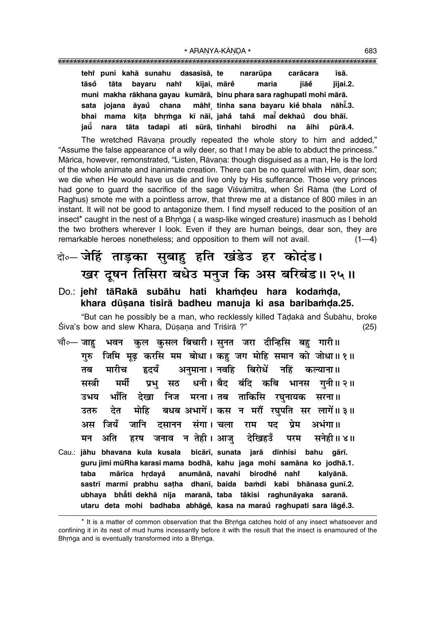|  |  |  | teht puni kahā sunahu  dasasīsā, te   nararūpa                        | carācara | īsā.     |
|--|--|--|-----------------------------------------------------------------------|----------|----------|
|  |  |  | tāsŏ tāta bavaru nahi  kījai, mārĕ  maria  .                          | jiāė     | jījai.2. |
|  |  |  | muni makha rākhana gayau kumārā, binu phara sara raghupati mohi mārā. |          |          |
|  |  |  | sata jojana āyaŭ  chana  māhi tinha sana bayaru kiĕ bhala  nāhī̃.3.   |          |          |
|  |  |  | bhai mama kīṭa bhṛṁga kī nāī, jahằ tahằ maīঁ dekhaů dou-bhāī.         |          |          |
|  |  |  | aŭ nara tāta tadapi ati sūrā, tinhahi birodhi na āihi pūrā.4.         |          |          |

The wretched Ravana proudly repeated the whole story to him and added." "Assume the false appearance of a wily deer, so that I may be able to abduct the princess." Mārīca, however, remonstrated, "Listen, Rāvana: though disguised as a man, He is the lord of the whole animate and inanimate creation. There can be no quarrel with Him, dear son; we die when He would have us die and live only by His sufferance. Those very princes had gone to quard the sacrifice of the sage Viśvāmitra, when Śrī Rāma (the Lord of Raghus) smote me with a pointless arrow, that threw me at a distance of 800 miles in an instant. It will not be good to antagonize them. I find myself reduced to the position of an insect\* caught in the nest of a Bhrnga (a wasp-like winged creature) inasmuch as I behold the two brothers wherever I look. Even if they are human beings, dear son, they are remarkable heroes nonetheless; and opposition to them will not avail.  $(1-4)$ 

## वे०- जेहिं ताड़का सुबाहु हति खंडेउ हर कोदंड। खर दूषन तिसिरा बधेउ मनुज कि अस बरिबंड॥ २५॥

### Do.: jehř tāRakā subāhu hati khamdeu hara kodamda, khara dūșana tisirā badheu manuja ki asa baribamda.25.

"But can he possibly be a man, who recklessly killed Tādakā and Śubāhu, broke Śiva's bow and slew Khara, Dūsana and Triśirā ?"  $(25)$ 

भवन कुल कुसल बिचारी। सुनत जरा दीन्हिसि बहु गारी॥ चौ०— जाह गुरु जिमि मूढ़ करसि मम बोधा। कहु जग मोहि समान को जोधा॥१॥ हृदयँ अनुमाना। नवहि बिरोधें नहिं कल्याना॥ तब मारीच प्रभु सठ धनी। बैद बंदि कबि भानस गुनी॥ २॥ मर्मी सस्त्री भाँति देखा निज मरना।तब ताकिसि रघनायक सरना॥ उभय देत मोहि बधब अभागें। कस न मरौं रघपति सर लागें॥ ३॥ उतरु अस जियँ जानि दसानन संगा।वचला राम पद प्रेम अभंगा॥ हरष जनाव न तेही। आज् अति देखिहउँ सनेही॥४॥ मन परम Cau.: jāhu bhavana kula kusala bicārī, sunata jarā dīnhisi bahu gārī. guru jimi mūRha karasi mama bodhā, kahu jaga mohi samāna ko jodhā.1. mārīca hrdayå anumānā, navahi birodhe nahi taba kalyānā. sastrī marmī prabhu satha dhanī, baida bamdi kabi bhānasa gunī.2. ubhaya bhati dekhā nija maranā, taba tākisi raghunāyaka saranā.

utaru deta mohi badhaba abhāgě, kasa na maraů raghupati sara lāgě.3.

<sup>\*</sup> It is a matter of common observation that the Bhrnga catches hold of any insect whatsoever and confining it in its nest of mud hums incessantly before it with the result that the insect is enamoured of the Bhrnga and is eventually transformed into a Bhrnga.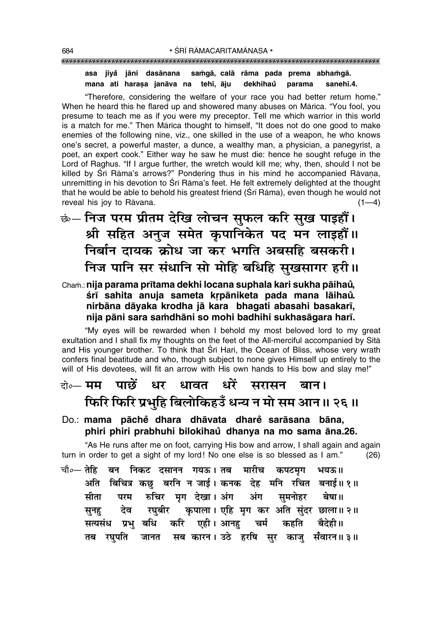#### asa jiyå jāni dasānana samgā, calā rāma pada prema abhamgā. mana ati harasa janāva na tehī, āju dekhihaů parama sanehī.4.

"Therefore, considering the welfare of your race you had better return home." When he heard this he flared up and showered many abuses on Mārīca. "You fool, you presume to teach me as if you were my preceptor. Tell me which warrior in this world is a match for me." Then Marica thought to himself. "It does not do one good to make enemies of the following nine, viz., one skilled in the use of a weapon, he who knows one's secret, a powerful master, a dunce, a wealthy man, a physician, a panegyrist, a poet, an expert cook." Either way he saw he must die: hence he sought refuge in the Lord of Raghus. "If I argue further, the wretch would kill me; why, then, should I not be killed by Srī Rāma's arrows?" Pondering thus in his mind he accompanied Rāvaņa, unremitting in his devotion to Srī Rāma's feet. He felt extremely delighted at the thought that he would be able to behold his greatest friend (Sri Rama), even though he would not reveal his joy to Rāvana.  $(1-4)$ 

कं- निज परम प्रीतम देखि लोचन सुफल करि सुख पाइहौं। श्री सहित अनुज समेत कुपानिकेत पद मन लाइहौं।। निर्बान दायक क्रोध जा कर भगति अबसहि बसकरी। निज पानि सर संधानि सो मोहि बधिहि सुखसागर हरी।।

Cham.: nija parama prītama dekhi locana suphala kari sukha pāihaŭ, śrī sahita anuja sameta krpāniketa pada mana lāihaů. nirbāna dāyaka krodha jā kara bhagati abasahi basakarī, nija pāni sara samdhāni so mohi badhihi sukhasāgara harī.

"My eyes will be rewarded when I behold my most beloved lord to my great exultation and I shall fix my thoughts on the feet of the All-merciful accompanied by Sita and His younger brother. To think that Sri Hari, the Ocean of Bliss, whose very wrath confers final beatitude and who, though subject to none gives Himself up entirely to the will of His devotees, will fit an arrow with His own hands to His bow and slay me!"

#### दो**॰— मम) पाछें** धर धावत धरें सरासन बान। फिरि फिरि प्रभुहि बिलोकिहउँ धन्य न मो सम आन॥ २६॥

Do.: mama pāche dhara dhāvata dhare sarāsana bāna, phiri phiri prabhuhi bilokihaŭ dhanya na mo sama āna.26.

"As He runs after me on foot, carrying His bow and arrow, I shall again and again turn in order to get a sight of my lord! No one else is so blessed as I am."  $(26)$ 

चौ∘— तेहि बन निकट दसानन गयऊ । तब मारीच कपटमृग भयऊ॥ अति बिचित्र कछ बरनि न जाई। कनक देह मनि रचित बनाई॥१॥ रुचिर मग देखा।अंग अंग समनोहर बेषा॥ सीता परम देव रघुबीर कृपाला। एहि मृग कर अति सुंदर छाला॥२॥ सनह सत्यसंध प्रभु बधि करि एही।आनह चर्म कहति बैदेही॥ जानत सब कारन। उठे हरषि सुर काजु सँवारन॥३॥ तब रघपति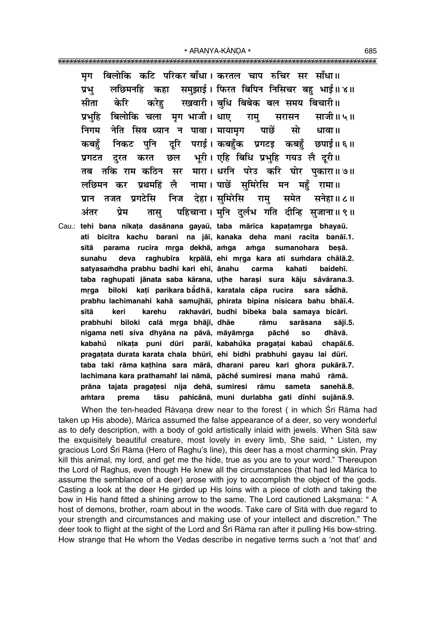\* ARANYA-KĀNDA \* 

बिलोकि कटि परिकर-बाँधा। करतल चाप रुचिर सर साँधा॥ मग कहा समुझाई। फिरत बिपिन निसिचर बह भाई॥४॥ लछिमनहि प्रभ सीता केरि करेह रखवारी। बुधि बिबेक बल समय बिचारी॥ बिलोकि चला मग भाजी। धाए प्रभहि राम माजी॥ ५॥ मरामन निगम नेति सिव ध्यान न पावा। मायामग पार्छे मो धावा ॥ दुरि पराई। कबहँक प्रगटइ कबहँ छपाई॥६॥ कबहँ निकट पनि भूरी। एहि बिधि प्रभुहि गयउ लै दुरी॥ प्रगटत दरत करत छल तब तकि राम कठिन सर मारा। धरनि परेउ करि घोर पकारा॥७॥ नामा। पाछें सुमिरेसि मन महुँ रामा॥ लै प्रथमहिं लछिमन कर निज देहा। समिरेसि प्रगटेसि राम् समेत सनेहा॥ ८॥ प्रान तजत पहिचाना। मुनि दुर्लभ गति दीन्हि सुजाना॥ ९॥ अंतर प्रेम तास

Cau.: tehi bana nikata dasānana gayaū, taba mārīca kapatamrga bhayaū. ati bicitra kachu barani na jāī, kanaka deha mani racita banāī.1. parama rucira mrga dekhā, amga amga sītā sumanohara besā. raghubīra krpālā, ehi mrga kara ati sumdara chālā.2. sunahu deva satyasamdha prabhu badhi kari ehī, ānahu carma kahati baidehī. taba raghupati jānata saba kārana, uthe harasi sura kāju såvārana.3. mrga biloki kati parikara badha, karatala cāpa rucira sara sẵdhā. prabhu lachimanahi kahā samujhāī, phirata bipina nisicara bahu bhāī.4. sītā keri karehu rakhavārī, budhi bibeka bala samaya bicārī. biloki calā mrga bhājī, dhāe prabhuhi rāmu sarāsana sājī.5. nigama neti siva dhyāna na pāvā, māyāmrga dhāvā. pāchě **SO** nikata puni dūri parāī, kabahuka pragatai kabau kabahů chapāī.6. pragatata durata karata chala bhūrī, ehi bidhi prabhuhi gayau lai dūrī. taba taki rāma kathina sara mārā, dharani pareu kari ghora pukārā.7. lachimana kara prathamahî lai nāmā, pāchě sumiresi mana mahů rāmā. prāna tajata pragatesi nija dehā, sumiresi rāmu sameta sanehā.8. amtara prema pahicānā, muni durlabha gati dīnhi sujānā.9. tāsu

When the ten-headed Rāvana drew near to the forest (in which Srī Rāma had taken up His abode), Mārīca assumed the false appearance of a deer, so very wonderful as to defy description, with a body of gold artistically inlaid with jewels. When Sita saw the exquisitely beautiful creature, most lovely in every limb, She said, "Listen, my gracious Lord Śrī Rāma (Hero of Raghu's line), this deer has a most charming skin. Pray kill this animal, my lord, and get me the hide, true as you are to your word." Thereupon the Lord of Raghus, even though He knew all the circumstances (that had led Mārīca to assume the semblance of a deer) arose with joy to accomplish the object of the gods. Casting a look at the deer He girded up His loins with a piece of cloth and taking the bow in His hand fitted a shining arrow to the same. The Lord cautioned Laksmana: "A host of demons, brother, roam about in the woods. Take care of Sita with due regard to your strength and circumstances and making use of your intellect and discretion." The deer took to flight at the sight of the Lord and Sri Rama ran after it pulling His bow-string. How strange that He whom the Vedas describe in negative terms such a 'not that' and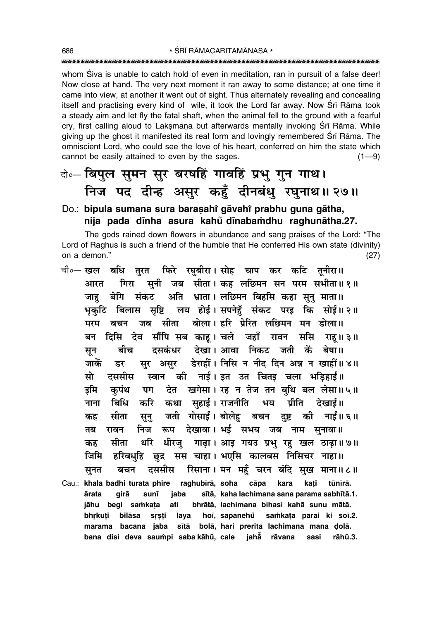whom Siva is unable to catch hold of even in meditation, ran in pursuit of a false deer! Now close at hand. The very next moment it ran away to some distance; at one time it came into view, at another it went out of sight. Thus alternately revealing and concealing itself and practising every kind of wile, it took the Lord far away. Now Sri Rama took a steady aim and let fly the fatal shaft, when the animal fell to the ground with a fearful cry, first calling aloud to Laksmana but afterwards mentally invoking Sri Rama. While giving up the ghost it manifested its real form and lovingly remembered Sri Rāma. The omniscient Lord, who could see the love of his heart, conferred on him the state which cannot be easily attained to even by the sages.  $(1 - 9)$ 

## बे॰ बिपुल सुमन सुर बरषहिं गावहिं प्रभु गुन गाथ। निज पद दीन्ह असुर कहुँ दीनबंधु रघुनाथ॥ २७॥

### Do.: bipula sumana sura barasahi gāvahi prabhu guna gātha, nija pada dīnha asura kahů dīnabamdhu raghunātha.27.

The gods rained down flowers in abundance and sang praises of the Lord: "The Lord of Raghus is such a friend of the humble that He conferred His own state (divinity) on a demon."  $(27)$ 

- बधि तुरत फिरे रघुबीरा।सोह चाप कर कटि तुनीरा॥ चौ०— खल सुनी जब सीता। कह लछिमन सन परम सभीता॥१॥ गिरा आरत बेगि संकट अति भ्राता।लछिमन बिहसि कहा सुनु माता॥ जाह लय होई। सपनेहुँ संकट परइ कि सोई॥२॥ भुकुटि बिलास सृष्टि जब सीता बोला।इरि प्रेरित लछिमन मन डोला॥ मरम बचन दिसि देव सौंपि सब काहू। चले जहाँ रावन ससि राहू॥३॥ बन दसकंधर देखा।आवा निकट जती कें बेषा॥ बीच सून सर असर डेराहीं। निसि न नीद दिन अन्न न खाहीं॥ ४॥ जाकें डर स्वान की नाईं। इत उत चितइ चला भड़िहाईं॥ मो दससीस पग देत खगेसा। रह न तेज तन बधि बल लेसा॥५॥ इमि कपंथ करि कथा सहाई। राजनीति बिधि भय प्रीति देखाई॥ नाना जती गोसाईं। बोलेहु बचन दुष्ट की नाईं॥६॥ सीता कह सून् रूप देखावा। भई सभय जब नाम सुनावा॥ निज तब रावन सीता धरि धीरजु गाढ़ा। आइ गयउ प्रभु रह खल ठाढ़ा॥ ७॥ कह हरिबधुहि छुद्र सस चाहा। भएसि कालबस निसिचर नाहा॥ जिमि रिसाना। मन महुँ चरन बंदि सुख माना॥ ८॥ सूनत बचन दससीस Cau.: khala badhi turata phire raghubīrā, soha cāpa kara kati tūnīrā. ārata girā sunī jaba sītā, kaha lachimana sana parama sabhītā.1. bhrātā, lachimana bihasi kahā sunu mātā. jāhu begi samkata ati
	- hoī, sapanehů samkata parai ki soī.2. bhrkuti bilāsa srsti laya marama bacana jaba sītā bolā, hari prerita lachimana mana dolā. bana disi deva saumpi saba kāhū, cale jahẳ rāvana rāhū.3. sasi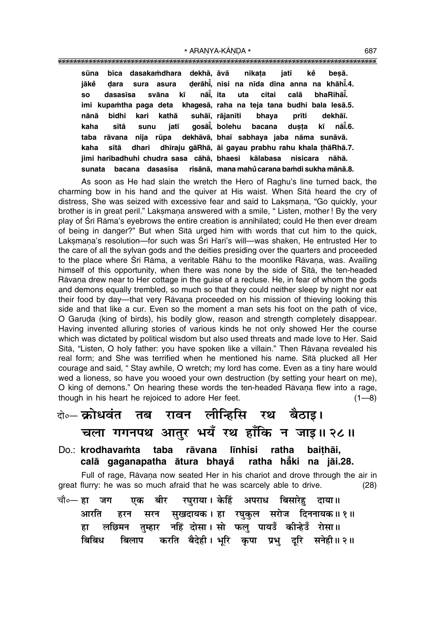**sµuna b∂ca dasaka≈dhara dekhå, åvå nika¢a jat∂ ke be¶å. ° jåke Œara sura asura ° Œeråh∂° , nisi na n∂da dina anna na khåh∂° .4. so dasas∂sa svåna k∂ nå∂° , ita uta citai calå bhaRihå∂° . imi kupa≈tha paga deta khageså, raha na teja tana budhi bala leså.5. nånå bidhi kari kathå suhå∂, råjan∂ti bhaya pr∂ti dekhå∂. kaha s∂tå sunu jat∂ goså∂° , bolehu bacana du¶¢a k∂ nå∂° .6. taba råvana nija rµupa dekhåvå, bha∂ sabhaya jaba nåma sunåvå. kaha s∂tå dhari dh∂raju gåRhå, åi gayau prabhu rahu khala ¢håRhå.7. jimi haribadhuhi chudra sasa cåhå, bhaesi kålabasa nisicara nåhå. sunata bacana dasas∂sa risånå, mana mahu carana ba≈di sukha månå.8. °**

As soon as He had slain the wretch the Hero of Raghuís line turned back, the charming bow in his hand and the quiver at His waist. When S∂tå heard the cry of distress, She was seized with excessive fear and said to Laksmana, "Go quickly, your brother is in great peril." Laksmana answered with a smile, "Listen, mother! By the very play of Srī Rāma's eyebrows the entire creation is annihilated; could He then ever dream of being in danger?" But when Sītā urged him with words that cut him to the quick, Laksmana's resolution—for such was Srī Hari's will—was shaken, He entrusted Her to the care of all the sylvan gods and the deities presiding over the quarters and proceeded to the place where Srī Rāma, a veritable Rāhu to the moonlike Rāvana, was. Availing himself of this opportunity, when there was none by the side of Sītā, the ten-headed Rāvana drew near to Her cottage in the guise of a recluse. He, in fear of whom the gods and demons equally trembled, so much so that they could neither sleep by night nor eat their food by day—that very Rāvana proceeded on his mission of thieving looking this side and that like a cur. Even so the moment a man sets his foot on the path of vice, O Garuda (king of birds), his bodily glow, reason and strength completely disappear. Having invented alluring stories of various kinds he not only showed Her the course which was dictated by political wisdom but also used threats and made love to Her. Said Sītā, "Listen, O holy father: you have spoken like a villain." Then Rāvana revealed his real form; and She was terrified when he mentioned his name. Sītā plucked all Her courage and said, "Stay awhile, O wretch; my lord has come. Even as a tiny hare would wed a lioness, so have you wooed your own destruction (by setting your heart on me), O king of demons." On hearing these words the ten-headed Rāvana flew into a rage, though in his heart he rejoiced to adore Her feet.  $(1-8)$ 

## दो**∘– क्रोधवंत तब रावन लीन्हिसि रथ बैठाइ।** <u>चला गगनपथ आतुर भयँ रथ हाँकि न जाइ॥२८॥</u>

Do.: **krodhava≈ta taba råvana l∂nhisi ratha bai¢håi, calå gaganapatha åtura bhaya ratha hå ° ° ki na jåi.28.**

Full of rage, Rāvana now seated Her in his chariot and drove through the air in great flurry: he was so much afraid that he was scarcely able to drive. (28)

चौ०— हा जग एक बीर रघुराया। केहिं अपराध बिसारेह दाया॥ <mark>आरति हरन सरन सुखदायक।हा रघुकुल सरोज दिननायक॥१॥</mark> हा लछिमन तुम्हार नहिं दोसा।सो फलु पायउँ कीन्हेउँ रोसा॥ **बिबिध बिलाप करति बैदेही।** भूरि कृपा प्रभु दूरि सनेही॥२॥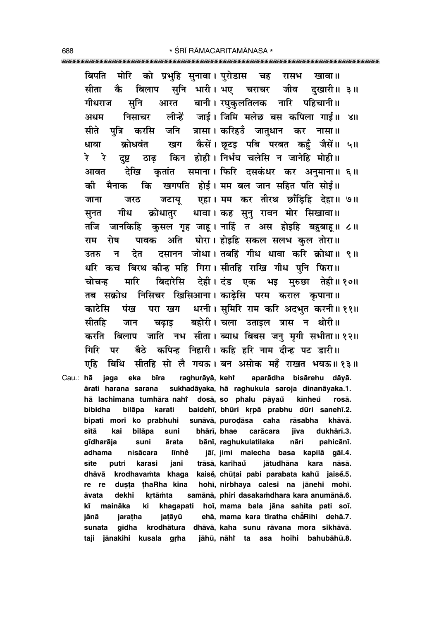बिपति मोरि को प्रभहि सनावा। परोडास चह रासभ खावा ॥ बिलाप सनि भारी। भए चराचर जीव दखारी॥ ३॥ सीता कै गीधराज सनि आरत बानी। रघकलतिलक नारि पहिचानी॥ लीन्हें जाई। जिमि मलेछ बस कपिला गाई॥ ४॥ अधम निसाचर पत्रि करसि जनि त्रासा। करिहउँ जातुधान कर नासा॥ सीते खग कैसें। छुटइ पबि परबत कहँ जैसें॥ ५॥ धावा कोधवंत किन होही। निर्भय चलेसि न जानेहि मोही॥  $\mathcal{F}$  $\mathcal{F}$ दष्ट ठाढ देखि कतांत समाना।। फिरि दसकंधर कर अनमाना॥ ६॥ आवत की मैनाक कि खगपति होई। मम बल जान सहित पति सोई॥ जटायु एहा। मम कर तीरथ छाँडिहि देहा॥ ७॥ जाना जरठ क्रोधातुर धावा। कह सुन रावन मोर सिखावा॥ गीध सनत तजि जानकिहि कुसल गृह जाहू। नाहिं त अस होइहि बहुबाहु॥ ८॥ पावक अति घोरा। होइहि सकल सलभ कल तोरा॥ राम रोष दसानन जोधा। तबहिं गीध धावा करि क्रोधा॥ ९॥ न देत उतरु धरि कच बिरथ कीन्ह महि गिरा। सीतहि राखि गीध पनि फिरा॥ बिदारेसि देही।दंड एक भइ मुरुछा तेही॥१०॥ चोचन्न मारि तब सक्रोध निसिचर खिसिआना। काढेसि परम कराल कपाना॥ परा खग धरनी। समिरि राम करि अदभत करनी॥११॥ काटेसि पंख चढाइ बहोरी। चला उताइल त्रास न थोरी॥ सीतहि जान करति बिलाप जाति नभ सीता। ब्याध बिबस जन् मृगी सभीता॥१२॥ गिरि पर बैठे कपिन्ह निहारी। कहि हरि नाम दीन्ह पट डारी।। एहि बिधि सीतहि सो लै गयऊ। बन असोक महँ राखत भयऊ॥१३॥

Cau.: hā jaga eka bīra raghurāyā, kehř aparādha bisārehu dāyā. ārati harana sarana sukhadāyaka, hā raghukula saroja dinanāyaka.1. hā lachimana tumhāra nahi dosā, so phalu pāyaů kīnheů rosā. bilāpa karati baidehī, bhūri krpā prabhu dūri sanehī.2. bibidha bipati mori ko prabhuhi sunāvā, purodāsa caha rāsabha khāvā. sītā bilāpa bhārī, bhae carācara dukhārī.3. kai suni jīva qīdharāja suni ārata bānī, raghukulatilaka nāri pahicānī. adhama nisācara līnhẻ jāi, jimi malecha basa kapilā gāi.4. karasi trāsā, karihau jātudhāna kara sīte putri jani nāsā. dhāvā krodhavamta khaga kaisė, chūtai pabi parabata kahů jaisė.5. hohī, nirbhaya calesi na jānehi mohī. dusta thaRha kina re re krtāmta samānā, phiri dasakamdhara kara anumānā.6. āvata dekhi kī maināka ki khaqapati hoi, mama bala jāna sahita pati soi. iānā jaratha jatāyū ehā, mama kara tīratha chāRihi dehā.7. sunata gīdha krodhātura dhāvā, kaha sunu rāvana mora sikhāvā. taji jānakihi kusala grha jāhū, nāhi ta asa hoihi bahubāhū.8.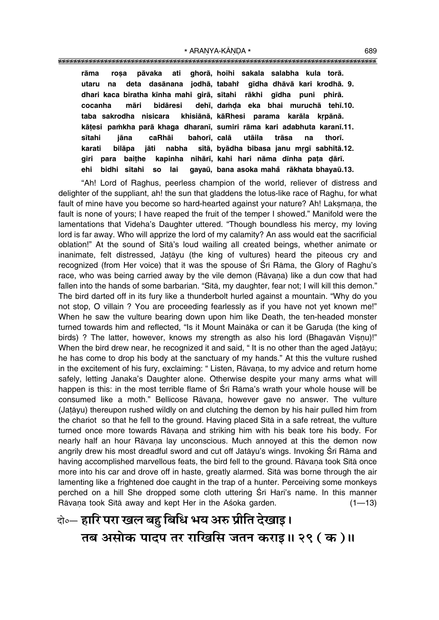\* ARANYA-KĀNDA \*

ghorā, hoihi sakala salabha kula torā. rāma rosa pāvaka ati deta dasānana jodhā, tabahi gīdha dhāvā kari krodhā. 9. utaru na dhari kaca biratha kīnha mahi girā, sītahi rākhi gīdha puni phirā. dehī, damda eka bhai muruchā tehī.10. māri cocanha bidāresi taba sakrodha nisicara khisiānā, kāRhesi parama karāla krpānā. kātesi pamkha parā khaga dharanī, sumiri rāma kari adabhuta karanī.11. sītahi jāna caRhāi bahorī, calā utāila trāsa na thorī. karati bilāpa nabha sītā, byādha bibasa janu mrgī sabhītā.12. jāti kapinha nihārī, kahi hari nāma dīnha pata dārī. airi para baithe bidhi sītahi gayaū, bana asoka mahå rākhata bhayaū.13. ehi **SO** lai

"Ah! Lord of Raghus, peerless champion of the world, reliever of distress and delighter of the suppliant, ah! the sun that gladdens the lotus-like race of Raghu, for what fault of mine have you become so hard-hearted against your nature? Ah! Laksmana, the fault is none of yours; I have reaped the fruit of the temper I showed." Manifold were the lamentations that Videha's Daughter uttered. "Though boundless his mercy, my loving lord is far away. Who will apprize the lord of my calamity? An ass would eat the sacrificial oblation!" At the sound of Sita's loud wailing all created beings, whether animate or inanimate, felt distressed, Jatāyu (the king of vultures) heard the piteous cry and recognized (from Her voice) that it was the spouse of Sri Rāma, the Glory of Raghu's race, who was being carried away by the vile demon (Rāvana) like a dun cow that had fallen into the hands of some barbarian. "Sita, my daughter, fear not; I will kill this demon." The bird darted off in its fury like a thunderbolt hurled against a mountain. "Why do you not stop. O villain ? You are proceeding fearlessly as if you have not yet known me!" When he saw the vulture bearing down upon him like Death, the ten-headed monster turned towards him and reflected, "Is it Mount Maināka or can it be Garuda (the king of birds) ? The latter, however, knows my strength as also his lord (Bhagavān Visnu)!" When the bird drew near, he recognized it and said, "It is no other than the aged Jatayu; he has come to drop his body at the sanctuary of my hands." At this the vulture rushed in the excitement of his fury, exclaiming: "Listen, Rāvana, to my advice and return home safely, letting Janaka's Daughter alone. Otherwise despite your many arms what will happen is this: in the most terrible flame of Srī Rāma's wrath your whole house will be consumed like a moth." Bellicose Rāvana, however gave no answer. The vulture (Jatāyu) thereupon rushed wildly on and clutching the demon by his hair pulled him from the chariot so that he fell to the ground. Having placed Sita in a safe retreat, the vulture turned once more towards Rāvana and striking him with his beak tore his body. For nearly half an hour Rāvaņa lay unconscious. Much annoyed at this the demon now angrily drew his most dreadful sword and cut off Jatāyu's wings. Invoking Srī Rāma and having accomplished marvellous feats, the bird fell to the ground. Rāvana took Sītā once more into his car and drove off in haste, greatly alarmed. Sita was borne through the air lamenting like a frightened doe caught in the trap of a hunter. Perceiving some monkeys perched on a hill She dropped some cloth uttering Srī Hari's name. In this manner Rāvaņa took Sītā away and kept Her in the Aśoka garden.  $(1 - 13)$ 

## वे॰- हारि परा खल बहु बिधि भय अरु प्रीति देखाइ। तब असोक पादप तर राखिसि जतन कराइ॥ २९ ( क )॥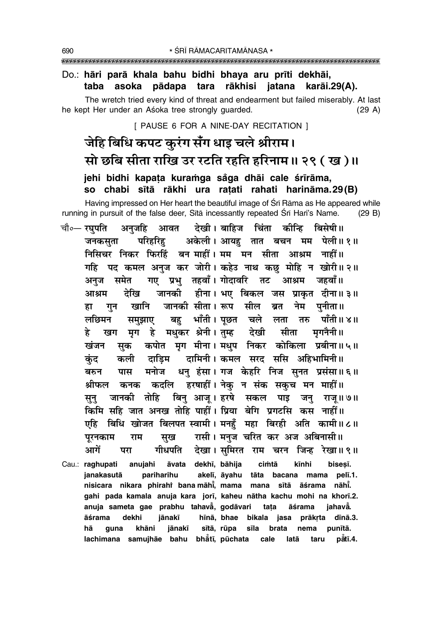### Do.: **håri parå khala bahu bidhi bhaya aru pr∂ti dekhåi, taba asoka pådapa tara råkhisi jatana karåi.29(A).**

The wretch tried every kind of threat and endearment but failed miserably. At last he kept Her under an Asoka tree strongly guarded. (29 A)

[ PAUSE 6 FOR A NINE-DAY RECITATION ]

# <u>जेहि बिधि कपट कुरंग सँग धाइ चले श्रीराम।</u> **सो छबि सीता राखि उर रटति रहति हरिनाम ॥ २९ ( ख)॥**

### **jehi bidhi kapa¢a kura≈ga sa°ga dhåi cale ‹r∂råma, so chabi s∂tå råkhi ura ra¢ati rahati harinåma.29(B)**

Having impressed on Her heart the beautiful image of Śrī Rāma as He appeared while running in pursuit of the false deer, Sītā incessantly repeated Śrī Hari's Name. (29 B)

- ँचौ०– रघपति अनजहि आवत देखी । बाहिज चिंता कीन्हि बिसेषी ॥ जनकसता परिहरि<u>ह</u> अकेली।अायह तात बचन मम पेली॥१॥ <u>निसिचर निकर फिरहिं बन माहीं। मम मन सीता आश्रम नाहीं॥</u> **गहि पद कमल अनुज कर जोरी। कहेउ नाथ कछ मोहि न खोरी॥२॥** <u>अनुज समेत गए प्रभु तहवाँ।गोदावरि तट आश्रम जहवाँ॥</u> <u>आश्रम देखि जानकी होना। भए बिकल जस प्राकृत दोना॥३॥</u> हा गुन खानि जानकी**सीता। रूप सील ब्रत नेम पुनीता**॥ लछिमन समझाए बह भाँती।**पछत चले लता तरु पाँती॥४**॥ हे खग मृग हे मधुकर श्रेनी।तुम्ह देखी सीता मृगनैनी॥ **खंजन सुक कपोत मृग मीना। मधुप निकर कोकिला प्रबीना॥५॥ कंद कली दाडिम दामिनी।कमल सरद ससि अहिभामिनी॥** बरुन पास मनोज धन् हंसा।**गज केहरि निज सुनत प्रसंसा॥६॥** <u>श्रीफल कनक कदलि हरषाहीं। नेक न संक सकच मन माहीं॥</u> सन जानकी तोहि बिन् आज् ।**हरषे सकल पाइ जन राज् ।।** ७ ।। **किमि सहि जात अनख तोहि पाहीं। प्रिया बेगि प्रगटसि कस नाहीं॥**  $\overline{v}$ हि बिधि खोजत बिलपत स्वामी। मनहँ महा बिरही अति कामी॥८॥ पुरनकाम राम सुख रासी।**मन्**ज चरित कर अज<sup>3</sup>अबिनासी॥ <u>आगें परा गीधपति देखा।सुमिरत राम चरन जिन्ह रेखा॥९॥</u>
- Cau.: **raghupati anujahi åvata dekh∂, båhija ci≈tå k∂nhi bise¶∂.** janakasutā pariharihu akelī, āyahu tāta bacana mama pelī.1. **nisicara nikara phirahiÚ bana måh∂° , mama mana s∂tå å‹rama nåh∂° . gahi pada kamala anuja kara jor∂, kaheu nåtha kachu mohi na khor∂.2. anuja sameta gae prabhu tahavå° , godåvari ta¢a å‹rama jahavå° .** āśrama dekhi jānakī hīnā, bhae bikala jasa prākrta dīnā.3. **hå guna khåni jånak∂ s∂tå, rµupa s∂la brata nema pun∂tå. lachimana samujhåe bahu bhå° t∂, pµuchata cale latå taru på° t∂.4.**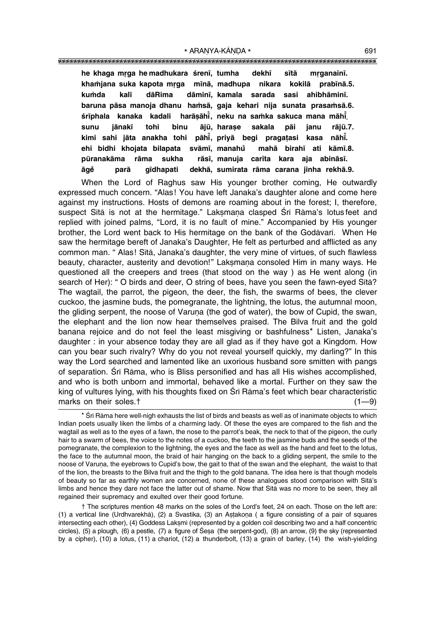\* ARANYA-KĀNDA \* 691

he khaga mrga he madhukara śrenī, tumha dekhī sītā mrganainī. khamjana suka kapota mrga mīnā, madhupa nikara kokilā prabīnā.5. **ku≈da kal∂ dåRima dåmin∂, kamala sarada sasi ahibhåmin∂.** baruna pāsa manoja dhanu hamsā, gaja kehari nija sunata prasamsā.6. **‹r∂phala kanaka kadali harå¶åh∂° , neku na sa≈ka sakuca mana måh∂° .** sunu jānakī tohi binu ājū,harase sakala pāi janu rājū.7. **kimi sahi jåta anakha tohi påh∂° , priyå begi praga¢asi kasa nåh∂°** kasa nāhī. **ehi bidhi khojata bilapata svåm∂, manahu mahå birah∂ ati kåm∂.8. ° pµuranakåma råma sukha rås∂, manuja carita kara aja abinås∂. åge parå g∂dhapati ° dekhå, sumirata råma carana jinha rekhå.9.**

When the Lord of Raghus saw His younger brother coming, He outwardly expressed much concern. "Alas! You have left Janaka's daughter alone and come here against my instructions. Hosts of demons are roaming about in the forest; I, therefore, suspect Sītā is not at the hermitage." Laksmana clasped Śrī Rāma's lotus feet and replied with joined palms, "Lord, it is no fault of mine." Accompanied by His younger brother, the Lord went back to His hermitage on the bank of the Godāvarī. When He saw the hermitage bereft of Janaka's Daughter, He felt as perturbed and afflicted as any common man. " Alas! Sītā, Janaka's daughter, the very mine of virtues, of such flawless beauty, character, austerity and devotion!" Laksmana consoled Him in many ways. He questioned all the creepers and trees (that stood on the way ) as He went along (in search of Her): "O birds and deer, O string of bees, have you seen the fawn-eyed Sītā? The wagtail, the parrot, the pigeon, the deer, the fish, the swarms of bees, the clever cuckoo, the jasmine buds, the pomegranate, the lightning, the lotus, the autumnal moon, the gliding serpent, the noose of Varuna (the god of water), the bow of Cupid, the swan, the elephant and the lion now hear themselves praised. The Bilva fruit and the gold banana rejoice and do not feel the least misgiving or bashfulness\* Listen, Janakaís daughter : in your absence today they are all glad as if they have got a Kingdom. How can you bear such rivalry? Why do you not reveal yourself quickly, my darling?î In this way the Lord searched and lamented like an uxorious husband sore smitten with pangs of separation. Srī Rāma, who is Bliss personified and has all His wishes accomplished, and who is both unborn and immortal, behaved like a mortal. Further on they saw the king of vultures lying, with his thoughts fixed on Śrī Rāma's feet which bear characteristic marks on their soles. $\dagger$  (1—9)

\* Śrī Rāma here well-nigh exhausts the list of birds and beasts as well as of inanimate objects to which Indian poets usually liken the limbs of a charming lady. Of these the eyes are compared to the fish and the wagtail as well as to the eyes of a fawn, the nose to the parrot's beak, the neck to that of the pigeon, the curly hair to a swarm of bees, the voice to the notes of a cuckoo, the teeth to the jasmine buds and the seeds of the pomegranate, the complexion to the lightning, the eyes and the face as well as the hand and feet to the lotus, the face to the autumnal moon, the braid of hair hanging on the back to a gliding serpent, the smile to the noose of Varuna, the eyebrows to Cupid's bow, the gait to that of the swan and the elephant, the waist to that of the lion, the breasts to the Bilva fruit and the thigh to the gold banana. The idea here is that though models of beauty so far as earthly women are concerned, none of these analogues stood comparison with Sītā's limbs and hence they dare not face the latter out of shame. Now that Sītā was no more to be seen, they all regained their supremacy and exulted over their good fortune.

† The scriptures mention 48 marks on the soles of the Lord's feet, 24 on each. Those on the left are: (1) a vertical line (Urdhvarekhā), (2) a Svastika, (3) an Astakona ( a figure consisting of a pair of squares intersecting each other), (4) Goddess Laksmī (represented by a golden coil describing two and a half concentric circles), (5) a plough, (6) a pestle, (7) a figure of Sesa (the serpent-god), (8) an arrow, (9) the sky (represented by a cipher), (10) a lotus, (11) a chariot, (12) a thunderbolt, (13) a grain of barley, (14) the wish-yielding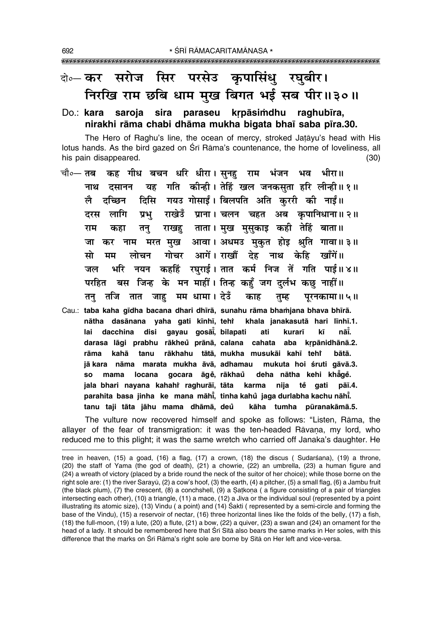## के- कर सरोज सिर परसेउ कृपासिंधु रघुबीर। निरखि राम छबि धाम मुख बिगत भई सब पीर॥३०॥

### Do.: kara saroja sira paraseu krpāsimdhu raghubīra, nirakhi rāma chabi dhāma mukha bigata bhaī saba pīra.30.

The Hero of Raghu's line, the ocean of mercy, stroked Jatayu's head with His lotus hands. As the bird gazed on Srī Rāma's countenance, the home of loveliness, all his pain disappeared.  $(30)$ 

- चौ०— तब कह गीध बचन धरि धीरा। सुनहु राम भंजन भव भीरा॥ यह गति कीन्ही। तेहिं खल जनकसता हरि लीन्ही॥१॥ नाथ दसानन दिसि गयउ गोसाईं। बिलपति अति कररी की नाईं॥ लै टच्छिन राखेउँ प्राना। चलन चहत अब कृपानिधाना॥२॥ लागि प्रभ दरस राखह ताता। मुख मुसुकाइ कही तेहिं बाता॥ राम कहा तन् जा कर नाम मरत मुख आवा। अधमउ मुकुत होइ श्रुति गावा॥३॥ आगें। राखौं देह नाथ केहि गोचर मो मम लोचन खाँगें।। नयन कहहिं रघराई।लात कर्म निज तें गति पाई॥४॥ भरि जल बस जिन्ह के मन माहीं। तिन्ह कहँ जग दर्लभ कछ नाहीं॥ परहित तन् तजि तात जाह मम धामा। देउँ काह पुरनकामा ॥ ५ ॥ तुम्ह
- Cau.: taba kaha gīdha bacana dhari dhīrā, sunahu rāma bhamjana bhava bhīrā. nātha dasānana yaha gati kīnhī, teht khala janakasutā hari līnhī.1. dacchina disi gayau gosāi, bilapati nāŤ. lai ati kurarī kī darasa lāgi prabhu rākheů prānā, calana cahata aba krpānidhānā.2. rākhahu tātā, mukha musukāi kahī teht rāma kahā tanu bātā. jā kara nāma marata mukha āvā, adhamau mukuta hoi śruti gāvā.3. mama locana gocara āgě, rākhaů deha nātha kehi khāge. **SO** jala bhari nayana kahahi raghurāī, tāta karma nija tě gati pāī.4. parahita basa jinha ke mana māhi, tinha kahů jaga durlabha kachu nāhi. tanu taji tāta jāhu mama dhāmā, deů kāha tumha pūranakāmā.5.

The vulture now recovered himself and spoke as follows: "Listen, Rāma, the allayer of the fear of transmigration: it was the ten-headed Rāvaṇa, my lord, who reduced me to this plight; it was the same wretch who carried off Janaka's daughter. He

tree in heaven, (15) a goad, (16) a flag, (17) a crown, (18) the discus (Sudarśana), (19) a throne, (20) the staff of Yama (the god of death), (21) a chowrie, (22) an umbrella, (23) a human figure and (24) a wreath of victory (placed by a bride round the neck of the suitor of her choice); while those borne on the right sole are: (1) the river Sarayu, (2) a cow's hoof, (3) the earth, (4) a pitcher, (5) a small flag, (6) a Jambu fruit (the black plum), (7) the crescent, (8) a conchshell, (9) a Satkona (a figure consisting of a pair of triangles intersecting each other), (10) a triangle, (11) a mace, (12) a Jiva or the individual soul (represented by a point illustrating its atomic size), (13) Vindu (a point) and (14) Sakti (represented by a semi-circle and forming the base of the Vindu), (15) a reservoir of nectar, (16) three horizontal lines like the folds of the belly, (17) a fish,  $(18)$  the full-moon,  $(19)$  a lute,  $(20)$  a flute,  $(21)$  a bow,  $(22)$  a quiver,  $(23)$  a swan and  $(24)$  an ornament for the head of a lady. It should be remembered here that Srī Sītā also bears the same marks in Her soles, with this difference that the marks on Srī Rāma's right sole are borne by Sītā on Her left and vice-versa.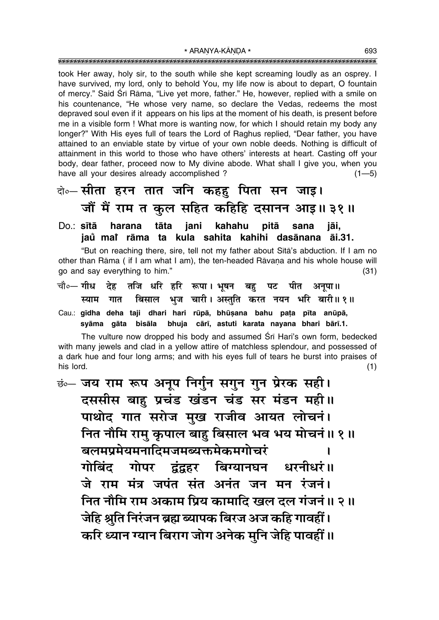took Her away, holy sir, to the south while she kept screaming loudly as an osprey. I have survived, my lord, only to behold You, my life now is about to depart, O fountain of mercy." Said Śrī Rāma, "Live yet more, father." He, however, replied with a smile on his countenance, "He whose very name, so declare the Vedas, redeems the most depraved soul even if it appears on his lips at the moment of his death, is present before me in a visible form ! What more is wanting now, for which I should retain my body any longer?" With His eyes full of tears the Lord of Raghus replied, "Dear father, you have attained to an enviable state by virtue of your own noble deeds. Nothing is difficult of attainment in this world to those who have others' interests at heart. Casting off your body, dear father, proceed now to My divine abode. What shall I give you, when you have all your desires already accomplished ?  $(1 - 5)$ 

## केन्-सीता हरन तात जनि कहहु पिता सन जाइ। जौं मैं राम त कुल सहित कहिहि दसानन आइ॥३१॥

#### tāta jani kahahu Do.: sītā harana pitā sana iāi. kula sahita kahihi dasānana jaŭ maj rāma ta āi.31.

"But on reaching there, sire, tell not my father about Sita's abduction. If I am no other than Rāma ( if I am what I am), the ten-headed Rāvana and his whole house will go and say everything to him."  $(31)$ 

चौ०— गीध देह तजि धरि हरि रूपा। भूषन बहु पट पीत अनपा ॥ बिसाल भूज चारी। अस्तुति करत नयन भरि बारी॥१॥ स्याम गात Cau.: gīdha deha taji dhari hari rūpā, bhūsana bahu pata pīta anūpā, syāma gāta bisāla bhuja cārī, astuti karata nayana bhari bārī.1.

The vulture now dropped his body and assumed Sri Hari's own form, bedecked with many jewels and clad in a yellow attire of matchless splendour, and possessed of a dark hue and four long arms; and with his eyes full of tears he burst into praises of his lord.  $(1)$ 

<u>छं०</u> जय राम रूप अनूप निर्गुन सगुन गुन प्रेरक सही। दससीस बाह प्रचंड खंडन चंड सर मंडन मही।। पाथोद गात सरोज मुख राजीव आयत लोचनं। नित नौमि रामु कुपाल बाहु बिसाल भव भय मोचनं॥ १॥ बलमप्रमेयमनादिमजमब्यक्तमेकमगोचरं गोबिंद गोपर द्वंद्वहर बिग्यानघन धरनीधरं॥ जे राम मंत्र जपंत संत अनंत जन मन रंजनं। नित नौमि राम अकाम प्रिय कामादि खल दल गंजनं ॥ २ ॥ जेहि श्रुति निरंजन ब्रह्म ब्यापक बिरज अज कहि गावहीं। करि ध्यान ग्यान बिराग जोग अनेक मुनि जेहि पावहीं ॥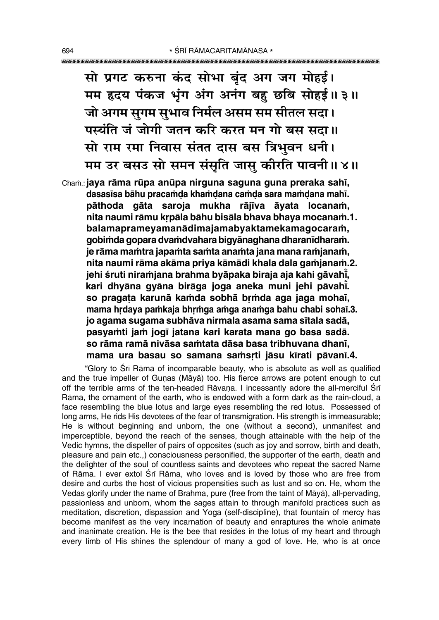सो प्रगट करुना कंद सोभा बुंद अग जग मोहई। मम हृदय पंकज भूंग अंग अनंग बहु छबि सोहई॥३॥ जो अगम सुगम सुभाव निर्मल असम सम सीतल सदा। पस्यंति जं जोगी जतन करि करत मन गो बस सदा॥ सो राम रमा निवास संतत दास बस त्रिभुवन धनी। मम उर बसउ सो समन संसुति जासु कीरति पावनी ॥ ४॥

Cham.: jaya rāma rūpa anūpa nirguna saguna guna preraka sahī, dasasīsa bāhu pracamda khamdana camda sara mamdana mahī. pāthoda gāta saroja mukha rājīva āyata locanam, nita naumi rāmu krpāla bāhu bisāla bhava bhaya mocanam.1. balamaprameyamanādimajamabyaktamekamagocaram, gobimda gopara dvamdvahara bigyānaghana dharanīdharam. je rāma mamtra japamta samta anamta jana mana ramjanam, nita naumi rāma akāma priya kāmādi khala dala gamjanam.2. jehi śruti niramjana brahma byāpaka biraja aja kahi gāvahi, kari dhyāna qyāna birāga joga aneka muni jehi pāvahī. so pragata karunā kamda sobhā brmda aga jaga mohaī, mama hrdaya pamkaja bhrmga amga anamga bahu chabi sohaī.3. jo agama sugama subhāva nirmala asama sama sītala sadā, pasyamti jam jogī jatana kari karata mana go basa sadā. so rāma ramā nivāsa samtata dāsa basa tribhuvana dhanī, mama ura basau so samana samsrti jāsu kīrati pāvanī.4.

"Glory to Srī Rāma of incomparable beauty, who is absolute as well as qualified and the true impeller of Gunas (Māyā) too. His fierce arrows are potent enough to cut off the terrible arms of the ten-headed Rāvana. I incessantly adore the all-merciful Srī Rāma, the ornament of the earth, who is endowed with a form dark as the rain-cloud, a face resembling the blue lotus and large eyes resembling the red lotus. Possessed of long arms, He rids His devotees of the fear of transmigration. His strength is immeasurable; He is without beginning and unborn, the one (without a second), unmanifest and imperceptible, beyond the reach of the senses, though attainable with the help of the Vedic hymns, the dispeller of pairs of opposites (such as joy and sorrow, birth and death, pleasure and pain etc.,) consciousness personified, the supporter of the earth, death and the delighter of the soul of countless saints and devotees who repeat the sacred Name of Rāma. I ever extol Śrī Rāma, who loves and is loved by those who are free from desire and curbs the host of vicious propensities such as lust and so on. He, whom the Vedas glorify under the name of Brahma, pure (free from the taint of Māyā), all-pervading, passionless and unborn, whom the sages attain to through manifold practices such as meditation, discretion, dispassion and Yoga (self-discipline), that fountain of mercy has become manifest as the very incarnation of beauty and enraptures the whole animate and inanimate creation. He is the bee that resides in the lotus of my heart and through every limb of His shines the splendour of many a god of love. He, who is at once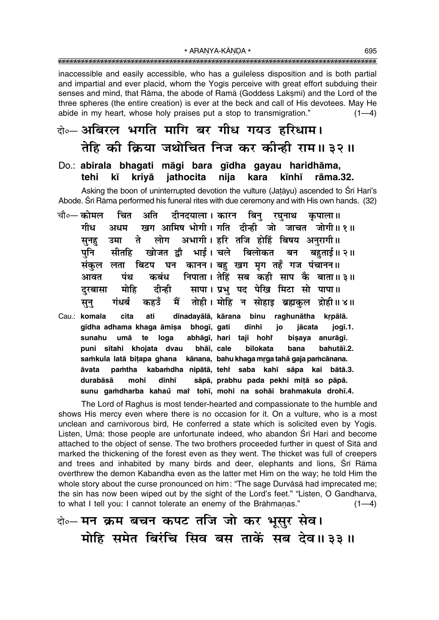\* ARANYA-KĀNDA \* 

inaccessible and easily accessible, who has a guileless disposition and is both partial and impartial and ever placid, whom the Yogis perceive with great effort subduing their senses and mind, that Rāma, the abode of Ramā (Goddess Laksmī) and the Lord of the three spheres (the entire creation) is ever at the beck and call of His devotees. May He abide in my heart, whose holy praises put a stop to transmigration."  $(1-4)$ 

## केन्ट अबिरल भगति मागि बर गीध गयउ हरिधाम। तेहि की क्रिया जथोचित निज कर कीन्ही राम॥३२॥

#### Do.: abirala bhagati māgi bara gīdha gayau haridhāma, tehi kī krivā jathocita nija kara kīnhī rāma.32.

Asking the boon of uninterrupted devotion the vulture (Jatayu) ascended to Śrī Hari's Abode. Śrī Rāma performed his funeral rites with due ceremony and with His own hands. (32)

- चौ०— कोमल चित अति दीनदयाला। कारन बिन रघनाथ कपाला॥ गीध खग आमिष भोगी। गति दीन्ही जो जाचत जोगी॥१॥ अधम ते लोग अभागी। हरि तजि होहिं बिषय अनुरागी॥ सनह उमा खोजत द्वौ भाई। चले बिलोकत सीतहि बन बहताई॥ २॥ पनि संकल लता बिटप घन कानन। बह खग मृग तहँ गज पंचानन॥ निपाता। तेहिं सब कही साप कै बाता॥३॥ कबंध आवत पंथ सापा। प्रभु पद पेखि मिटा सो पापा॥ मोहि दीन्ही दुरबासा मैं तोही। मोहि न सोहाइ ब्रह्मकुल द्रोही॥४॥ कहउँ गंधर्ब सून्
- dīnadavālā, kārana binu raghunātha Cau.: komala cita ati krpālā. bhogī, gati gīdha adhama khaga āmiṣa dīnhī io jācata jogī.1. abhāgī, hari taji hohř sunahu umā te loga bişaya anurāgī. puni sītahi khojata dvau bhāī, cale bilokata bana bahutāī.2. samkula latā bitapa ghana kānana, bahu khaga mrga tahå gaja pamcānana. kabamdha nipātā, tehi saba kahī sāpa kai bātā.3. āvata pamtha durabāsā mohi dīnhī sāpā, prabhu pada pekhi mitā so pāpā. sunu qamdharba kahaŭ mar tohī, mohi na sohāi brahmakula drohī.4.

The Lord of Raghus is most tender-hearted and compassionate to the humble and shows His mercy even where there is no occasion for it. On a vulture, who is a most unclean and carnivorous bird, He conferred a state which is solicited even by Yogis. Listen, Umā: those people are unfortunate indeed, who abandon Śrī Hari and become attached to the object of sense. The two brothers proceeded further in quest of Sita and marked the thickening of the forest even as they went. The thicket was full of creepers and trees and inhabited by many birds and deer, elephants and lions, Srī Rāma overthrew the demon Kabandha even as the latter met Him on the way; he told Him the whole story about the curse pronounced on him: "The sage Durvāsā had imprecated me; the sin has now been wiped out by the sight of the Lord's feet." "Listen, O Gandharva, to what I tell you: I cannot tolerate an enemy of the Brāhmanas."  $(1-4)$ 

## वे॰ मन क्रम बचन कपट तजि जो कर भूसुर सेव। मोहि समेत बिरंचि सिव बस ताकें सब देव॥३३॥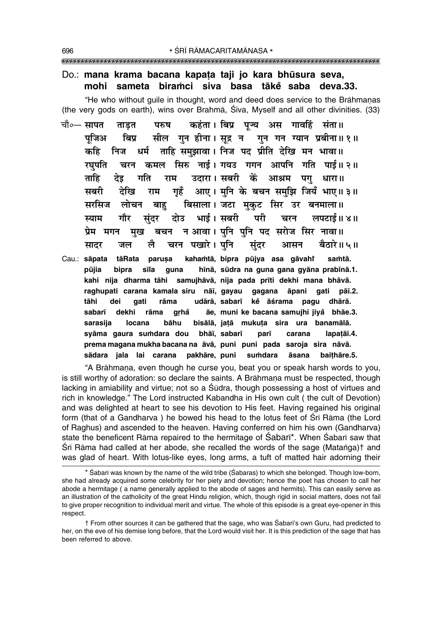### Do.: mana krama bacana kapata taji jo kara bhūsura seva, mohi sameta biramci siva basa tāke saba deva.33.

"He who without quile in thought, word and deed does service to the Brāhmanas (the very gods on earth), wins over Brahma, Siva, Myself and all other divinities. (33)

- चौ०— सापत कहंता। बिप्र पुन्य अस गावहिं संता॥ ताडत परुष सील गुन हीना। सूद्र न गुन गन ग्यान प्रबीना॥ १॥ पजिअ बिप्र ताहि समुझावा। निज पद प्रीति देखि मन भावा॥ कहि निज धर्म कमल सिरु नाई। गयउ गगन आपनि गति पाई॥२॥ रघपति चरन उदारा। सबरी कें आश्रम ताहि देड गति राम पग् धारा ॥ गहँ आए। मूनि के बचन समुझि जियँ भाए॥३॥ सबरी देखि राम बिसाला। जटा मुकुट सिर उर बनमाला॥ मरमिज लोचन बाह भाई। सबरी लपटाई॥४॥ स्याम गौर संदर दोउ परी चरन बचन न आवा। पुनि पुनि पद सरोज सिर नावा॥ प्रेम मगन मख चरन पखारे। पनि संदर बैठारे॥ ५॥ लै आसन सादर जल
- Cau.: sāpata kahamtā, bipra pūjya asa gāvahi tāRata parusa samtā. pūjia bipra sīla quna hīnā, sūdra na guna gana gyāna prabīnā.1. kahi nija dharma tāhi samujhāvā, nija pada prīti dekhi mana bhāvā. raghupati carana kamala siru nāi, gayau gagana āpani gati pāi.2. tāhi dei udārā, sabarī ke āśrama pagu dhārā. qati rāma āe, muni ke bacana samujhi jiyå bhāe.3. sabarī dekhi rāma grhả bisālā, jatā mukuta sira ura banamālā. sarasija locana bāhu syāma gaura sumdara dou bhāī, sabarī parī carana lapatāī.4. prema magana mukha bacana na āvā, puni puni pada saroja sira nāvā. sādara jala lai carana pakhāre puni sumdara āsana baithāre.5.

"A Brāhmana, even though he curse you, beat you or speak harsh words to you, is still worthy of adoration: so declare the saints. A Brāhmana must be respected, though lacking in amiability and virtue; not so a Sudra, though possessing a host of virtues and rich in knowledge." The Lord instructed Kabandha in His own cult (the cult of Devotion) and was delighted at heart to see his devotion to His feet. Having regained his original form (that of a Gandharva) he bowed his head to the lotus feet of Srī Rāma (the Lord of Raghus) and ascended to the heaven. Having conferred on him his own (Gandharva) state the beneficent Rama repaired to the hermitage of Sabari\*. When Sabari saw that Śrī Rāma had called at her abode, she recalled the words of the sage (Matanga)t and was glad of heart. With lotus-like eyes, long arms, a tuft of matted hair adorning their

<sup>\*</sup> Śabarī was known by the name of the wild tribe (Śabaras) to which she belonged. Though low-born, she had already acquired some celebrity for her piety and devotion; hence the poet has chosen to call her abode a hermitage ( a name generally applied to the abode of sages and hermits). This can easily serve as an illustration of the catholicity of the great Hindu religion, which, though rigid in social matters, does not fail to give proper recognition to individual merit and virtue. The whole of this episode is a great eye-opener in this respect.

<sup>†</sup> From other sources it can be gathered that the sage, who was Sabari's own Guru, had predicted to her, on the eve of his demise long before, that the Lord would visit her. It is this prediction of the sage that has been referred to above.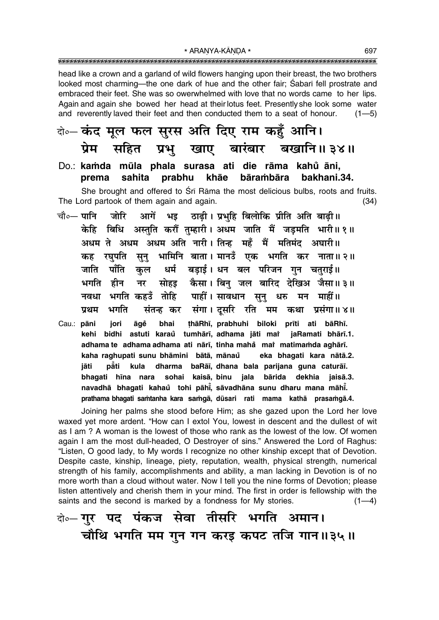\* ARANYA-KĀNDA \* 

head like a crown and a garland of wild flowers hanging upon their breast, the two brothers looked most charming—the one dark of hue and the other fair; Sabarī fell prostrate and embraced their feet. She was so owerwhelmed with love that no words came to her lips. Again and again she bowed her head at their lotus feet. Presently she look some water and reverently laved their feet and then conducted them to a seat of honour.  $(1 - 5)$ 

## वे⊶ कंद मूल फल सुरस अति दिए राम कहूँ आनि। प्रेम सहित प्रभ खाए बारंबार बखानि॥३४॥ Do.: kamda mūla phala surasa ati die rāma kahů āni,

sahita prabhu khāe bārambāra bakhani.34. prema

She brought and offered to Sri Rama the most delicious bulbs, roots and fruits. The Lord partook of them again and again.  $(34)$ 

- चौ∘— पानि जोरि आगें भइ ठाढी। प्रभहि बिलोकि प्रीति अति बाढी॥ केहि बिधि अस्तुति करौं तुम्हारी। अधम जाति मैं जड़मति भारी॥१॥ अधम ते अधम अधम अति नारी। तिन्ह महँ मैं मतिमंद अघारी॥ रघुपति सुनु भामिनि बाता। मानउँ एक भगति कर नाता॥२॥ कह जाति पाँति कल धर्म बडाई। धन बल परिजन गन चतराई॥ सोहड़ कैसा। बिन जल बारिद देखिअ जैसा॥३॥ भगति हीन नर भगति कहउँ तोहि पाहीं। सावधान सुनु धरु मन माहीं॥ नवधा संतन्ह कर संगा। दूसरि रति मम कथा प्रसंगा॥४॥ भगति प्रथम
- Cau.: pāni iori āqě bhai thāRhī, prabhuhi biloki prīti ati bāRhī. kehi bidhi astuti karaŭ tumhārī, adhama jāti mat jaRamati bhārī.1. adhama te adhama adhama ati nārī, tinha mahă mat matimamda aghārī. kaha raghupati sunu bhāmini bātā, mānau eka bhaqati kara nātā.2. jāti dharma baRāī, dhana bala parijana guna caturāī. păti kula bhagati hīna nara sohai kaisā, binu jala bārida dekhia jaisā.3. navadhā bhagati kahaů tohi pāhi, sāvadhāna sunu dharu mana māhi. prathama bhagati samtanha kara samgā, dūsari rati mama kathā prasamgā.4.

Joining her palms she stood before Him; as she gazed upon the Lord her love waxed yet more ardent. "How can I extol You, lowest in descent and the dullest of wit as I am? A woman is the lowest of those who rank as the lowest of the low. Of women again I am the most dull-headed, O Destroyer of sins." Answered the Lord of Raghus: "Listen, O good lady, to My words I recognize no other kinship except that of Devotion. Despite caste, kinship, lineage, piety, reputation, wealth, physical strength, numerical strength of his family, accomplishments and ability, a man lacking in Devotion is of no more worth than a cloud without water. Now I tell you the nine forms of Devotion; please listen attentively and cherish them in your mind. The first in order is fellowship with the saints and the second is marked by a fondness for My stories.  $(1-4)$ 

वे॰- गुर पद पंकज सेवा तीसरि भगति अमान। चौथि भगति मम गुन गन करइ कपट तजि गान॥३५॥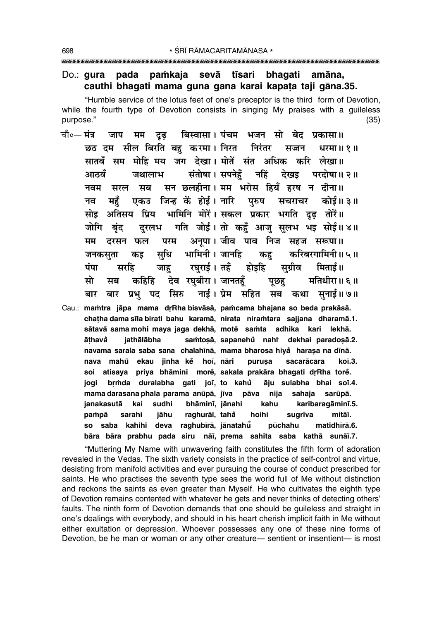#### Do.: gura pada pamkaja sevā tīsari bhagati amāna, cauthi bhagati mama guna gana karai kapata taji gāna.35.

"Humble service of the lotus feet of one's preceptor is the third form of Devotion, while the fourth type of Devotion consists in singing My praises with a guileless purpose."  $(35)$ 

- बिस्वासा। पंचम भजन सो बेद प्रकासा॥ चौ०— **मंत्र** जाप मम दढ छठ दम सील बिरति बह करमा। निरत निरंतर सज्जन धरमा॥ १॥ सातवँ सम मोहि मय जग देखा। मोतें संत अधिक करि लेखा॥ संतोषा। सपनेहँ नहिं देखड़ परदोषा॥२॥ आठवँ जधालाभ सन छलहीना। मम भरोस हियँ हरष न दीना॥ मब नवम मरल एकउ जिन्ह कें होई। नारि परुष कोई॥ ३॥ महँ सचराचर नव अतिसय प्रिय भामिनि मोरें। सकल प्रकार भगति दृढ तोरें॥ सोड दरलभ गति जोई। तो कहँ आज सलभ भइ सोई॥४॥ जोगि बंद परम अनुपा। जीव पाव निज सहज सरूपा॥ मम दरसन फल सधि भामिनी। जानहि करिबरगामिनी॥ ५॥ जनकसता कड़ कह रघराई। तहँ होइहि पंपा जाह सग्रीव मिताई ॥ सरहि देव रघुबीरा। जानतहँ मतिधीरा॥ ६॥ मो कहिहि सब पूछह बार प्रभ पद सिरु नाई।ऐप्रेम सहित सब कथा सनाई॥७॥ बार
- Cau.: mamtra jāpa mama drRha bisvāsā, pamcama bhajana so beda prakāsā. chatha dama sīla birati bahu karamā, nirata niramtara sajjana dharamā.1. sātavå sama mohi maya jaga dekhā, motě samta adhika kari lekhā. āthavå iathālābha samtosā, sapanehů nahř dekhai paradosā.2. navama sarala saba sana chalahīnā, mama bharosa hiya harasa na dīnā. nava mahů ekau jinha kě hoī, nāri purușa sacarācara koī.3. soi atisaya priya bhāmini more, sakala prakāra bhagati drRha tore. āju sulabha bhai soī.4. brmda duralabha gati joī, to kahů jogi mama darasana phala parama anūpā, jīva pāva nija sahaja sarūpā. bhāminī, jānahi janakasutā kai sudhi kahu karibaragāminī.5. jāhu raghurāī, tahå pampā sarahi hoihi sugrīva mitāī. so saba kahihi deva raghubīrā, jānatahū pūchahu matidhīrā.6. bāra bāra prabhu pada siru nāī, prema sahita saba kathā sunāī.7.

"Muttering My Name with unwavering faith constitutes the fifth form of adoration revealed in the Vedas. The sixth variety consists in the practice of self-control and virtue, desisting from manifold activities and ever pursuing the course of conduct prescribed for saints. He who practises the seventh type sees the world full of Me without distinction and reckons the saints as even greater than Myself. He who cultivates the eighth type of Devotion remains contented with whatever he gets and never thinks of detecting others' faults. The ninth form of Devotion demands that one should be guileless and straight in one's dealings with everybody, and should in his heart cherish implicit faith in Me without either exultation or depression. Whoever possesses any one of these nine forms of Devotion, be he man or woman or any other creature— sentient or insentient— is most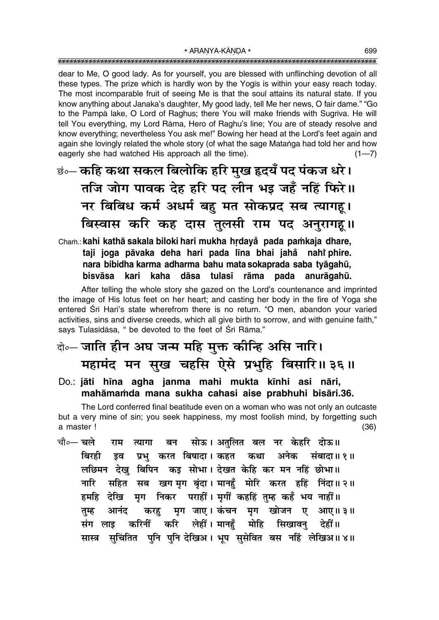dear to Me, O good lady. As for yourself, you are blessed with unflinching devotion of all these types. The prize which is hardly won by the Yogis is within your easy reach today. The most incomparable fruit of seeing Me is that the soul attains its natural state. If you know anything about Janaka's daughter, My good lady, tell Me her news, O fair dame." "Go to the Pampa lake, O Lord of Raghus; there You will make friends with Sugriva. He will tell You everything, my Lord Rama, Hero of Raghu's line; You are of steady resolve and know everything; nevertheless You ask me!" Bowing her head at the Lord's feet again and again she lovingly related the whole story (of what the sage Matanga had told her and how eagerly she had watched His approach all the time).  $(1 - 7)$ 

# छं॰- कहि कथा सकल बिलोकि हरि मुख हृदयँ पद पंकज धरे। तजि जोग पावक देह हरि पद लीन भड़ जहँ नहिं फिरे।। नर बिबिध कर्म अधर्म बह मत सोकप्रद सब त्यागह। बिस्वास करि कह दास तुलसी राम पद अनुरागहु।।

Cham.: kahi kathā sakala biloki hari mukha hrdayå pada pamkaja dhare, taji joga pāvaka deha hari pada līna bhai jahå nahi phire. nara bibidha karma adharma bahu mata sokaprada saba tyāgahū, bisvāsa kari kaha dāsa tulasī rāma pada anurāqahū.

After telling the whole story she gazed on the Lord's countenance and imprinted the image of His lotus feet on her heart; and casting her body in the fire of Yoga she entered Srī Hari's state wherefrom there is no return. "O men, abandon your varied activities, sins and diverse creeds, which all give birth to sorrow, and with genuine faith," says Tulasīdāsa, " be devoted to the feet of Śrī Rāma."

### वे∘– जाति हीन अघ जन्म महि मुक्त कीन्हि असि नारि। महामंद मन सुख चहसि ऐसे प्रभुहि बिसारि॥ ३६॥

Do.: jāti hīna agha janma mahi mukta kīnhi asi nāri, mahāmamda mana sukha cahasi aise prabhuhi bisāri.36.

The Lord conferred final beatitude even on a woman who was not only an outcaste but a very mine of sin; you seek happiness, my most foolish mind, by forgetting such a master!  $(36)$ 

चौ०- चले सोऊ। अतलित बल नर केहरि दोऊ॥ त्यागा बन राम बिरही डव प्रभ करत बिषादा। कहत कथा अनेक संबादा॥१॥ लछिमन देखु बिपिन कइ सोभा। देखत केहि कर मन नहिं छोभा॥ सहित सब खगमृग बृंदा। मानहँ मोरि करत हहिं निंदा॥२॥ नारि हमहि देखि मग निकर पराहीं। मगीं कहहिं तम्ह कहँ भय नाहीं॥ मृग जाए। कंचन मृग खोजन ए आए॥३॥ करह तम्ह आनंद करि लेहीं। मानहँ मोहि सिखावनु देहीं ॥ संग लाइ करिनीं सास्त्र सुचिंतित पुनि पुनि देखिअ। भूप सुसेवित बस नहिं लेखिअ॥४॥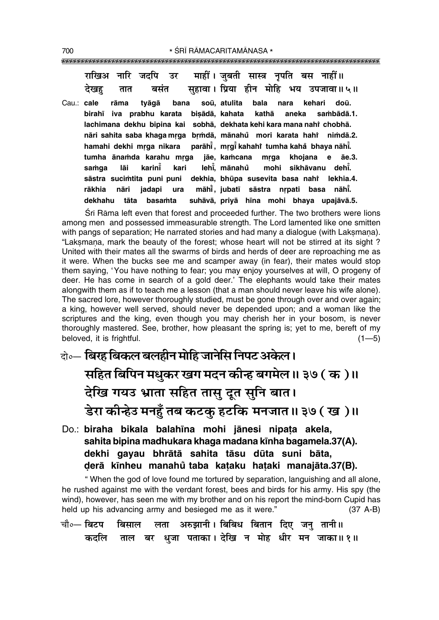| राखिअ नारि जदपि उर  माहीं। जुबती सास्त्र नृपति बस नाहीं॥              |
|-----------------------------------------------------------------------|
| तात बसंत सुहावा। प्रिया हीन मोहि भय उपजावा॥५॥<br>देखहु                |
| Cau.: cale rāma tyāgā bana soū, atulita bala nara kehari doū.         |
| birahī iva prabhu karata bisādā, kahata kathā aneka sambādā.1.        |
| lachimana dekhu bipina kai sobhā, dekhata kehi kara mana nahi chobhā. |
| nāri sahita saba khaga mrga brmdā, mānahu mori karata hahi nimdā.2.   |
| hamahi dekhi mrga nikara parāhī, mrgī kahahi tumha kahă bhaya nāhī.   |
| tumha ānamda karahu mrga jāe, kamcana mrga khojana e āe.3.            |
| lāi karini kari lehi, mānahů mohi sikhāvanu dehi.<br>samga            |
| sāstra sucimtita puni puni dekhia, bhūpa susevita basa nahi lekhia.4. |
| nāri jadapi ura māhī̇̃, jubatī sāstra nṛpati basa nāhī̃.<br>rākhia    |
| basamta suhāvā, priyā hīna mohi bhaya upajāvā.5.<br>tāta<br>dekhahu   |

Sri Rama left even that forest and proceeded further. The two brothers were lions among men and possessed immeasurable strength. The Lord lamented like one smitten with pangs of separation; He narrated stories and had many a dialogue (with Laksmana). "Laksmana, mark the beauty of the forest; whose heart will not be stirred at its sight? United with their mates all the swarms of birds and herds of deer are reproaching me as it were. When the bucks see me and scamper away (in fear), their mates would stop them saying, 'You have nothing to fear; you may enjoy yourselves at will, O progeny of deer. He has come in search of a gold deer.' The elephants would take their mates alongwith them as if to teach me a lesson (that a man should never leave his wife alone). The sacred lore, however thoroughly studied, must be gone through over and over again; a king, however well served, should never be depended upon; and a woman like the scriptures and the king, even though you may cherish her in your bosom, is never thoroughly mastered. See, brother, how pleasant the spring is; yet to me, bereft of my beloved, it is frightful.  $(1 - 5)$ 

- दो॰- बिरह बिकल बलहीन मोहि जानेसि निपट अकेल। सहित बिपिन मधुकर खग मदन कीन्ह बगमेल ॥ ३७ ( क )॥ देखि गयउ भ्राता सहित तासु दूत सुनि बात। डेरा कीन्हेउ मनहुँ तब कटकु हटकि मनजात॥३७ (ख)॥
- Do.: biraha bikala balahīna mohi jānesi nipata akela, sahita bipina madhukara khaga madana kinha bagamela.37(A). dekhi gayau bhrātā sahita tāsu dūta suni bāta, derā kīnheu manahů taba kataku hataki manajāta.37(B).

"When the god of love found me tortured by separation, languishing and all alone, he rushed against me with the verdant forest, bees and birds for his army. His spy (the wind), however, has seen me with my brother and on his report the mind-born Cupid has held up his advancing army and besieged me as it were."  $(37 A-B)$ 

लता अरुझानी। बिबिध बितान दिए जनु तानी॥ चौ०— **बिटप** बिसाल कदलि ताल बर धुजा पताका। देखि न मोह धीर मन जाका॥१॥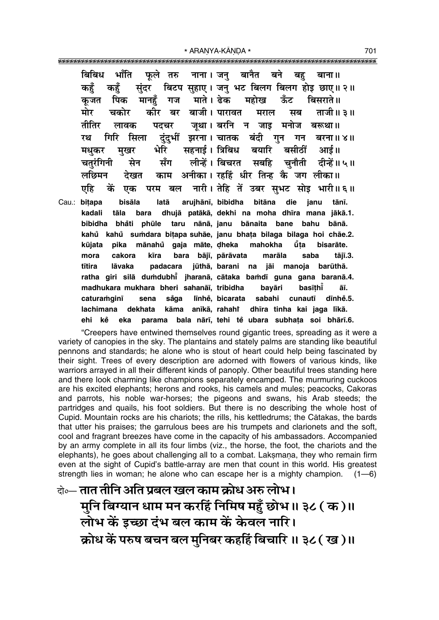\* ARANYA-KĀNDA \* 

भाँति बिबिध फले तरु नाना । जन् बानैत बने बह बाना ॥ कहँ बिटप सहाए। जन भट बिलग बिलग होइ छाए॥ २॥ कहँ संदर माते । ढेक ऊँट पिक मानहँ गज महोख बिसराते ॥ कजत मोर कीर चकोर बर बाजी। पारावत ताजी॥ ३॥ मराल सब तीतिर जथा। बरनि न जाइ मनोज लावक पदचर बरूथा। रथ गिरि सिला ਫਂਫभीं झरना। चातक बंदी गन गन बरना॥ ४॥ भेरि सहनाई । त्रिबिध बयारि बसीठीं आई॥ मधकर मखर चतुरंगिनी सेन सँग लीन्हें । बिचरत सबहि चनौती दीन्हें॥ ५॥ लछिमन अनीका। रहहिं धीर तिन्ह कै जग लीका॥ देखत काम नारी। तेहि तें उबर सुभट सोइ भारी॥६॥ एहि कें एक परम बल

bisāla arujhānī, bibidha bitāna Cau.: bitapa latā die janu tānī. kadali tāla bara dhujā patākā, dekhi na moha dhīra mana jākā.1. bibidha bhåti phūle taru nānā, janu bānaita bane bahu bānā. kahů kahů sumdara bitapa suhāe, janu bhata bilaga bilaga hoi chāe.2. ůta mānahů gaja māte, dheka mahokha bisarāte. kūjata pika bara bājī, pārāvata mora cakora kīra marāla saba tājī.3. tītira lāvaka padacara jūthā, barani na jāi manoja barūthā. ratha qiri silā dumdubhī jharanā, cātaka bamdī guna gana baranā.4. madhukara mukhara bheri sahanāī, tribidha basīthī bavāri āī. caturamginī såga līnhė, bicarata sabahi cunautī dīnhė.5. sena lachimana dekhata kāma anīkā, rahahi dhīra tinha kai jaga līkā. bala nārī, tehi tě ubara subhata soi bhārī.6. ehi kě eka parama

"Creepers have entwined themselves round gigantic trees, spreading as it were a variety of canopies in the sky. The plantains and stately palms are standing like beautiful pennons and standards; he alone who is stout of heart could help being fascinated by their sight. Trees of every description are adorned with flowers of various kinds, like warriors arrayed in all their different kinds of panoply. Other beautiful trees standing here and there look charming like champions separately encamped. The murmuring cuckoos are his excited elephants; herons and rooks, his camels and mules; peacocks, Cakoras and parrots, his noble war-horses; the pigeons and swans, his Arab steeds; the partridges and quails, his foot soldiers. But there is no describing the whole host of Cupid. Mountain rocks are his chariots; the rills, his kettledrums; the Cātakas, the bards that utter his praises; the garrulous bees are his trumpets and clarionets and the soft, cool and fragrant breezes have come in the capacity of his ambassadors. Accompanied by an army complete in all its four limbs (viz., the horse, the foot, the chariots and the elephants), he goes about challenging all to a combat. Laksmana, they who remain firm even at the sight of Cupid's battle-array are men that count in this world. His greatest strength lies in woman; he alone who can escape her is a mighty champion.  $(1-6)$ 

के— तात तीनि अति प्रबल खल काम क्रोध अरु लोभ। मुनि बिग्यान धाम मन करहिं निमिष महुँ छोभ॥ ३८ ( क )॥ लोभ कें इच्छा दंभ बल काम कें केवल नारि। क्रोध कें परुष बचन बल मुनिबर कहहिं बिचारि ॥ ३८ ( ख )॥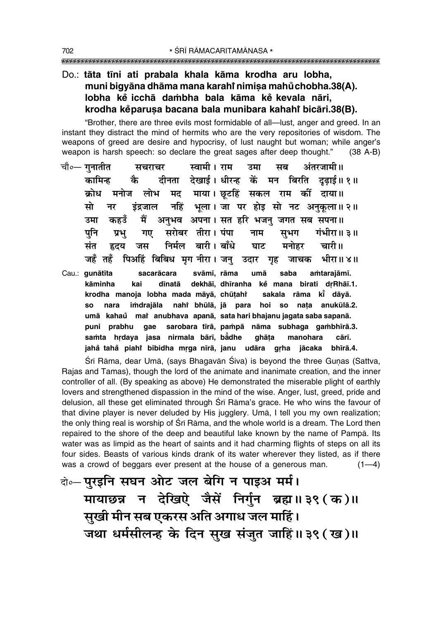### Do.: tāta tīni ati prabala khala kāma krodha aru lobha, muni biqyāna dhāma mana karahi nimisa mahů chobha.38(A). lobha kë iccha dambha bala kama kë kevala nari, krodha keparusa bacana bala munibara kahahi bicāri.38(B).

"Brother, there are three evils most formidable of all-lust, anger and greed. In an instant they distract the mind of hermits who are the very repositories of wisdom. The weapons of greed are desire and hypocrisy, of lust naught but woman; while anger's weapon is harsh speech: so declare the great sages after deep thought."  $(38 A-B)$ 

- चौ∘— गुनातीत स्वामी। राम अंतरजामी॥ उमा सचराचर सब दीनता देखाई। धीरन्ह कें मन बिरति दढाई॥ १॥ कामिन्ह क्रे मद माया। छुटहिं सकल राम कीं दाया॥ कोध मनोज लोभ नहिं भूला। जा पर होइ सो नट अनुकूला॥ २॥ मो नर डंद्रजाल अनुभव अपना। सत हरि भजन जगत सब सपना॥ उमा कहउँ में पनि सरोबर तीरा। पंपा गंभीरा॥ ३॥ प्रभ गए नाम सुभग निर्मल बारी। बाँधे संत चारी॥ हृदय जस घाट मनोहर जहँ तहँ पिअहिं बिबिध मग नीरा। जन उदार गह भीरा॥ ४॥ जाचक
- Cau.: qunātīta sacarācara svāmī, rāma umā saba amtarajāmī. kāminha kai dīnatā dekhāī, dhīranha ke mana birati drRhāī.1. krodha manoja lobha mada māyā, chūtahř sakala rāma kī dāyā. nara imdrajāla nahi bhūlā, jā para hoi so nata anukūlā.2. **SO** umā kahaŭ mat anubhava apanā, sata hari bhajanu jagata saba sapanā. sarobara tīrā, pampā nāma subhaga gambhīrā.3. puni prabhu gae samta hrdaya jasa nirmala bārī, bādhe qhāta manohara cārī. jahå tahå piaht bibidha mrga nīrā, janu udāra grha jācaka bhīrā.4.

Śrī Rāma, dear Umā, (says Bhagavān Śiva) is beyond the three Gunas (Sattva, Rajas and Tamas), though the lord of the animate and inanimate creation, and the inner controller of all. (By speaking as above) He demonstrated the miserable plight of earthly lovers and strengthened dispassion in the mind of the wise. Anger, lust, greed, pride and delusion, all these get eliminated through Srī Rāma's grace. He who wins the favour of that divine player is never deluded by His jugglery. Uma, I tell you my own realization; the only thing real is worship of Sri Rama, and the whole world is a dream. The Lord then repaired to the shore of the deep and beautiful lake known by the name of Pampa. Its water was as limpid as the heart of saints and it had charming flights of steps on all its four sides. Beasts of various kinds drank of its water wherever they listed, as if there was a crowd of beggars ever present at the house of a generous man.  $(1-4)$ 

दो०-पुरइनि सघन ओट जल बेगि न पाइअ मर्म। मायाछन्न न देखिऐ जैसें निर्गुन ब्रह्म॥३९ (क)॥ सुखी मीन सब एकरस अति अगाध जल माहिं। जथा धर्मसीलन्ह के दिन सुख संजुत जाहिं॥३९ (ख)॥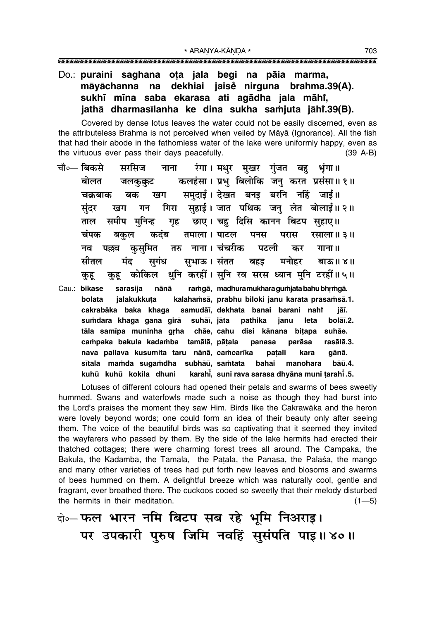Do.: puraini saghana ota jala begi na pāia marma, māyāchanna na dekhiai jaisė nirguna brahma.39(A). sukhī mīna saba ekarasa ati agādha jala māhi, jathā dharmasīlanha ke dina sukha samjuta jāhī.39(B).

Covered by dense lotus leaves the water could not be easily discerned, even as the attributeless Brahma is not perceived when veiled by Māyā (Ignorance). All the fish that had their abode in the fathomless water of the lake were uniformly happy, even as the virtuous ever pass their days peacefully.  $(39 A-B)$ 

- रंगा। मधुर मुखर गुंजत बहु भूंगा॥ चौ०— बिकसे सरसिज नाना कलहंसा। प्रभु बिलोकि जनु करत प्रसंसा॥१॥ बोलत जलकुक्कट समुदाई। देखत बनइ बरनि नहिं जाई॥ चक्रबाक बक खग सुहाई । जात पथिक जन् लेत बोलाई॥ २॥ गिरा संदर खग गन ताल समीप मुनिन्ह गृह छाए । चह दिसि कानन बिटप सुहाए ॥ तमाला । पाटल चंपक बकुल कदंब पनस परास रसाला ॥ ३॥ नव कुसुमित तरु नाना । चंचरीक पटली पल्लव कर गाना ॥ सभाऊ। संतत मनोहर सीतल मंद सगंध बहड बाऊ॥४॥ कोकिल धनि करहीं। सनि रव सरस ध्यान मनि टरहीं॥५॥ कह कह
- sarasija ramgā, madhuramukhara gumjata bahu bhrmgā. Cau.: bikase nānā kalahamsā, prabhu biloki janu karata prasamsā.1. jalakukkuta bolata cakrabāka baka khaga samudāī, dekhata banai barani nahr iāī. sumdara khaga gana girā suhāī, jāta pathika janu leta bolāī.2. tāla samīpa muninha grha chāe, cahu disi kānana bitapa suhāe. campaka bakula kadamba tamālā, pātala panasa parāsa rasālā.3. nava pallava kusumita taru nānā, camcarīka patalī gānā. kara sītala mamda sugamdha subhāū, samtata bahai manohara bāū.4. karahi, suni rava sarasa dhyāna muni tarahi .5. kuhū kuhū kokila dhuni

Lotuses of different colours had opened their petals and swarms of bees sweetly hummed. Swans and waterfowls made such a noise as though they had burst into the Lord's praises the moment they saw Him. Birds like the Cakrawaka and the heron were lovely beyond words; one could form an idea of their beauty only after seeing them. The voice of the beautiful birds was so captivating that it seemed they invited the wayfarers who passed by them. By the side of the lake hermits had erected their thatched cottages; there were charming forest trees all around. The Campaka, the Bakula, the Kadamba, the Tamāla, the Pātala, the Panasa, the Palāśa, the mango and many other varieties of trees had put forth new leaves and blosoms and swarms of bees hummed on them. A delightful breeze which was naturally cool, gentle and fragrant, ever breathed there. The cuckoos cooed so sweetly that their melody disturbed the hermits in their meditation.  $(1 - 5)$ 

वे० फल भारन नमि बिटप सब रहे भूमि निअराइ। पर उपकारी पुरुष जिमि नवहिं सुसंपति पाइ॥४०॥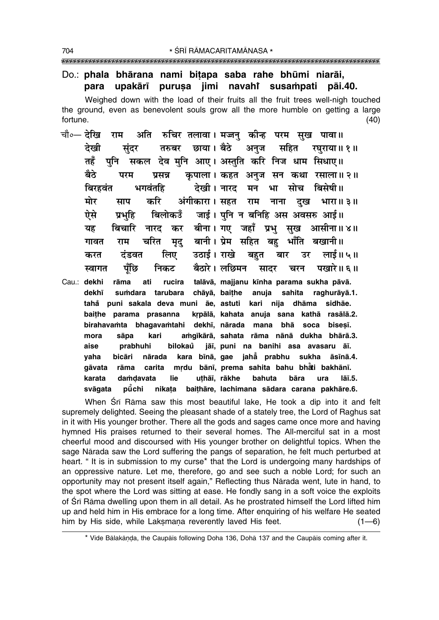#### Do.: phala bhārana nami bitapa saba rahe bhūmi niarāi, upakārī purusa jimi navahi susampati para pāi.40.

Weighed down with the load of their fruits all the fruit trees well-nigh touched the ground, even as benevolent souls grow all the more humble on getting a large fortune.  $(40)$ 

- चौ०— देखि अति रुचिर तलावा। मज्जन कीन्ह परम सख पावा॥ राम देखी छाया। बैठे सहित तरुबर अनज रघराया॥ १॥ संदर तहँ सकल देव मनि आए। अस्तुति करि निज धाम सिधाए॥ पनि बैठे कपाला। कहत अनुज सन कथा रसाला॥२॥ परम प्रसन्न बिरहवंत भगवंतद्रि देखी । नारद मन भा सोच बिसेषी ॥ अंगीकारा। सहत राम नाना दुख मोर साप करि भारा॥ ३॥ बिलोकउँ जाई। पनि न बनिहि अस अवसरु आई॥ ऐसे प्रभहि बीना। गए जहाँ प्रभु सुख बिचारि आसीना॥ ४॥ यह नारट कर बानी। प्रेम सहित बह चरित भाँति बखानी।। गावत राम मृद् उठाई। राखे दंडवत लिए लाई॥ ५॥ बहुत बार उर करत बैठारे। लछिमन पँछि निकट पखारे॥ ६॥ स्वागत सादर चरन
- Cau.: dekhi rāma ati rucira talāvā, majjanu kīnha parama sukha pāvā. chāyā, baithe anuja sahita raghurāyā.1. dekhī sumdara tarubara tahă puni sakala deva muni āe, astuti kari nija dhāma sidhāe. krpālā, kahata anuja sana kathā rasālā.2. baithe parama prasanna birahavamta bhagavamtahi dekhī, nārada mana bhā soca bisesī. sāpa kari amgīkārā, sahata rāma nānā dukha bhārā.3. mora jāī, puni na banihi asa avasaru āī. aise prabhuhi bilokaů kara bīnā, gae jahā prabhu bicāri nārada sukha āsīnā.4. yaha mrdu bānī, prema sahita bahu bhāti bakhānī. gāvata rāma carita uthāī, rākhe karata damdavata lie bahuta bāra ura  $l\bar{a}$ ī.5. pū̃chi baithāre, lachimana sādara carana pakhāre.6. svāgata nikata

When Srī Rāma saw this most beautiful lake, He took a dip into it and felt supremely delighted. Seeing the pleasant shade of a stately tree, the Lord of Raghus sat in it with His younger brother. There all the gods and sages came once more and having hymned His praises returned to their several homes. The All-merciful sat in a most cheerful mood and discoursed with His younger brother on delightful topics. When the sage Nārada saw the Lord suffering the pangs of separation, he felt much perturbed at heart. " It is in submission to my curse\* that the Lord is undergoing many hardships of an oppressive nature. Let me, therefore, go and see such a noble Lord; for such an opportunity may not present itself again," Reflecting thus Narada went, lute in hand, to the spot where the Lord was sitting at ease. He fondly sang in a soft voice the exploits of Sri Rama dwelling upon them in all detail. As he prostrated himself the Lord lifted him up and held him in His embrace for a long time. After enquiring of his welfare He seated him by His side, while Laksmana reverently laved His feet.  $(1-6)$ 

\* Vide Bālakānda, the Caupāīs following Doha 136, Dohā 137 and the Caupāīs coming after it.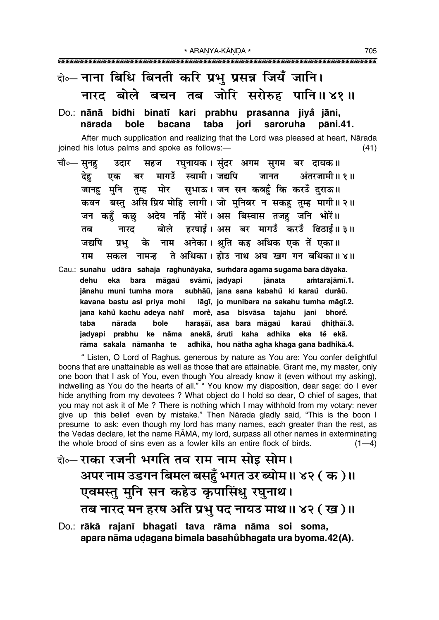## बेन्नाना बिधि बिनती करि प्रभु प्रसन्न जियँ जानि। नारद बोले बचन तब जोरि सरोरुह पानि॥४१॥

#### Do.: nānā bidhi binatī kari prabhu prasanna jiya jāni, nārada bole bacana taba iori saroruha pāni.41.

After much supplication and realizing that the Lord was pleased at heart, Nārada joined his lotus palms and spoke as follows:- $(41)$ 

- रघुनायक। सुंदर अगम सुगम बर दायक॥ चौ०— सनह उदार सहज मागउँ स्वामी । जद्यपि देह जानत अंतरजामी ॥ १ ॥ एक बर जानह मनि तम्ह मोर सभाऊ। जन सन कबहँ कि करउँ दराऊ॥ कवन बस्त असि प्रिय मोहि लागी। जो मनिबर न सकह तम्ह मागी॥ २॥ जन कहूँ कछ अदेय नहिं मोरें। अस बिस्वास तजहु जनि भोरें॥ हरषाई। अस बर मागउँ करउँ ढिठाई॥ ३॥ बोले नारद तब के नाम अनेका। श्रति कह अधिक एक तें एका॥ जद्यपि प्रभ सकल नामन्ह ते अधिका। होउ नाथ अघ खग गन बधिका॥४॥ राम
- Cau.: sunahu udāra sahaja raghunāyaka, sumdara agama sugama bara dāyaka. svāmī, jadyapi dehu eka bara māgau jānata amtarajāmī.1. jānahu muni tumha mora subhāū, jana sana kabahů ki karaů durāū. kavana bastu asi priya mohi lāgī, jo munibara na sakahu tumha māgī.2. jana kahů kachu adeya nahř morě, asa bisvāsa tajahu jani bhorě. taba nārada bole harasāī, asa bara māgau karaů dhithāī.3. jadyapi prabhu ke nāma anekā, śruti kaha adhika eka tě ekā. rāma sakala nāmanha te adhikā, hou nātha agha khaga gana badhikā.4.

" Listen, O Lord of Raghus, generous by nature as You are: You confer delightful boons that are unattainable as well as those that are attainable. Grant me, my master, only one boon that I ask of You, even though You already know it (even without my asking), indwelling as You do the hearts of all." " You know my disposition, dear sage: do I ever hide anything from my devotees ? What object do I hold so dear, O chief of sages, that you may not ask it of Me ? There is nothing which I may withhold from my votary: never give up this belief even by mistake." Then Narada gladly said, "This is the boon I presume to ask: even though my lord has many names, each greater than the rest, as the Vedas declare, let the name RAMA, my lord, surpass all other names in exterminating the whole brood of sins even as a fowler kills an entire flock of birds.  $(1-4)$ 

# के-राका रजनी भगति तव राम नाम सोइ सोम। अपर नाम उडगन बिमल बसहूँ भगत उर ब्योम॥ ४२ ( क )॥ एवमस्तु मुनि सन कहेउ कृपासिंधु रघुनाथ। तब नारद मन हरष अति प्रभु पद नायउ माथ॥ ४२ ( ख )॥

Do.: rākā rajanī bhagati tava rāma nāma soi soma, apara nāma udagana bimala basahu bhagata ura byoma. 42(A).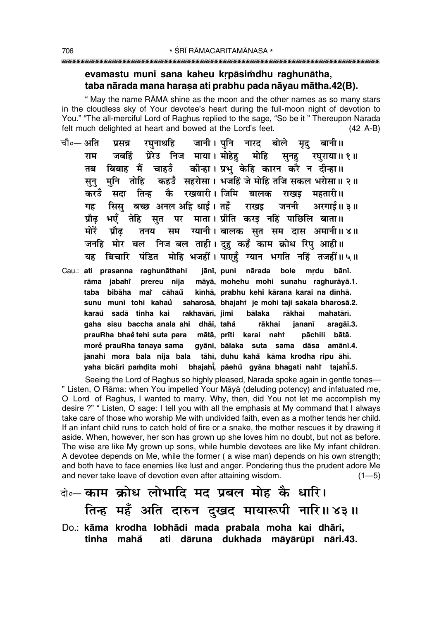### evamastu muni sana kaheu krpāsimdhu raghunātha, taba nārada mana harasa ati prabhu pada nāyau mātha.42(B).

" May the name RAMA shine as the moon and the other names as so many stars in the cloudless sky of Your devotee's heart during the full-moon night of devotion to You." "The all-merciful Lord of Raghus replied to the sage, "So be it" Thereupon Nārada felt much delighted at heart and bowed at the Lord's feet.  $(42 A-B)$ 

- रघुनाथहि जानी। पुनि नारद बोले मृदु बानी॥ चौ०— अति प्रसन्न जबहिं प्रेरेड निज माया। मोहेहु मोहि सूनहु रघुराया॥ १॥ राम बिबाह मैं चाहउँ कीन्हा। प्रभु केहि कारन करै न दीन्हा॥ तब कहउँ सहरोसा। भजहिं जे मोहि तजि सकल भरोसा॥ २॥ मनि तोहि सन कै रखवारी। जिमि बालक राखड करउँ सदा तिन्ह महतारी॥ सिस बच्छ अनल अहि धाई। तहँ गह अरगार्ड ॥ ३ ॥ राखंड जननी प्रौढ़ भएँ तेहि सुत पर माता।।प्रीति करड नहिं पाछिलि बाता॥ मोरें तनय सम ग्यानी। बालक सुत सम दास अमानी॥४॥ प्रौढ जनहि मोर बल निज बल ताही। दुह कहँ काम क्रोध रिपु आही॥ यह बिचारि पंडित मोहि भजहीं। पाएहूँ ग्यान भगति नहिं तजहीं॥५॥ Cau.: ati prasanna raghunāthahi jānī, puni nārada bole mrdu bānī. rāma jabaht prereu nija māyā, mohehu mohi sunahu raghurāyā.1.
- kīnhā, prabhu kehi kārana karai na dīnhā. taba bibāha mat cāhau sunu muni tohi kahaŭ saharosā, bhajahi je mohi taji sakala bharosā.2. karaŭ sadā tinha kai rakhavārī, jimi bālaka rākhai mahatārī. gaha sisu baccha anala ahi dhāī, tahå aragāī.3. rākhai iananī prauRha bhae tehi suta para mātā, prīti karai nahr bātā. pāchili morẻ prauRha tanaya sama gyānī, bālaka suta sama dāsa amānī.4. janahi mora bala nija bala tāhī, duhu kahå kāma krodha ripu āhī. yaha bicāri pamdita mohi bhajahi̇̃, pāehů gyāna bhagati nahŕ tajahi̇̃.5.

Seeing the Lord of Raghus so highly pleased, Narada spoke again in gentle tones— " Listen, O Rāma: when You impelled Your Māyā (deluding potency) and infatuated me, O Lord of Raghus, I wanted to marry. Why, then, did You not let me accomplish my desire ?" " Listen, O sage: I tell you with all the emphasis at My command that I always take care of those who worship Me with undivided faith, even as a mother tends her child. If an infant child runs to catch hold of fire or a snake, the mother rescues it by drawing it aside. When, however, her son has grown up she loves him no doubt, but not as before. The wise are like My grown up sons, while humble devotees are like My infant children. A devotee depends on Me, while the former (a wise man) depends on his own strength; and both have to face enemies like lust and anger. Pondering thus the prudent adore Me and never take leave of devotion even after attaining wisdom.  $(1 - 5)$ 

# वे. काम क्रोध लोभादि मद प्रबल मोह कै धारि। तिन्ह महँ अति दारुन दुखद मायारूपी नारि॥४३॥

Do.: kāma krodha lobhādi mada prabala moha kai dhāri, tinha mahå ati dāruna dukhada māyārūpī nāri.43.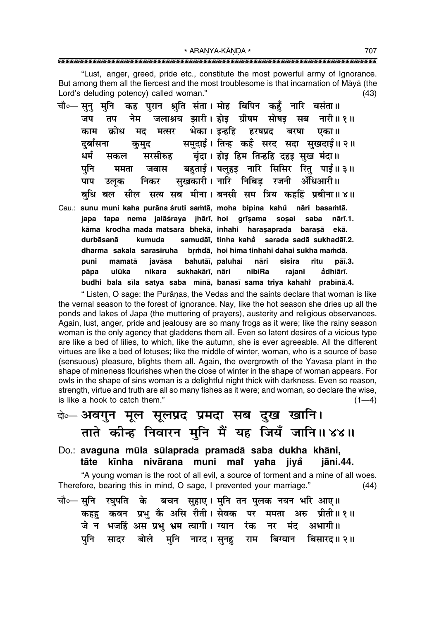\* ARANYA-KĀNDA \* 

"Lust, anger, greed, pride etc., constitute the most powerful army of Ignorance. But among them all the fiercest and the most troublesome is that incarnation of Māyā (the Lord's deluding potency) called woman."  $(43)$ 

कह पुरान श्रुति संता। मोह बिपिन कहँ नारि बसंता॥ चौ∘— सूनु मुनि जलाश्रय झारी।होड ग्रीषम सोषड सब नारी॥१॥ नेम जप तप भेका। इन्हहि हरषप्रद काम क्रोध मट मत्सर बरषा एका ॥ समुदाई। तिन्ह कहँ सरद सदा सुखदाई॥ २॥ दर्बासना कमद धर्म बृंदा। होइ हिम तिन्हहि दहइ सुख मंदा॥ सरसीरुह सकल बहुताई। पलुहइ नारि सिसिर रितु पाई॥३॥ पनि ममता जवास सुखकारी। नारि निबिड़ रजनी अँधिआरी॥ निकर पाप उलक बधि बल सील सत्य सब मीना। बनसी सम त्रिय कहहिं प्रबीना॥४॥ nāri basamtā. Cau.: sunu muni kaha purāna śruti samtā, moha bipina kahů japa tapa nema jalāśraya jhārī, hoi grīsama saba nārī.1. sosai kāma krodha mada matsara bhekā, inhahi harasaprada barasā ekā. durbāsanā kumuda samudāī, tinha kahå sarada sadā sukhadāī.2. dharma sakala sarasīruha brmdā, hoi hima tinhahi dahai sukha mamdā. mamatā javāsa bahutāī, paluhai nāri sisira ritu puni pāī.3. sukhakārī, nāri pāpa ulūka nikara nibiRa rajanī ådhiārī.

" Listen, O sage: the Purānas, the Vedas and the saints declare that woman is like the vernal season to the forest of ignorance. Nay, like the hot season she dries up all the ponds and lakes of Japa (the muttering of prayers), austerity and religious observances. Again, lust, anger, pride and jealousy are so many frogs as it were; like the rainy season woman is the only agency that gladdens them all. Even so latent desires of a vicious type are like a bed of lilies, to which, like the autumn, she is ever agreeable. All the different virtues are like a bed of lotuses; like the middle of winter, woman, who is a source of base (sensuous) pleasure, blights them all. Again, the overgrowth of the Yavasa plant in the shape of mineness flourishes when the close of winter in the shape of woman appears. For owls in the shape of sins woman is a delightful night thick with darkness. Even so reason, strength, virtue and truth are all so many fishes as it were; and woman, so declare the wise, is like a hook to catch them."  $(1-4)$ 

budhi bala sīla satya saba mīnā, banasī sama triya kahahi prabīnā.4.

## वे अवगुन मूल सूलप्रद प्रमदा सब दुख खानि। ताते कीन्ह निवारन मनि मैं यह जियँ जानि॥४४॥

Do.: avaguna mūla sūlaprada pramadā saba dukha khāni, kīnha nivārana muni mai yaha jiya tāte jāni.44.

"A young woman is the root of all evil, a source of torment and a mine of all woes. Therefore, bearing this in mind, O sage, I prevented your marriage."  $(44)$ 

चौ∘— सनि रघपति े के बचन सुहाए । मुनि तन पुलक नयन भरि आए॥ कहह कवन प्रभ कै असि रीती। सेवक पर ममता अरु प्रीती॥१॥ जे न भजहिं अस प्रभु भ्रम त्यागी। ग्यान रंक अभागी।। नर मंद बोले मनि नारद।समह राम बिग्यान पनि सादर बिसारद॥ २॥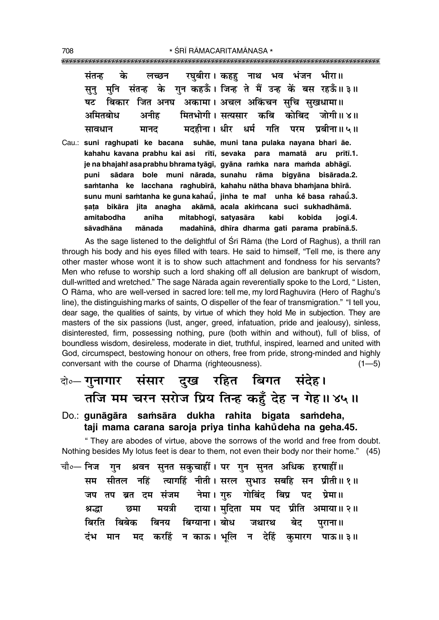| लच्छन रघुबीरा। कहहु नाथ भव भंजन भीरा॥<br>संतन्ह के                      |
|-------------------------------------------------------------------------|
| मुनि संतन्ह के गुन कहऊँ। जिन्ह ते मैं उन्ह कें बस रहऊँ॥३॥<br>सूनु       |
| षट  बिकार जित अनघ  अकामा । अचल अकिंचन  सुचि  सुखधामा ॥                  |
| अनीह      मितभोगी । सत्यसार  कबि   कोबिद   जोगी ॥ ४ ॥<br>अमितबोध        |
| मदहीना। धीर धर्म गति परम प्रबीना॥५॥<br>मानद<br>सावधान                   |
| Cau.: suni raghupati ke bacana suhāe, muni tana pulaka nayana bhari āe. |
| kahahu kavana prabhu kai asi rītī, sevaka para mamatā aru prītī.1.      |
| je na bhajahi asa prabhu bhrama tyāgī, gyāna ramka nara mamda abhāgī.   |
| puni sādara bole muni nārada, sunahu rāma bigyāna bisārada.2.           |
| samtanha ke lacchana raghubīrā, kahahu nātha bhava bhamjana bhīrā.      |
| sunu muni samtanha ke guna kahau, jinha te mai unha ke basa rahau.3.    |
| sata bikāra jita anagha akāmā, acala akimcana suci sukhadhāmā.          |
| mitabhogī, satyasāra kabi kobida<br>amitabodha<br>anīha<br>jogī.4.      |
| mānada madahīnā, dhīra dharma gati parama prabīnā.5.<br>sāvadhāna       |

As the sage listened to the delightful of Sri Rama (the Lord of Raghus), a thrill ran through his body and his eyes filled with tears. He said to himself, "Tell me, is there any other master whose wont it is to show such attachment and fondness for his servants? Men who refuse to worship such a lord shaking off all delusion are bankrupt of wisdom, dull-writted and wretched." The sage Nārada again reverentially spoke to the Lord, "Listen, O Rāma, who are well-versed in sacred lore: tell me, my lord Raghuvīra (Hero of Raghu's line), the distinguishing marks of saints, O dispeller of the fear of transmigration." "I tell you, dear sage, the qualities of saints, by virtue of which they hold Me in subjection. They are masters of the six passions (lust, anger, greed, infatuation, pride and jealousy), sinless, disinterested, firm, possessing nothing, pure (both within and without), full of bliss, of boundless wisdom, desireless, moderate in diet, truthful, inspired, learned and united with God, circumspect, bestowing honour on others, free from pride, strong-minded and highly conversant with the course of Dharma (righteousness).  $(1 - 5)$ 

## बे॰- गुनागार संसार दुख रहित बिगत संदेह। तजि मम चरन सरोज प्रिय तिन्ह कहुँ देह न गेह।। ४५॥

Do.: gunāgāra samsāra dukha rahita bigata samdeha, taji mama carana saroja priya tinha kahůdeha na geha.45.

" They are abodes of virtue, above the sorrows of the world and free from doubt. Nothing besides My lotus feet is dear to them, not even their body nor their home." (45)

श्रवन सुनत सकुचाहीं। पर गुन सुनत अधिक हरषाहीं॥ चौ∘— निज गन त्यागहिं नीती। सरल सुभाउ सबहि सन प्रीती॥१॥ सम सीतल नहिं जप तप ब्रत दम संजम लनेमा। गरु गोबिंद बिप्र पद प्रेमा॥ मयत्री दाया। मुदिता मम पद प्रीति अमाया॥२॥ श्रद्धा छमा बिनय बिग्याना।बोध जथारथ बिरति बिबेक बेट पराना ॥ मद करहिं न काऊ। भूलि न देहिं कुमारग पाऊ॥३॥ दंभ मान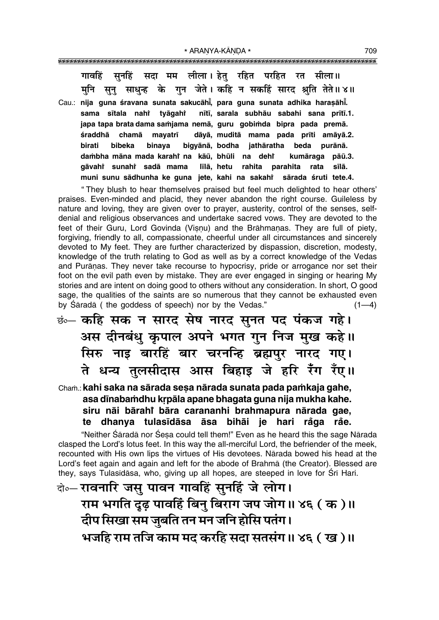गावहिं सदा मम लीला।हेत रहित परहित रत सीला॥ सनहिं मुनि सुनु साधुन्ह के गुन जेते। कहि न सकहिं सारद श्रुति तेते॥४॥ Cau.: nija guna śravana sunata sakucāhi, para guna sunata adhika harasāhi. sama sītala nahi tyāgahi nītī, sarala subhāu sabahi sana prītī.1. japa tapa brata dama samjama nemā, guru gobimda bipra pada premā. śraddhā chamā mayatrī dāyā, muditā mama pada prīti amāyā.2. birati bibeka binaya bigyānā, bodha jathāratha beda purānā. dambha māna mada karahi na kāū, bhūli na dehi kumāraga pāū.3. gāvahi sunahi sadā mama līlā, hetu rahita parahita rata sīlā. muni sunu sādhunha ke guna jete, kahi na sakahi sārada śruti tete.4.

"They blush to hear themselves praised but feel much delighted to hear others' praises. Even-minded and placid, they never abandon the right course. Guileless by nature and loving, they are given over to prayer, austerity, control of the senses, selfdenial and religious observances and undertake sacred vows. They are devoted to the feet of their Guru, Lord Govinda (Visnu) and the Brāhmanas. They are full of piety, forgiving, friendly to all, compassionate, cheerful under all circumstances and sincerely devoted to My feet. They are further characterized by dispassion, discretion, modesty, knowledge of the truth relating to God as well as by a correct knowledge of the Vedas and Purānas. They never take recourse to hypocrisy, pride or arrogance nor set their foot on the evil path even by mistake. They are ever engaged in singing or hearing My stories and are intent on doing good to others without any consideration. In short, O good sage, the qualities of the saints are so numerous that they cannot be exhausted even by Sarada (the goddess of speech) nor by the Vedas."  $(1-4)$ 

छंं- कहि सक न सारद सेष नारद सूनत पद पंकज गहे। अस दीनबंधु कृपाल अपने भगत गुन निज मुख कहे।। सिरु नाइ बारहिं बार चरनन्हि ब्रह्मपुर नारद गए। ते धन्य तुलसीदास आस बिहाइ जे हरि रँग रँए॥

Cham.: kahi saka na sārada sesa nārada sunata pada pamkaja gahe, asa dīnabamdhu krpāla apane bhagata guna nija mukha kahe. siru nāi bārahi bāra carananhi brahmapura nārada gae, te dhanya tulasīdāsa āsa bihāi je hari råga råe.

"Neither Śāradā nor Śesa could tell them!" Even as he heard this the sage Nārada clasped the Lord's lotus feet. In this way the all-merciful Lord, the befriender of the meek, recounted with His own lips the virtues of His devotees. Narada bowed his head at the Lord's feet again and again and left for the abode of Brahma (the Creator). Blessed are they, says Tulasidāsa, who, giving up all hopes, are steeped in love for Srī Hari.

बेन्ट रावनारि जसु पावन गावहिं सुनहिं जे लोग। राम भगति दृढ़ पावहिं बिन् बिराग जप जोग॥ ४६ ( क )॥ दीप सिखा सम जुबति तन मन जनि होसि पतंग। भजहि राम तजि काम मद करहि सदा सतसंग॥४६ (ख)॥